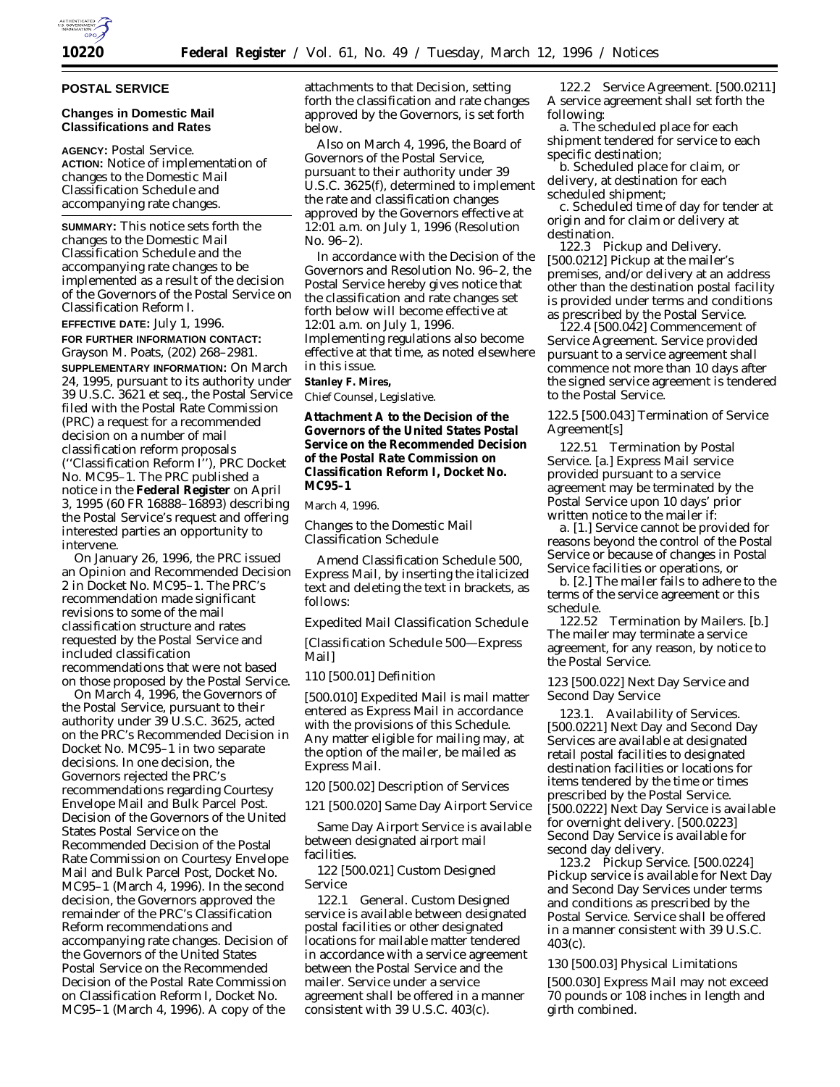

## **POSTAL SERVICE**

## **Changes in Domestic Mail Classifications and Rates**

**AGENCY:** Postal Service. **ACTION:** Notice of implementation of changes to the Domestic Mail Classification Schedule and accompanying rate changes.

**SUMMARY:** This notice sets forth the changes to the Domestic Mail Classification Schedule and the accompanying rate changes to be implemented as a result of the decision of the Governors of the Postal Service on Classification Reform I.

**EFFECTIVE DATE:** July 1, 1996.

**FOR FURTHER INFORMATION CONTACT:** Grayson M. Poats, (202) 268–2981.

**SUPPLEMENTARY INFORMATION:** On March 24, 1995, pursuant to its authority under 39 U.S.C. 3621 *et seq.,* the Postal Service filed with the Postal Rate Commission (PRC) a request for a recommended decision on a number of mail classification reform proposals (''Classification Reform I''), PRC Docket No. MC95–1. The PRC published a notice in the **Federal Register** on April 3, 1995 (60 FR 16888–16893) describing the Postal Service's request and offering interested parties an opportunity to intervene.

On January 26, 1996, the PRC issued an Opinion and Recommended Decision 2 in Docket No. MC95–1. The PRC's recommendation made significant revisions to some of the mail classification structure and rates requested by the Postal Service and included classification recommendations that were not based on those proposed by the Postal Service.

On March 4, 1996, the Governors of the Postal Service, pursuant to their authority under 39 U.S.C. 3625, acted on the PRC's Recommended Decision in Docket No. MC95–1 in two separate decisions. In one decision, the Governors rejected the PRC's recommendations regarding Courtesy Envelope Mail and Bulk Parcel Post. Decision of the Governors of the United States Postal Service on the Recommended Decision of the Postal Rate Commission on Courtesy Envelope Mail and Bulk Parcel Post, Docket No. MC95–1 (March 4, 1996). In the second decision, the Governors approved the remainder of the PRC's Classification Reform recommendations and accompanying rate changes. Decision of the Governors of the United States Postal Service on the Recommended Decision of the Postal Rate Commission on Classification Reform I, Docket No. MC95–1 (March 4, 1996). A copy of the

attachments to that Decision, setting forth the classification and rate changes approved by the Governors, is set forth below.

Also on March 4, 1996, the Board of Governors of the Postal Service, pursuant to their authority under 39 U.S.C. 3625(f), determined to implement the rate and classification changes approved by the Governors effective at 12:01 a.m. on July 1, 1996 (Resolution No. 96–2).

In accordance with the Decision of the Governors and Resolution No. 96–2, the Postal Service hereby gives notice that the classification and rate changes set forth below will become effective at 12:01 a.m. on July 1, 1996. Implementing regulations also become effective at that time, as noted elsewhere in this issue.

**Stanley F. Mires,**

*Chief Counsel, Legislative.*

**Attachment A to the Decision of the Governors of the United States Postal Service on the Recommended Decision of the Postal Rate Commission on Classification Reform I, Docket No. MC95–1**

March 4, 1996.

*Changes to the Domestic Mail Classification Schedule*

Amend Classification Schedule 500, Express Mail, by inserting the italicized text and deleting the text in brackets, as follows:

*Expedited Mail Classification Schedule*

[Classification Schedule 500—Express Mail]

*110* [500.01] Definition

[500.010] *Expedited Mail is mail matter entered as Express Mail in accordance with the provisions of this Schedule.* Any matter eligible for mailing may, at the option of the mailer, be mailed as Express Mail.

*120* [500.02] Description of Services

*121* [500.020] Same Day Airport Service

Same Day Airport Service is available between designated airport mail facilities.

*122* [500.021] Custom Designed Service

*122.1 General.* Custom Designed service is available between designated postal facilities or other designated locations for mailable matter tendered in accordance with a service agreement between the Postal Service and the mailer. Service under a service agreement shall be offered in a manner consistent with 39 U.S.C. 403(c).

*122.2 Service Agreement.* [500.0211] A service agreement shall set forth the following:

a. The scheduled place for each shipment tendered for service to each specific destination;

b. Scheduled place for claim, or delivery, at destination for each scheduled shipment;

c. Scheduled time of day for tender at origin and for claim or delivery at destination.

*122.3 Pickup and Delivery.* [500.0212] Pickup at the mailer's premises, and/or delivery at an address other than the destination postal facility is provided under terms and conditions as prescribed by the Postal Service.

*122.4* [500.042] Commencement of Service Agreement. Service provided pursuant to a service agreement shall commence not more than 10 days after the signed service agreement is tendered to the Postal Service.

*122.5* [500.043] Termination of Service Agreement[s]

*122.51 Termination by Postal Service.* [a.] Express Mail service provided pursuant to a service agreement may be terminated by the Postal Service upon 10 days' prior written notice to the mailer if:

*a.* [1.] Service cannot be provided for reasons beyond the control of the Postal Service or because of changes in Postal Service facilities or operations, or

*b.* [2.] The mailer fails to adhere to the terms of the service agreement or this schedule.

*122.52 Termination by Mailers.* [b.] The mailer may terminate a service agreement, for any reason, by notice to the Postal Service.

*123* [500.022] Next Day Service and Second Day Service

*123.1. Availability of Services.* [500.0221] Next Day and Second Day Services are available at designated retail postal facilities to designated destination facilities or locations for items tendered by the time or times prescribed by the Postal Service. [500.0222] Next Day Service is available for overnight delivery. [500.0223] Second Day Service is available for second day delivery.

*123.2 Pickup Service.* [500.0224] Pickup service is available for Next Day and Second Day Services under terms and conditions as prescribed by the Postal Service. Service shall be offered in a manner consistent with 39 U.S.C. 403(c).

*130* [500.03] Physical Limitations

[500.030] Express Mail may not exceed 70 pounds or 108 inches in length and girth combined.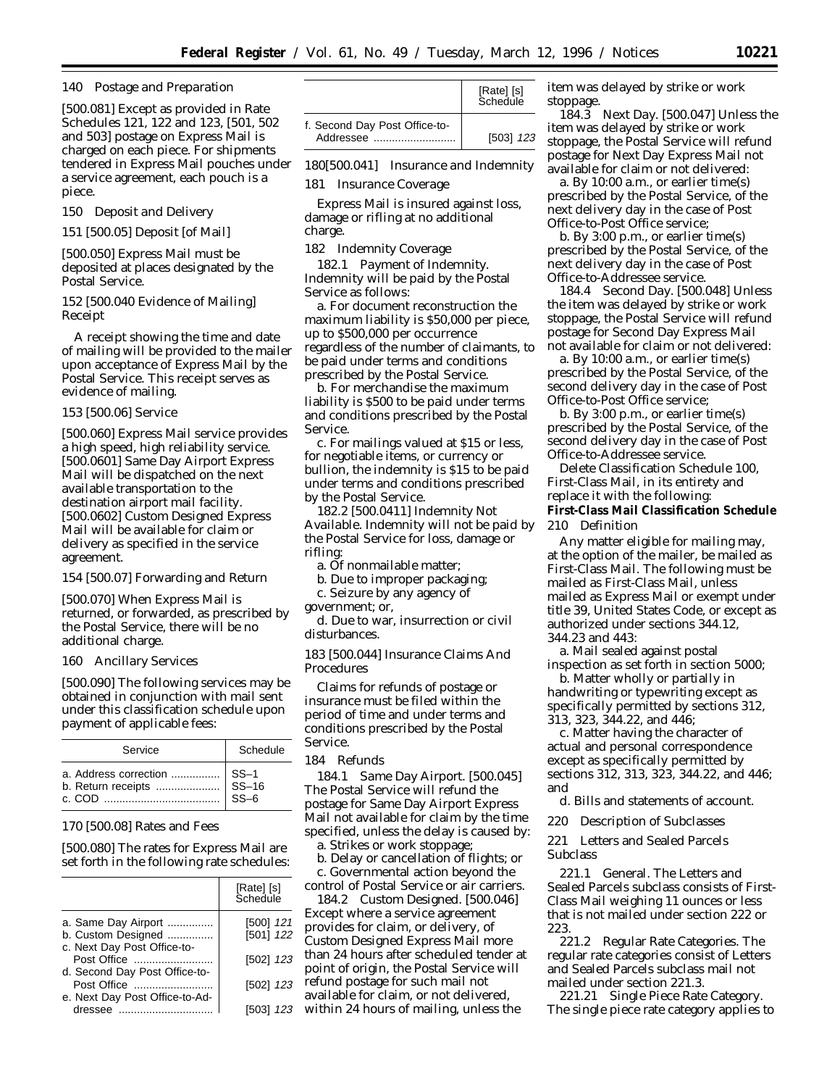#### *140 Postage and Preparation*

[500.081] Except as provided in Rate Schedules *121, 122* and *123,* [501, 502 and 503] postage on Express Mail is charged on each piece. For shipments tendered in Express Mail pouches under a service agreement, each pouch is a piece.

*150 Deposit and Delivery*

*151* [500.05] Deposit [of Mail]

[500.050] Express Mail must be deposited at places designated by the Postal Service.

*152* [500.040 Evidence of Mailing] *Receipt*

A receipt showing the time and date of mailing will be provided to the mailer upon acceptance of Express Mail by the Postal Service. This receipt serves as evidence of mailing.

#### *153* [500.06] Service

[500.060] Express Mail service provides a high speed, high reliability service. [500.0601] Same Day Airport Express Mail will be dispatched on the next available transportation to the destination airport mail facility. [500.0602] Custom Designed Express Mail will be available for claim or delivery as specified in the service agreement.

*154* [500.07] Forwarding and Return

[500.070] When Express Mail is returned, or forwarded, as prescribed by the Postal Service, there will be no additional charge.

#### *160 Ancillary Services*

[500.090] The following services may be obtained in conjunction with mail sent under this classification schedule upon payment of applicable fees:

| Service | Schedule |
|---------|----------|
|         |          |

#### *170* [500.08] Rates and Fees

[500.080] The rates for Express Mail are set forth in the following rate schedules:

|                                | [Rate] [s]<br>Schedule |
|--------------------------------|------------------------|
| a. Same Day Airport            | [500] 121              |
| b. Custom Designed             | [501] 122              |
| c. Next Day Post Office-to-    |                        |
| Post Office                    | [502] 123              |
| d. Second Day Post Office-to-  |                        |
| Post Office                    | [502] 123              |
| e. Next Day Post Office-to-Ad- |                        |
| dressee                        | [503] 123              |

|                                            | [Rate] [s]<br>Schedule |
|--------------------------------------------|------------------------|
| f. Second Day Post Office-to-<br>Addressee | [503] 123              |

*180[500.041] Insurance and Indemnity*

*181 Insurance Coverage*

Express Mail is insured against loss, damage or rifling at no additional charge.

*182 Indemnity Coverage*

*182.1 Payment of Indemnity.* Indemnity will be paid by the Postal Service as follows:

a. For document reconstruction the maximum liability is \$50,000 per piece, up to \$500,000 per occurrence regardless of the number of claimants, to be paid under terms and conditions prescribed by the Postal Service.

b. For merchandise the maximum liability is \$500 to be paid under terms and conditions prescribed by the Postal Service.

c. For mailings valued at \$15 or less, for negotiable items, or currency or bullion, the indemnity is \$15 to be paid under terms and conditions prescribed by the Postal Service.

*182.2* [500.0411] *Indemnity Not Available.* Indemnity will not be paid by the Postal Service for loss, damage or rifling:

a. Of nonmailable matter;

b. Due to improper packaging;

c. Seizure by any agency of

government; or,

d. Due to war, insurrection or civil disturbances.

*183* [500.044] Insurance Claims And Procedures

Claims for refunds of postage or insurance must be filed within the period of time and under terms and conditions prescribed by the Postal Service.

#### *184 Refunds*

*184.1 Same Day Airport.* [500.045] The Postal Service will refund the postage for Same Day Airport Express Mail not available for claim by the time specified, unless the delay is caused by: a. Strikes or work stoppage;

b. Delay or cancellation of flights; or c. Governmental action beyond the

control of Postal Service or air carriers. *184.2 Custom Designed.* [500.046]

Except where a service agreement provides for claim, or delivery, of Custom Designed Express Mail more than 24 hours after scheduled tender at point of origin, the Postal Service will refund postage for such mail not available for claim, or not delivered, within 24 hours of mailing, unless the

item was delayed by strike or work stoppage.

*184.3 Next Day.* [500.047] Unless the item was delayed by strike or work stoppage, the Postal Service will refund postage for Next Day Express Mail not available for claim or not delivered:

a. By 10:00 a.m., or earlier time(s) prescribed by the Postal Service, of the next delivery day in the case of Post Office-to-Post Office service;

b. By 3:00 p.m., or earlier time(s) prescribed by the Postal Service, of the next delivery day in the case of Post Office-to-Addressee service.

1*84.4 Second Day.* [500.048] Unless the item was delayed by strike or work stoppage, the Postal Service will refund postage for Second Day Express Mail not available for claim or not delivered:

a. By 10:00 a.m., or earlier time(s) prescribed by the Postal Service, of the second delivery day in the case of Post Office-to-Post Office service;

b. By 3:00 p.m., or earlier time(s) prescribed by the Postal Service, of the second delivery day in the case of Post Office-to-Addressee service.

Delete Classification Schedule 100, First-Class Mail, in its entirety and replace it with the following: **First-Class Mail Classification Schedule** 210 Definition

Any matter eligible for mailing may, at the option of the mailer, be mailed as First-Class Mail. The following must be mailed as First-Class Mail, unless mailed as Express Mail or exempt under title 39, United States Code, or except as authorized under sections 344.12, 344.23 and 443:

a. Mail sealed against postal inspection as set forth in section 5000;

b. Matter wholly or partially in handwriting or typewriting except as specifically permitted by sections 312, 313, 323, 344.22, and 446;

c. Matter having the character of actual and personal correspondence except as specifically permitted by sections 312, 313, 323, 344.22, and 446; and

d. Bills and statements of account.

220 Description of Subclasses

221 Letters and Sealed Parcels Subclass

221.1 General. The Letters and Sealed Parcels subclass consists of First-Class Mail weighing 11 ounces or less that is not mailed under section 222 or 223.

221.2 Regular Rate Categories. The regular rate categories consist of Letters and Sealed Parcels subclass mail not mailed under section 221.3.

221.21 Single Piece Rate Category. The single piece rate category applies to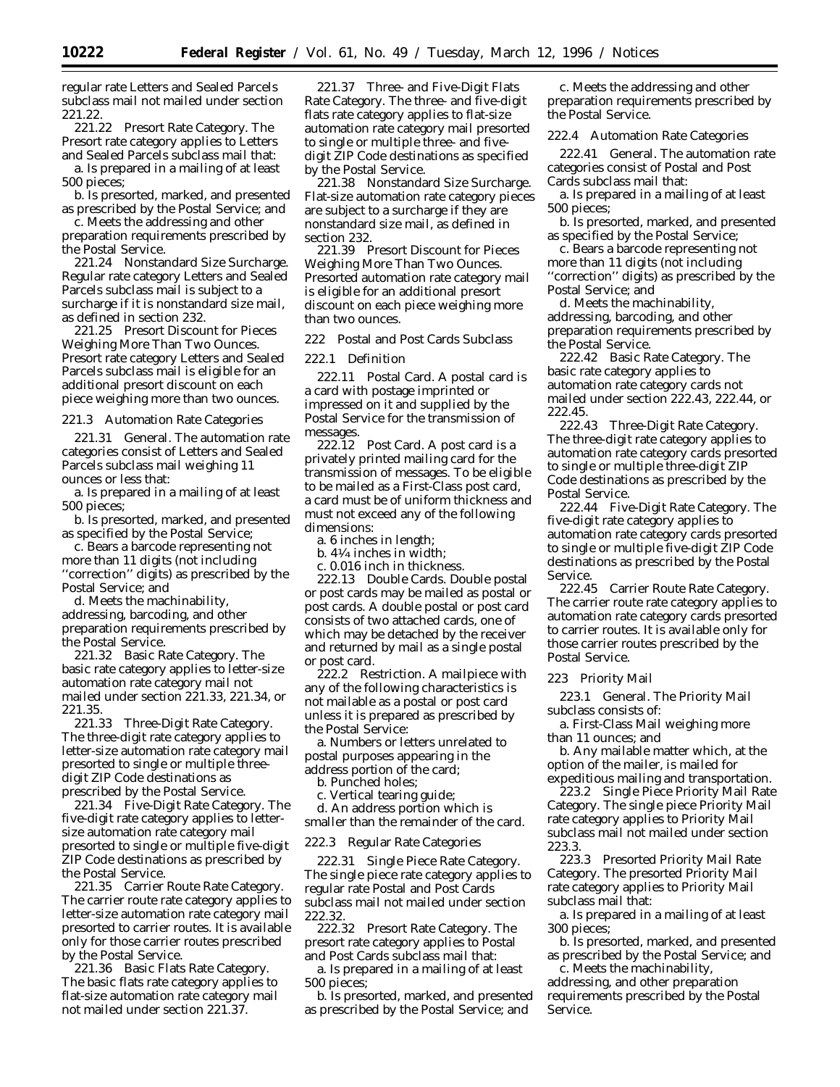regular rate Letters and Sealed Parcels subclass mail not mailed under section 221.22.<br>221.22

Presort Rate Category. The Presort rate category applies to Letters and Sealed Parcels subclass mail that:

a. Is prepared in a mailing of at least 500 pieces;

b. Is presorted, marked, and presented as prescribed by the Postal Service; and

c. Meets the addressing and other preparation requirements prescribed by the Postal Service.

221.24 Nonstandard Size Surcharge. Regular rate category Letters and Sealed Parcels subclass mail is subject to a surcharge if it is nonstandard size mail, as defined in section 232.

221.25 Presort Discount for Pieces Weighing More Than Two Ounces. Presort rate category Letters and Sealed Parcels subclass mail is eligible for an additional presort discount on each piece weighing more than two ounces.

221.3 Automation Rate Categories

221.31 General. The automation rate categories consist of Letters and Sealed Parcels subclass mail weighing 11 ounces or less that:

a. Is prepared in a mailing of at least 500 pieces;

b. Is presorted, marked, and presented as specified by the Postal Service;

c. Bears a barcode representing not more than 11 digits (not including ''correction'' digits) as prescribed by the Postal Service; and

d. Meets the machinability, addressing, barcoding, and other preparation requirements prescribed by the Postal Service.

221.32 Basic Rate Category. The basic rate category applies to letter-size automation rate category mail not mailed under section 221.33, 221.34, or 221.35.

221.33 Three-Digit Rate Category. The three-digit rate category applies to letter-size automation rate category mail presorted to single or multiple threedigit ZIP Code destinations as prescribed by the Postal Service.

221.34 Five-Digit Rate Category. The five-digit rate category applies to lettersize automation rate category mail presorted to single or multiple five-digit ZIP Code destinations as prescribed by the Postal Service.

221.35 Carrier Route Rate Category. The carrier route rate category applies to letter-size automation rate category mail presorted to carrier routes. It is available only for those carrier routes prescribed by the Postal Service.

221.36 Basic Flats Rate Category. The basic flats rate category applies to flat-size automation rate category mail not mailed under section 221.37.

221.37 Three- and Five-Digit Flats Rate Category. The three- and five-digit flats rate category applies to flat-size automation rate category mail presorted to single or multiple three- and fivedigit ZIP Code destinations as specified by the Postal Service.

221.38 Nonstandard Size Surcharge. Flat-size automation rate category pieces are subject to a surcharge if they are nonstandard size mail, as defined in section 232.

221.39 Presort Discount for Pieces Weighing More Than Two Ounces. Presorted automation rate category mail is eligible for an additional presort discount on each piece weighing more than two ounces.

222 Postal and Post Cards Subclass

222.1 Definition

222.11 Postal Card. A postal card is a card with postage imprinted or impressed on it and supplied by the Postal Service for the transmission of messages.

222.12 Post Card. A post card is a privately printed mailing card for the transmission of messages. To be eligible to be mailed as a First-Class post card, a card must be of uniform thickness and must not exceed any of the following dimensions:

a. 6 inches in length;

b. 41⁄4 inches in width;

c. 0.016 inch in thickness.

222.13 Double Cards. Double postal or post cards may be mailed as postal or post cards. A double postal or post card consists of two attached cards, one of which may be detached by the receiver and returned by mail as a single postal or post card.

222.2 Restriction. A mailpiece with any of the following characteristics is not mailable as a postal or post card unless it is prepared as prescribed by the Postal Service:

a. Numbers or letters unrelated to postal purposes appearing in the address portion of the card;

b. Punched holes;

c. Vertical tearing guide;

d. An address portion which is smaller than the remainder of the card.

222.3 Regular Rate Categories

222.31 Single Piece Rate Category. The single piece rate category applies to regular rate Postal and Post Cards subclass mail not mailed under section 222.32.

222.32 Presort Rate Category. The presort rate category applies to Postal and Post Cards subclass mail that:

a. Is prepared in a mailing of at least 500 pieces;

b. Is presorted, marked, and presented as prescribed by the Postal Service; and

c. Meets the addressing and other preparation requirements prescribed by the Postal Service.

222.4 Automation Rate Categories

222.41 General. The automation rate categories consist of Postal and Post Cards subclass mail that:

a. Is prepared in a mailing of at least 500 pieces;

b. Is presorted, marked, and presented as specified by the Postal Service;

c. Bears a barcode representing not more than 11 digits (not including ''correction'' digits) as prescribed by the Postal Service; and

d. Meets the machinability, addressing, barcoding, and other preparation requirements prescribed by the Postal Service.

222.42 Basic Rate Category. The basic rate category applies to automation rate category cards not mailed under section 222.43, 222.44, or 222.45.

222.43 Three-Digit Rate Category. The three-digit rate category applies to automation rate category cards presorted to single or multiple three-digit ZIP Code destinations as prescribed by the Postal Service.

222.44 Five-Digit Rate Category. The five-digit rate category applies to automation rate category cards presorted to single or multiple five-digit ZIP Code destinations as prescribed by the Postal Service.

222.45 Carrier Route Rate Category. The carrier route rate category applies to automation rate category cards presorted to carrier routes. It is available only for those carrier routes prescribed by the Postal Service.

223 Priority Mail

223.1 General. The Priority Mail subclass consists of:

a. First-Class Mail weighing more than 11 ounces; and

b. Any mailable matter which, at the option of the mailer, is mailed for expeditious mailing and transportation.

223.2 Single Piece Priority Mail Rate Category. The single piece Priority Mail rate category applies to Priority Mail subclass mail not mailed under section 223.3.

223.3 Presorted Priority Mail Rate Category. The presorted Priority Mail rate category applies to Priority Mail subclass mail that:

a. Is prepared in a mailing of at least 300 pieces;

b. Is presorted, marked, and presented as prescribed by the Postal Service; and

c. Meets the machinability, addressing, and other preparation requirements prescribed by the Postal Service.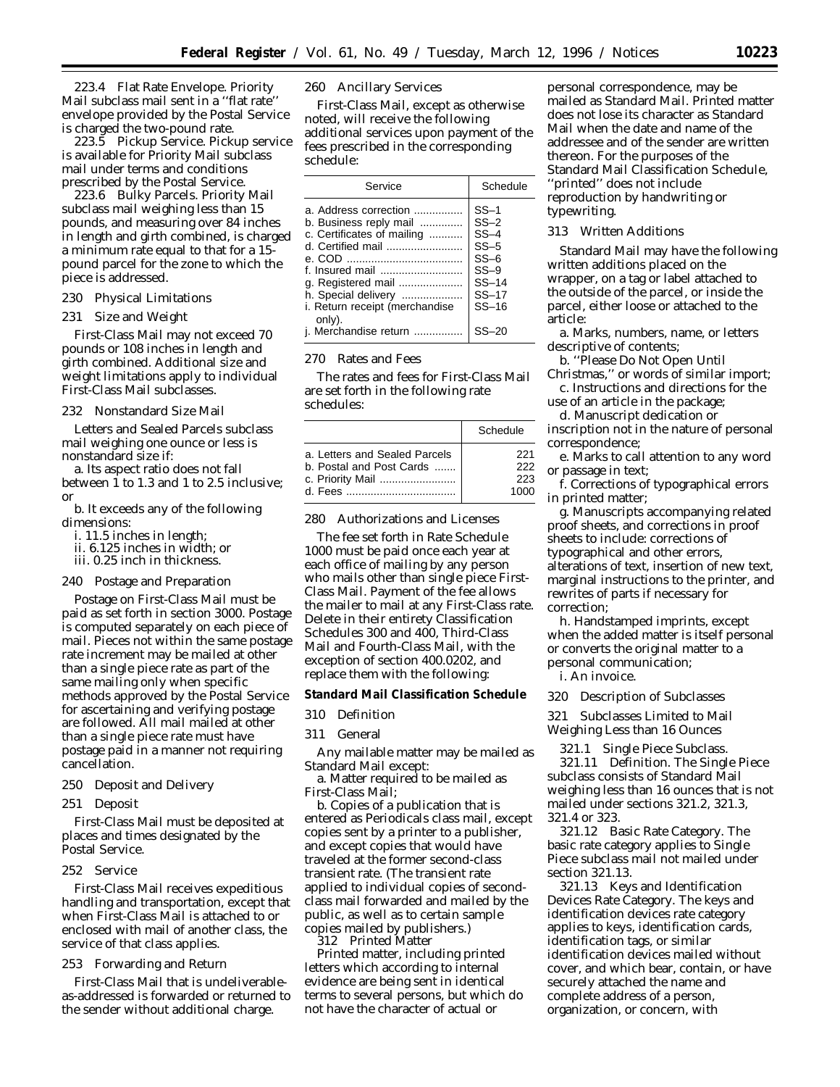223.4 Flat Rate Envelope. Priority Mail subclass mail sent in a ''flat rate'' envelope provided by the Postal Service is charged the two-pound rate.

223.5 Pickup Service. Pickup service is available for Priority Mail subclass mail under terms and conditions prescribed by the Postal Service.

223.6 Bulky Parcels. Priority Mail subclass mail weighing less than 15 pounds, and measuring over 84 inches in length and girth combined, is charged a minimum rate equal to that for a 15 pound parcel for the zone to which the piece is addressed.

230 Physical Limitations

231 Size and Weight

First-Class Mail may not exceed 70 pounds or 108 inches in length and girth combined. Additional size and weight limitations apply to individual First-Class Mail subclasses.

232 Nonstandard Size Mail

Letters and Sealed Parcels subclass mail weighing one ounce or less is nonstandard size if:

a. Its aspect ratio does not fall between 1 to 1.3 and 1 to 2.5 inclusive; or

b. It exceeds any of the following dimensions:

i. 11.5 inches in length;

ii. 6.125 inches in width; or

iii. 0.25 inch in thickness.

# 240 Postage and Preparation

Postage on First-Class Mail must be paid as set forth in section 3000. Postage is computed separately on each piece of mail. Pieces not within the same postage rate increment may be mailed at other than a single piece rate as part of the same mailing only when specific methods approved by the Postal Service for ascertaining and verifying postage are followed. All mail mailed at other than a single piece rate must have postage paid in a manner not requiring cancellation.

- 250 Deposit and Delivery
- 251 Deposit

First-Class Mail must be deposited at places and times designated by the Postal Service.

252 Service

First-Class Mail receives expeditious handling and transportation, except that when First-Class Mail is attached to or enclosed with mail of another class, the service of that class applies.

253 Forwarding and Return

First-Class Mail that is undeliverableas-addressed is forwarded or returned to the sender without additional charge.

260 Ancillary Services

First-Class Mail, except as otherwise noted, will receive the following additional services upon payment of the fees prescribed in the corresponding schedule:

| Service                                                                                                                                                                                                        | Schedule                                                                                  |
|----------------------------------------------------------------------------------------------------------------------------------------------------------------------------------------------------------------|-------------------------------------------------------------------------------------------|
| a. Address correction<br>b. Business reply mail<br>c. Certificates of mailing<br>d. Certified mail<br>f. Insured mail<br>g. Registered mail<br>h. Special delivery<br>i. Return receipt (merchandise<br>only). | $SS-1$<br>$SS-2$<br>$SS-4$<br>$SS-5$<br>$SS-6$<br>$SS-9$<br>$SS-14$<br>$SS-17$<br>$SS-16$ |
| i. Merchandise return                                                                                                                                                                                          |                                                                                           |

#### 270 Rates and Fees

The rates and fees for First-Class Mail are set forth in the following rate schedules:

|                               | Schedule |
|-------------------------------|----------|
| a. Letters and Sealed Parcels | 221      |
| b. Postal and Post Cards      | 222      |
| c. Priority Mail              | 223      |
|                               | 1000     |

280 Authorizations and Licenses

The fee set forth in Rate Schedule 1000 must be paid once each year at each office of mailing by any person who mails other than single piece First-Class Mail. Payment of the fee allows the mailer to mail at any First-Class rate. Delete in their entirety Classification Schedules 300 and 400, Third-Class Mail and Fourth-Class Mail, with the exception of section 400.0202, and replace them with the following:

**Standard Mail Classification Schedule**

310 Definition

311 General

Any mailable matter may be mailed as Standard Mail except:

a. Matter required to be mailed as First-Class Mail;

b. Copies of a publication that is entered as Periodicals class mail, except copies sent by a printer to a publisher, and except copies that would have traveled at the former second-class transient rate. (The transient rate applied to individual copies of secondclass mail forwarded and mailed by the public, as well as to certain sample copies mailed by publishers.)

312 Printed Matter

Printed matter, including printed letters which according to internal evidence are being sent in identical terms to several persons, but which do not have the character of actual or

personal correspondence, may be mailed as Standard Mail. Printed matter does not lose its character as Standard Mail when the date and name of the addressee and of the sender are written thereon. For the purposes of the Standard Mail Classification Schedule, ''printed'' does not include reproduction by handwriting or typewriting.

#### 313 Written Additions

Standard Mail may have the following written additions placed on the wrapper, on a tag or label attached to the outside of the parcel, or inside the parcel, either loose or attached to the article:

a. Marks, numbers, name, or letters descriptive of contents;

b. ''Please Do Not Open Until Christmas,'' or words of similar import; c. Instructions and directions for the

use of an article in the package;

d. Manuscript dedication or inscription not in the nature of personal correspondence;

e. Marks to call attention to any word or passage in text;

f. Corrections of typographical errors in printed matter;

g. Manuscripts accompanying related proof sheets, and corrections in proof sheets to include: corrections of typographical and other errors, alterations of text, insertion of new text, marginal instructions to the printer, and rewrites of parts if necessary for correction;

h. Handstamped imprints, except when the added matter is itself personal or converts the original matter to a personal communication;

i. An invoice.

320 Description of Subclasses

321 Subclasses Limited to Mail Weighing Less than 16 Ounces

321.1 Single Piece Subclass. 321.11 Definition. The Single Piece subclass consists of Standard Mail weighing less than 16 ounces that is not mailed under sections 321.2, 321.3, 321.4 or 323.

321.12 Basic Rate Category. The basic rate category applies to Single Piece subclass mail not mailed under section 321.13.

321.13 Keys and Identification Devices Rate Category. The keys and identification devices rate category applies to keys, identification cards, identification tags, or similar identification devices mailed without cover, and which bear, contain, or have securely attached the name and complete address of a person, organization, or concern, with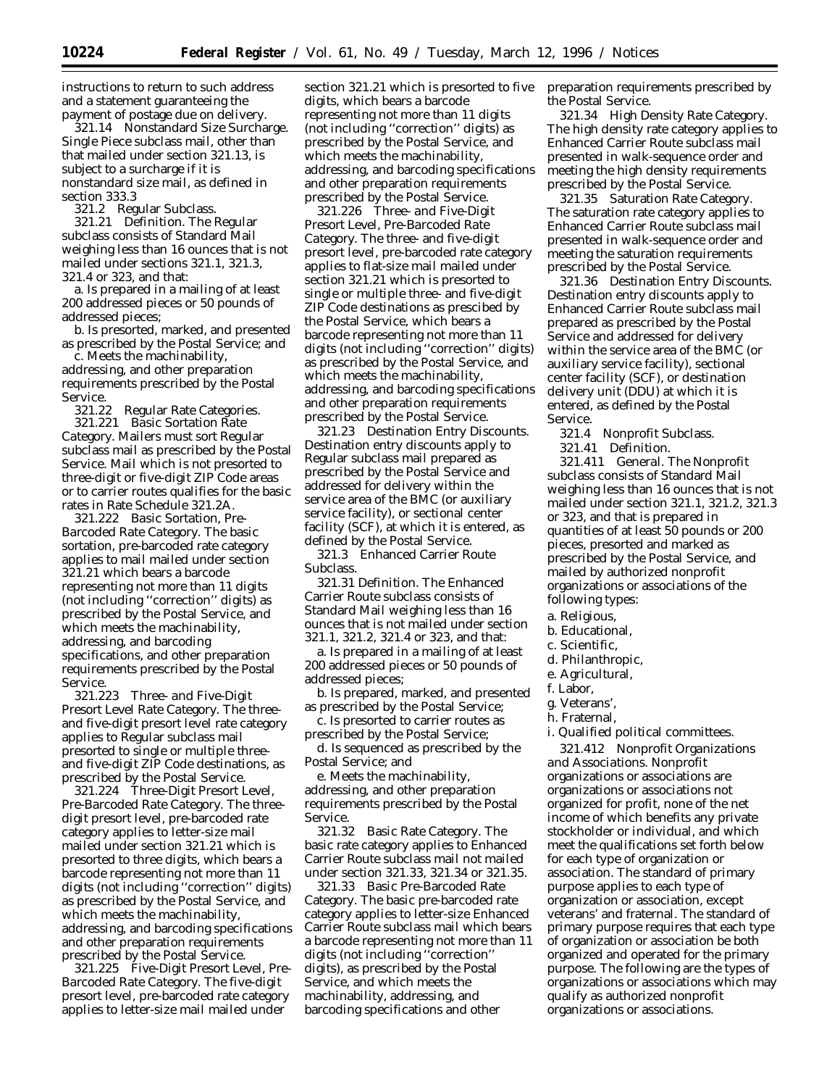instructions to return to such address and a statement guaranteeing the payment of postage due on delivery.

321.14 Nonstandard Size Surcharge. Single Piece subclass mail, other than that mailed under section 321.13, is subject to a surcharge if it is nonstandard size mail, as defined in section 333.3

321.2 Regular Subclass.

321.21 Definition. The Regular subclass consists of Standard Mail weighing less than 16 ounces that is not mailed under sections 321.1, 321.3, 321.4 or 323, and that:

a. Is prepared in a mailing of at least 200 addressed pieces or 50 pounds of addressed pieces;

b. Is presorted, marked, and presented as prescribed by the Postal Service; and

c. Meets the machinability, addressing, and other preparation requirements prescribed by the Postal Service.

321.22 Regular Rate Categories. 321.221 *Basic Sortation Rate Category*. Mailers must sort Regular subclass mail as prescribed by the Postal Service. Mail which is not presorted to three-digit or five-digit ZIP Code areas or to carrier routes qualifies for the basic rates in Rate Schedule 321.2A.

321.222 *Basic Sortation, Pre-Barcoded Rate Category*. The basic sortation, pre-barcoded rate category applies to mail mailed under section 321.21 which bears a barcode representing not more than 11 digits (not including ''correction'' digits) as prescribed by the Postal Service, and which meets the machinability, addressing, and barcoding specifications, and other preparation requirements prescribed by the Postal Service.

321.223 *Three- and Five-Digit Presort Level Rate Category*. The threeand five-digit presort level rate category applies to Regular subclass mail presorted to single or multiple threeand five-digit ZIP Code destinations, as prescribed by the Postal Service.

321.224 *Three-Digit Presort Level, Pre-Barcoded Rate Category*. The threedigit presort level, pre-barcoded rate category applies to letter-size mail mailed under section 321.21 which is presorted to three digits, which bears a barcode representing not more than 11 digits (not including ''correction'' digits) as prescribed by the Postal Service, and which meets the machinability, addressing, and barcoding specifications and other preparation requirements prescribed by the Postal Service.

321.225 *Five-Digit Presort Level, Pre-Barcoded Rate Category*. The five-digit presort level, pre-barcoded rate category applies to letter-size mail mailed under

section 321.21 which is presorted to five digits, which bears a barcode representing not more than 11 digits (not including ''correction'' digits) as prescribed by the Postal Service, and which meets the machinability, addressing, and barcoding specifications and other preparation requirements prescribed by the Postal Service.

321.226 *Three- and Five-Digit Presort Level, Pre-Barcoded Rate Category*. The three- and five-digit presort level, pre-barcoded rate category applies to flat-size mail mailed under section 321.21 which is presorted to single or multiple three- and five-digit ZIP Code destinations as prescibed by the Postal Service, which bears a barcode representing not more than 11 digits (not including ''correction'' digits) as prescribed by the Postal Service, and which meets the machinability, addressing, and barcoding specifications and other preparation requirements prescribed by the Postal Service.

321.23 Destination Entry Discounts. Destination entry discounts apply to Regular subclass mail prepared as prescribed by the Postal Service and addressed for delivery within the service area of the BMC (or auxiliary service facility), or sectional center facility (SCF), at which it is entered, as defined by the Postal Service.

321.3 Enhanced Carrier Route Subclass.

321.31 Definition. The Enhanced Carrier Route subclass consists of Standard Mail weighing less than 16 ounces that is not mailed under section 321.1, 321.2, 321.4 or 323, and that:

a. Is prepared in a mailing of at least 200 addressed pieces or 50 pounds of addressed pieces;

b. Is prepared, marked, and presented as prescribed by the Postal Service;

c. Is presorted to carrier routes as prescribed by the Postal Service;

d. Is sequenced as prescribed by the Postal Service; and

e. Meets the machinability, addressing, and other preparation requirements prescribed by the Postal Service.

321.32 Basic Rate Category. The basic rate category applies to Enhanced Carrier Route subclass mail not mailed under section 321.33, 321.34 or 321.35.

321.33 Basic Pre-Barcoded Rate Category. The basic pre-barcoded rate category applies to letter-size Enhanced Carrier Route subclass mail which bears a barcode representing not more than 11 digits (not including ''correction'' digits), as prescribed by the Postal Service, and which meets the machinability, addressing, and barcoding specifications and other

preparation requirements prescribed by the Postal Service.

321.34 High Density Rate Category. The high density rate category applies to Enhanced Carrier Route subclass mail presented in walk-sequence order and meeting the high density requirements prescribed by the Postal Service.

321.35 Saturation Rate Category. The saturation rate category applies to Enhanced Carrier Route subclass mail presented in walk-sequence order and meeting the saturation requirements prescribed by the Postal Service.

321.36 Destination Entry Discounts. Destination entry discounts apply to Enhanced Carrier Route subclass mail prepared as prescribed by the Postal Service and addressed for delivery within the service area of the BMC (or auxiliary service facility), sectional center facility (SCF), or destination delivery unit (DDU) at which it is entered, as defined by the Postal Service.

321.4 Nonprofit Subclass.

321.41 Definition.

321.411 *General*. The Nonprofit subclass consists of Standard Mail weighing less than 16 ounces that is not mailed under section 321.1, 321.2, 321.3 or 323, and that is prepared in quantities of at least 50 pounds or 200 pieces, presorted and marked as prescribed by the Postal Service, and mailed by authorized nonprofit organizations or associations of the following types:

a. Religious,

- b. Educational,
- c. Scientific,
- d. Philanthropic,
- e. Agricultural,
- f. Labor,
- g. Veterans',
- h. Fraternal,
- 

i. Qualified political committees.

321.412 *Nonprofit Organizations and Associations.* Nonprofit organizations or associations are organizations or associations not organized for profit, none of the net income of which benefits any private stockholder or individual, and which meet the qualifications set forth below for each type of organization or association. The standard of primary purpose applies to each type of organization or association, except veterans' and fraternal. The standard of primary purpose requires that each type of organization or association be both organized and operated for the primary purpose. The following are the types of organizations or associations which may qualify as authorized nonprofit organizations or associations.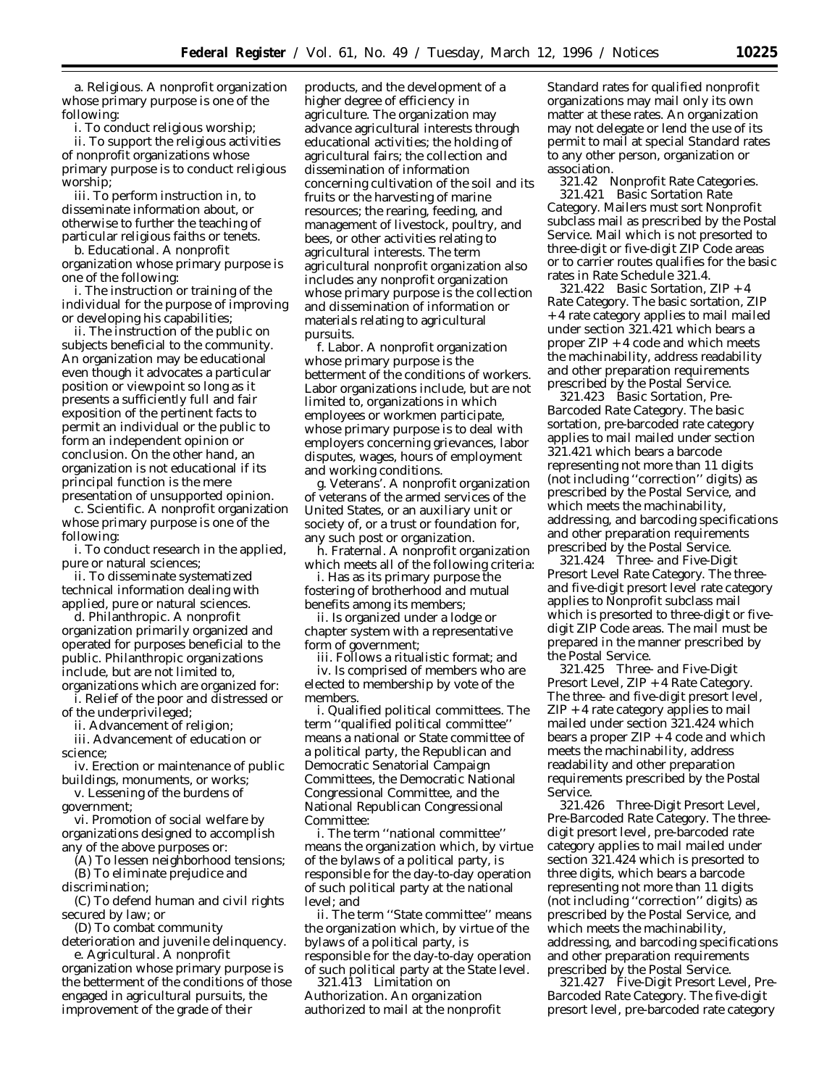a. Religious. A nonprofit organization whose primary purpose is one of the following:

i. To conduct religious worship;

ii. To support the religious activities of nonprofit organizations whose primary purpose is to conduct religious worship;

iii. To perform instruction in, to disseminate information about, or otherwise to further the teaching of particular religious faiths or tenets.

b. Educational. A nonprofit organization whose primary purpose is one of the following:

i. The instruction or training of the individual for the purpose of improving or developing his capabilities;

ii. The instruction of the public on subjects beneficial to the community. An organization may be educational even though it advocates a particular position or viewpoint so long as it presents a sufficiently full and fair exposition of the pertinent facts to permit an individual or the public to form an independent opinion or conclusion. On the other hand, an organization is not educational if its principal function is the mere presentation of unsupported opinion.

c. Scientific. A nonprofit organization whose primary purpose is one of the following:

i. To conduct research in the applied, pure or natural sciences;

ii. To disseminate systematized technical information dealing with applied, pure or natural sciences.

d. Philanthropic. A nonprofit organization primarily organized and operated for purposes beneficial to the public. Philanthropic organizations include, but are not limited to, organizations which are organized for:

i. Relief of the poor and distressed or of the underprivileged;

ii. Advancement of religion;

iii. Advancement of education or science;

iv. Erection or maintenance of public buildings, monuments, or works;

v. Lessening of the burdens of government;

vi. Promotion of social welfare by organizations designed to accomplish any of the above purposes or:

(A) To lessen neighborhood tensions; (B) To eliminate prejudice and

discrimination;

(C) To defend human and civil rights secured by law; or

(D) To combat community

deterioration and juvenile delinquency. e. Agricultural. A nonprofit

organization whose primary purpose is the betterment of the conditions of those engaged in agricultural pursuits, the improvement of the grade of their

products, and the development of a higher degree of efficiency in agriculture. The organization may advance agricultural interests through educational activities; the holding of agricultural fairs; the collection and dissemination of information concerning cultivation of the soil and its fruits or the harvesting of marine resources; the rearing, feeding, and management of livestock, poultry, and bees, or other activities relating to agricultural interests. The term agricultural nonprofit organization also includes any nonprofit organization whose primary purpose is the collection and dissemination of information or materials relating to agricultural pursuits.

f. Labor. A nonprofit organization whose primary purpose is the betterment of the conditions of workers. Labor organizations include, but are not limited to, organizations in which employees or workmen participate, whose primary purpose is to deal with employers concerning grievances, labor disputes, wages, hours of employment and working conditions.

g. Veterans'. A nonprofit organization of veterans of the armed services of the United States, or an auxiliary unit or society of, or a trust or foundation for, any such post or organization.

h. Fraternal. A nonprofit organization which meets all of the following criteria:

i. Has as its primary purpose the fostering of brotherhood and mutual benefits among its members;

ii. Is organized under a lodge or chapter system with a representative form of government;

iii. Follows a ritualistic format; and iv. Is comprised of members who are

elected to membership by vote of the members.

i. Qualified political committees. The term ''qualified political committee'' means a national or State committee of a political party, the Republican and Democratic Senatorial Campaign Committees, the Democratic National Congressional Committee, and the National Republican Congressional Committee:

i. The term ''national committee'' means the organization which, by virtue of the bylaws of a political party, is responsible for the day-to-day operation of such political party at the national level; and

ii. The term ''State committee'' means the organization which, by virtue of the bylaws of a political party, is responsible for the day-to-day operation of such political party at the State level.

321.413 *Limitation on Authorization*. An organization authorized to mail at the nonprofit Standard rates for qualified nonprofit organizations may mail only its own matter at these rates. An organization may not delegate or lend the use of its permit to mail at special Standard rates to any other person, organization or association.

321.42 Nonprofit Rate Categories. 321.421 *Basic Sortation Rate Category*. Mailers must sort Nonprofit subclass mail as prescribed by the Postal Service. Mail which is not presorted to three-digit or five-digit ZIP Code areas or to carrier routes qualifies for the basic rates in Rate Schedule 321.4.

321.422 *Basic Sortation, ZIP + 4 Rate Category*. The basic sortation, ZIP + 4 rate category applies to mail mailed under section 321.421 which bears a proper ZIP + 4 code and which meets the machinability, address readability and other preparation requirements prescribed by the Postal Service.

321.423 *Basic Sortation, Pre-Barcoded Rate Category*. The basic sortation, pre-barcoded rate category applies to mail mailed under section 321.421 which bears a barcode representing not more than 11 digits (not including ''correction'' digits) as prescribed by the Postal Service, and which meets the machinability, addressing, and barcoding specifications and other preparation requirements prescribed by the Postal Service.

321.424 *Three- and Five-Digit Presort Level Rate Category*. The threeand five-digit presort level rate category applies to Nonprofit subclass mail which is presorted to three-digit or fivedigit ZIP Code areas. The mail must be prepared in the manner prescribed by the Postal Service.

321.425 *Three- and Five-Digit Presort Level, ZIP + 4 Rate Category.* The three- and five-digit presort level, ZIP + 4 rate category applies to mail mailed under section 321.424 which bears a proper  $ZIP + 4$  code and which meets the machinability, address readability and other preparation requirements prescribed by the Postal Service.

321.426 *Three-Digit Presort Level, Pre-Barcoded Rate Category*. The threedigit presort level, pre-barcoded rate category applies to mail mailed under section 321.424 which is presorted to three digits, which bears a barcode representing not more than 11 digits (not including ''correction'' digits) as prescribed by the Postal Service, and which meets the machinability, addressing, and barcoding specifications and other preparation requirements prescribed by the Postal Service.

321.427 *Five-Digit Presort Level, Pre-Barcoded Rate Category*. The five-digit presort level, pre-barcoded rate category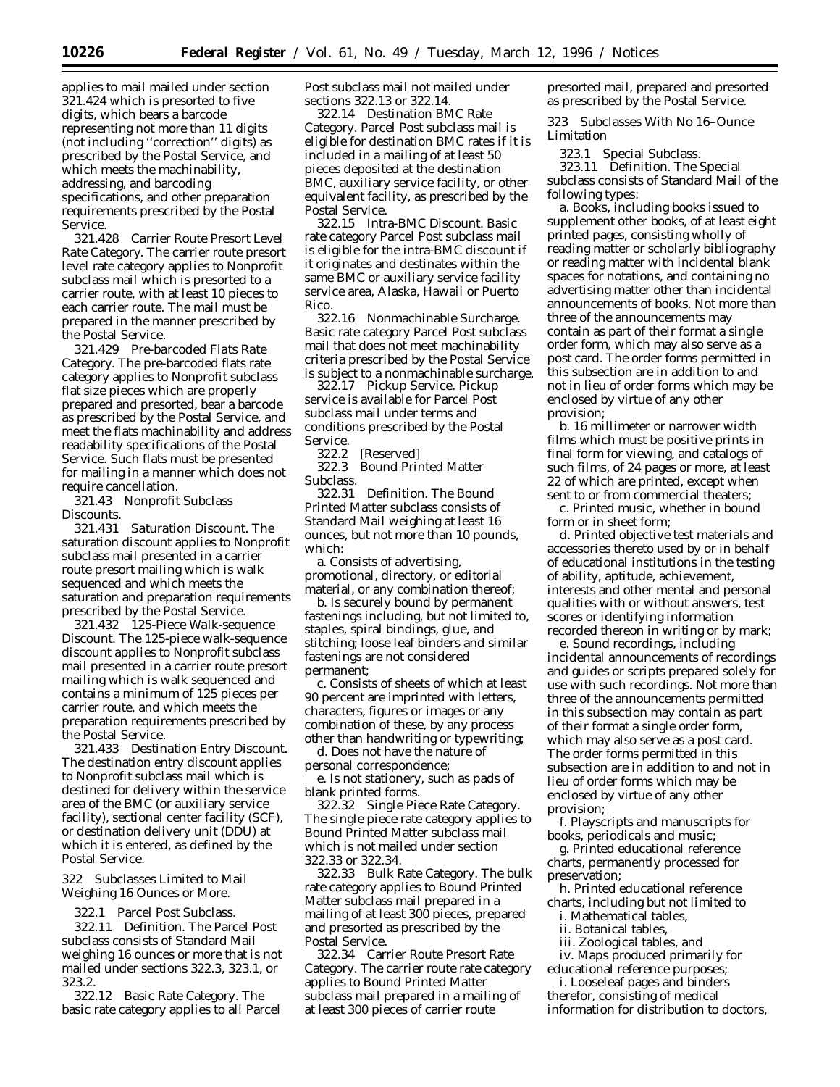applies to mail mailed under section 321.424 which is presorted to five digits, which bears a barcode representing not more than 11 digits (not including ''correction'' digits) as prescribed by the Postal Service, and which meets the machinability, addressing, and barcoding specifications, and other preparation requirements prescribed by the Postal Service.

321.428 *Carrier Route Presort Level Rate Category*. The carrier route presort level rate category applies to Nonprofit subclass mail which is presorted to a carrier route, with at least 10 pieces to each carrier route. The mail must be prepared in the manner prescribed by the Postal Service.

321.429 *Pre-barcoded Flats Rate Category*. The pre-barcoded flats rate category applies to Nonprofit subclass flat size pieces which are properly prepared and presorted, bear a barcode as prescribed by the Postal Service, and meet the flats machinability and address readability specifications of the Postal Service. Such flats must be presented for mailing in a manner which does not require cancellation.

321.43 Nonprofit Subclass Discounts.

321.431 *Saturation Discount*. The saturation discount applies to Nonprofit subclass mail presented in a carrier route presort mailing which is walk sequenced and which meets the saturation and preparation requirements prescribed by the Postal Service.

321.432 *125-Piece Walk-sequence Discount*. The 125-piece walk-sequence discount applies to Nonprofit subclass mail presented in a carrier route presort mailing which is walk sequenced and contains a minimum of 125 pieces per carrier route, and which meets the preparation requirements prescribed by the Postal Service.

321.433 *Destination Entry Discount*. The destination entry discount applies to Nonprofit subclass mail which is destined for delivery within the service area of the BMC (or auxiliary service facility), sectional center facility (SCF), or destination delivery unit (DDU) at which it is entered, as defined by the Postal Service.

322 Subclasses Limited to Mail Weighing 16 Ounces or More.

322.1 Parcel Post Subclass.

322.11 Definition. The Parcel Post subclass consists of Standard Mail weighing 16 ounces or more that is not mailed under sections 322.3, 323.1, or 323.2.

322.12 Basic Rate Category. The basic rate category applies to all Parcel Post subclass mail not mailed under sections 322.13 or 322.14.

322.14 Destination BMC Rate Category. Parcel Post subclass mail is eligible for destination BMC rates if it is included in a mailing of at least 50 pieces deposited at the destination BMC, auxiliary service facility, or other equivalent facility, as prescribed by the Postal Service.

322.15 Intra-BMC Discount. Basic rate category Parcel Post subclass mail is eligible for the intra-BMC discount if it originates and destinates within the same BMC or auxiliary service facility service area, Alaska, Hawaii or Puerto Rico.

322.16 Nonmachinable Surcharge. Basic rate category Parcel Post subclass mail that does not meet machinability criteria prescribed by the Postal Service is subject to a nonmachinable surcharge.

322.17 Pickup Service. Pickup service is available for Parcel Post subclass mail under terms and conditions prescribed by the Postal Service.

322.2 [Reserved]<br>322.3 Bound Prin

**Bound Printed Matter** Subclass.

322.31 Definition. The Bound Printed Matter subclass consists of Standard Mail weighing at least 16 ounces, but not more than 10 pounds, which:

a. Consists of advertising, promotional, directory, or editorial material, or any combination thereof;

b. Is securely bound by permanent fastenings including, but not limited to, staples, spiral bindings, glue, and stitching; loose leaf binders and similar fastenings are not considered permanent;

c. Consists of sheets of which at least 90 percent are imprinted with letters, characters, figures or images or any combination of these, by any process other than handwriting or typewriting;

d. Does not have the nature of personal correspondence;

e. Is not stationery, such as pads of blank printed forms.

322.32 Single Piece Rate Category. The single piece rate category applies to Bound Printed Matter subclass mail which is not mailed under section 322.33 or 322.34.

322.33 Bulk Rate Category. The bulk rate category applies to Bound Printed Matter subclass mail prepared in a mailing of at least 300 pieces, prepared and presorted as prescribed by the Postal Service.

322.34 Carrier Route Presort Rate Category. The carrier route rate category applies to Bound Printed Matter subclass mail prepared in a mailing of at least 300 pieces of carrier route

presorted mail, prepared and presorted as prescribed by the Postal Service.

323 Subclasses With No 16–Ounce Limitation

323.1 Special Subclass.

323.11 Definition. The Special subclass consists of Standard Mail of the following types:

a. Books, including books issued to supplement other books, of at least eight printed pages, consisting wholly of reading matter or scholarly bibliography or reading matter with incidental blank spaces for notations, and containing no advertising matter other than incidental announcements of books. Not more than three of the announcements may contain as part of their format a single order form, which may also serve as a post card. The order forms permitted in this subsection are in addition to and not in lieu of order forms which may be enclosed by virtue of any other provision;

b. 16 millimeter or narrower width films which must be positive prints in final form for viewing, and catalogs of such films, of 24 pages or more, at least 22 of which are printed, except when sent to or from commercial theaters;

c. Printed music, whether in bound form or in sheet form;

d. Printed objective test materials and accessories thereto used by or in behalf of educational institutions in the testing of ability, aptitude, achievement, interests and other mental and personal qualities with or without answers, test scores or identifying information recorded thereon in writing or by mark;

e. Sound recordings, including incidental announcements of recordings and guides or scripts prepared solely for use with such recordings. Not more than three of the announcements permitted in this subsection may contain as part of their format a single order form, which may also serve as a post card. The order forms permitted in this subsection are in addition to and not in lieu of order forms which may be enclosed by virtue of any other provision;

f. Playscripts and manuscripts for books, periodicals and music;

g. Printed educational reference charts, permanently processed for preservation;

h. Printed educational reference charts, including but not limited to

i. Mathematical tables,

- ii. Botanical tables,
- iii. Zoological tables, and

iv. Maps produced primarily for educational reference purposes;

i. Looseleaf pages and binders therefor, consisting of medical information for distribution to doctors,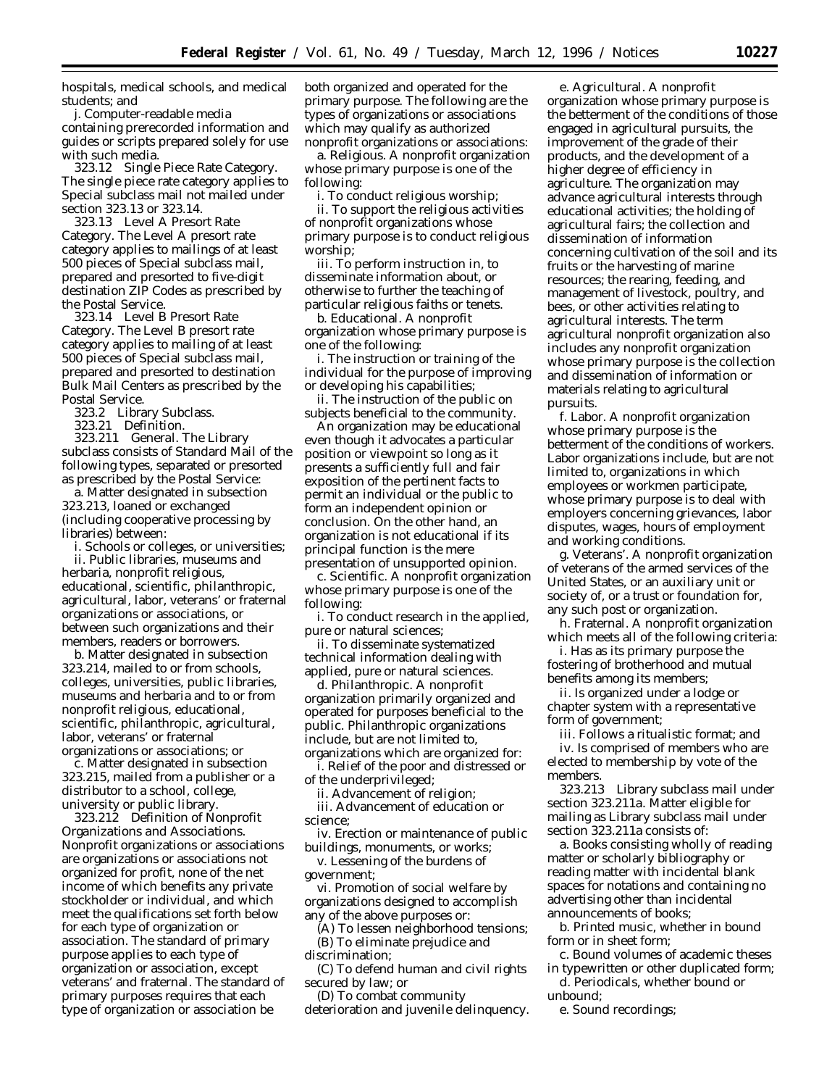hospitals, medical schools, and medical students; and

j. Computer-readable media containing prerecorded information and guides or scripts prepared solely for use with such media.

323.12 Single Piece Rate Category. The single piece rate category applies to Special subclass mail not mailed under section 323.13 or 323.14.

323.13 Level A Presort Rate Category. The Level A presort rate category applies to mailings of at least 500 pieces of Special subclass mail, prepared and presorted to five-digit destination ZIP Codes as prescribed by the Postal Service.

323.14 Level B Presort Rate Category. The Level B presort rate category applies to mailing of at least 500 pieces of Special subclass mail, prepared and presorted to destination Bulk Mail Centers as prescribed by the Postal Service.

323.2 Library Subclass.

323.21 Definition.

323.211 *General*. The Library subclass consists of Standard Mail of the following types, separated or presorted as prescribed by the Postal Service:

a. Matter designated in subsection 323.213, loaned or exchanged (including cooperative processing by libraries) between:

i. Schools or colleges, or universities;

ii. Public libraries, museums and herbaria, nonprofit religious, educational, scientific, philanthropic, agricultural, labor, veterans' or fraternal organizations or associations, or between such organizations and their members, readers or borrowers.

b. Matter designated in subsection 323.214, mailed to or from schools, colleges, universities, public libraries, museums and herbaria and to or from nonprofit religious, educational, scientific, philanthropic, agricultural, labor, veterans' or fraternal organizations or associations; or

c. Matter designated in subsection 323.215, mailed from a publisher or a distributor to a school, college, university or public library.

323.212 *Definition of Nonprofit Organizations and Associations.* Nonprofit organizations or associations are organizations or associations not organized for profit, none of the net income of which benefits any private stockholder or individual, and which meet the qualifications set forth below for each type of organization or association. The standard of primary purpose applies to each type of organization or association, except veterans' and fraternal. The standard of primary purposes requires that each type of organization or association be

both organized and operated for the primary purpose. The following are the types of organizations or associations which may qualify as authorized nonprofit organizations or associations:

a. Religious. A nonprofit organization whose primary purpose is one of the following:

i. To conduct religious worship;

ii. To support the religious activities of nonprofit organizations whose primary purpose is to conduct religious worship;

iii. To perform instruction in, to disseminate information about, or otherwise to further the teaching of particular religious faiths or tenets.

b. Educational. A nonprofit organization whose primary purpose is one of the following:

i. The instruction or training of the individual for the purpose of improving or developing his capabilities;

ii. The instruction of the public on subjects beneficial to the community.

An organization may be educational even though it advocates a particular position or viewpoint so long as it presents a sufficiently full and fair exposition of the pertinent facts to permit an individual or the public to form an independent opinion or conclusion. On the other hand, an organization is not educational if its principal function is the mere presentation of unsupported opinion.

c. Scientific. A nonprofit organization whose primary purpose is one of the following:

i. To conduct research in the applied, pure or natural sciences;

ii. To disseminate systematized technical information dealing with applied, pure or natural sciences.

d. Philanthropic. A nonprofit organization primarily organized and operated for purposes beneficial to the public. Philanthropic organizations include, but are not limited to, organizations which are organized for:

i. Relief of the poor and distressed or of the underprivileged;

ii. Advancement of religion;

iii. Advancement of education or science;

iv. Erection or maintenance of public buildings, monuments, or works;

v. Lessening of the burdens of government;

vi. Promotion of social welfare by organizations designed to accomplish any of the above purposes or:

(A) To lessen neighborhood tensions; (B) To eliminate prejudice and discrimination;

(C) To defend human and civil rights secured by law; or

(D) To combat community deterioration and juvenile delinquency.

e. Agricultural. A nonprofit organization whose primary purpose is the betterment of the conditions of those engaged in agricultural pursuits, the improvement of the grade of their products, and the development of a higher degree of efficiency in agriculture. The organization may advance agricultural interests through educational activities; the holding of agricultural fairs; the collection and dissemination of information concerning cultivation of the soil and its fruits or the harvesting of marine resources; the rearing, feeding, and management of livestock, poultry, and bees, or other activities relating to agricultural interests. The term agricultural nonprofit organization also includes any nonprofit organization whose primary purpose is the collection and dissemination of information or materials relating to agricultural pursuits.

f. Labor. A nonprofit organization whose primary purpose is the betterment of the conditions of workers. Labor organizations include, but are not limited to, organizations in which employees or workmen participate, whose primary purpose is to deal with employers concerning grievances, labor disputes, wages, hours of employment and working conditions.

g. Veterans'. A nonprofit organization of veterans of the armed services of the United States, or an auxiliary unit or society of, or a trust or foundation for, any such post or organization.

h. Fraternal. A nonprofit organization which meets all of the following criteria:

i. Has as its primary purpose the fostering of brotherhood and mutual benefits among its members;

ii. Is organized under a lodge or chapter system with a representative form of government;

iii. Follows a ritualistic format; and iv. Is comprised of members who are elected to membership by vote of the members.

323.213 *Library subclass mail under section 323.211a.* Matter eligible for mailing as Library subclass mail under section 323.211a consists of:

a. Books consisting wholly of reading matter or scholarly bibliography or reading matter with incidental blank spaces for notations and containing no advertising other than incidental announcements of books;

b. Printed music, whether in bound form or in sheet form;

c. Bound volumes of academic theses in typewritten or other duplicated form;

d. Periodicals, whether bound or unbound;

e. Sound recordings;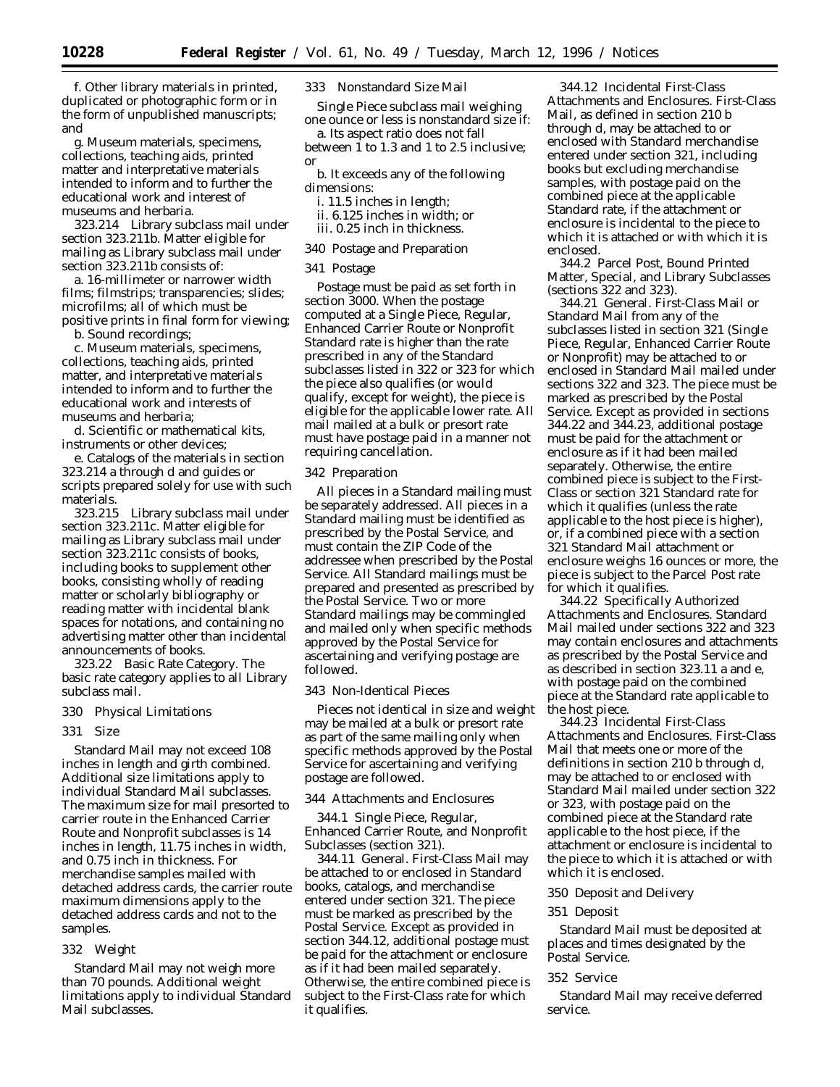f. Other library materials in printed, duplicated or photographic form or in the form of unpublished manuscripts; and

g. Museum materials, specimens, collections, teaching aids, printed matter and interpretative materials intended to inform and to further the educational work and interest of museums and herbaria.

323.214 *Library subclass mail under section 323.211b.* Matter eligible for mailing as Library subclass mail under section 323.211b consists of:

a. 16-millimeter or narrower width films; filmstrips; transparencies; slides; microfilms; all of which must be positive prints in final form for viewing;

b. Sound recordings;

c. Museum materials, specimens, collections, teaching aids, printed matter, and interpretative materials intended to inform and to further the educational work and interests of museums and herbaria;

d. Scientific or mathematical kits, instruments or other devices;

e. Catalogs of the materials in section 323.214 a through d and guides or scripts prepared solely for use with such materials.

323.215 *Library subclass mail under section 323.211c.* Matter eligible for mailing as Library subclass mail under section 323.211c consists of books, including books to supplement other books, consisting wholly of reading matter or scholarly bibliography or reading matter with incidental blank spaces for notations, and containing no advertising matter other than incidental announcements of books.

323.22 Basic Rate Category. The basic rate category applies to all Library subclass mail.

- 330 Physical Limitations
- 331 Size

Standard Mail may not exceed 108 inches in length and girth combined. Additional size limitations apply to individual Standard Mail subclasses. The maximum size for mail presorted to carrier route in the Enhanced Carrier Route and Nonprofit subclasses is 14 inches in length, 11.75 inches in width, and 0.75 inch in thickness. For merchandise samples mailed with detached address cards, the carrier route maximum dimensions apply to the detached address cards and not to the samples.

#### 332 Weight

Standard Mail may not weigh more than 70 pounds. Additional weight limitations apply to individual Standard Mail subclasses.

333 Nonstandard Size Mail

Single Piece subclass mail weighing one ounce or less is nonstandard size if:

a. Its aspect ratio does not fall between 1 to 1.3 and 1 to 2.5 inclusive; or

b. It exceeds any of the following dimensions:

i. 11.5 inches in length;

- ii. 6.125 inches in width; or
- iii. 0.25 inch in thickness.

#### 340 Postage and Preparation

#### 341 Postage

Postage must be paid as set forth in section 3000. When the postage computed at a Single Piece, Regular, Enhanced Carrier Route or Nonprofit Standard rate is higher than the rate prescribed in any of the Standard subclasses listed in 322 or 323 for which the piece also qualifies (or would qualify, except for weight), the piece is eligible for the applicable lower rate. All mail mailed at a bulk or presort rate must have postage paid in a manner not requiring cancellation.

#### 342 Preparation

All pieces in a Standard mailing must be separately addressed. All pieces in a Standard mailing must be identified as prescribed by the Postal Service, and must contain the ZIP Code of the addressee when prescribed by the Postal Service. All Standard mailings must be prepared and presented as prescribed by the Postal Service. Two or more Standard mailings may be commingled and mailed only when specific methods approved by the Postal Service for ascertaining and verifying postage are followed.

#### 343 Non-Identical Pieces

Pieces not identical in size and weight may be mailed at a bulk or presort rate as part of the same mailing only when specific methods approved by the Postal Service for ascertaining and verifying postage are followed.

#### 344 Attachments and Enclosures

344.1 Single Piece, Regular, Enhanced Carrier Route, and Nonprofit Subclasses (section 321).

344.11 General. First-Class Mail may be attached to or enclosed in Standard books, catalogs, and merchandise entered under section 321. The piece must be marked as prescribed by the Postal Service. Except as provided in section 344.12, additional postage must be paid for the attachment or enclosure as if it had been mailed separately. Otherwise, the entire combined piece is subject to the First-Class rate for which it qualifies.

344.12 Incidental First-Class Attachments and Enclosures. First-Class Mail, as defined in section 210 b through d, may be attached to or enclosed with Standard merchandise entered under section 321, including books but excluding merchandise samples, with postage paid on the combined piece at the applicable Standard rate, if the attachment or enclosure is incidental to the piece to which it is attached or with which it is enclosed.

344.2 Parcel Post, Bound Printed Matter, Special, and Library Subclasses (sections 322 and 323).

344.21 General. First-Class Mail or Standard Mail from any of the subclasses listed in section 321 (Single Piece, Regular, Enhanced Carrier Route or Nonprofit) may be attached to or enclosed in Standard Mail mailed under sections 322 and 323. The piece must be marked as prescribed by the Postal Service. Except as provided in sections 344.22 and 344.23, additional postage must be paid for the attachment or enclosure as if it had been mailed separately. Otherwise, the entire combined piece is subject to the First-Class or section 321 Standard rate for which it qualifies (unless the rate applicable to the host piece is higher), or, if a combined piece with a section 321 Standard Mail attachment or enclosure weighs 16 ounces or more, the piece is subject to the Parcel Post rate for which it qualifies.

344.22 Specifically Authorized Attachments and Enclosures. Standard Mail mailed under sections 322 and 323 may contain enclosures and attachments as prescribed by the Postal Service and as described in section 323.11 a and e, with postage paid on the combined piece at the Standard rate applicable to the host piece.

344.23 Incidental First-Class Attachments and Enclosures. First-Class Mail that meets one or more of the definitions in section 210 b through d, may be attached to or enclosed with Standard Mail mailed under section 322 or 323, with postage paid on the combined piece at the Standard rate applicable to the host piece, if the attachment or enclosure is incidental to the piece to which it is attached or with which it is enclosed.

#### 350 Deposit and Delivery

#### 351 Deposit

Standard Mail must be deposited at places and times designated by the Postal Service.

#### 352 Service

Standard Mail may receive deferred service.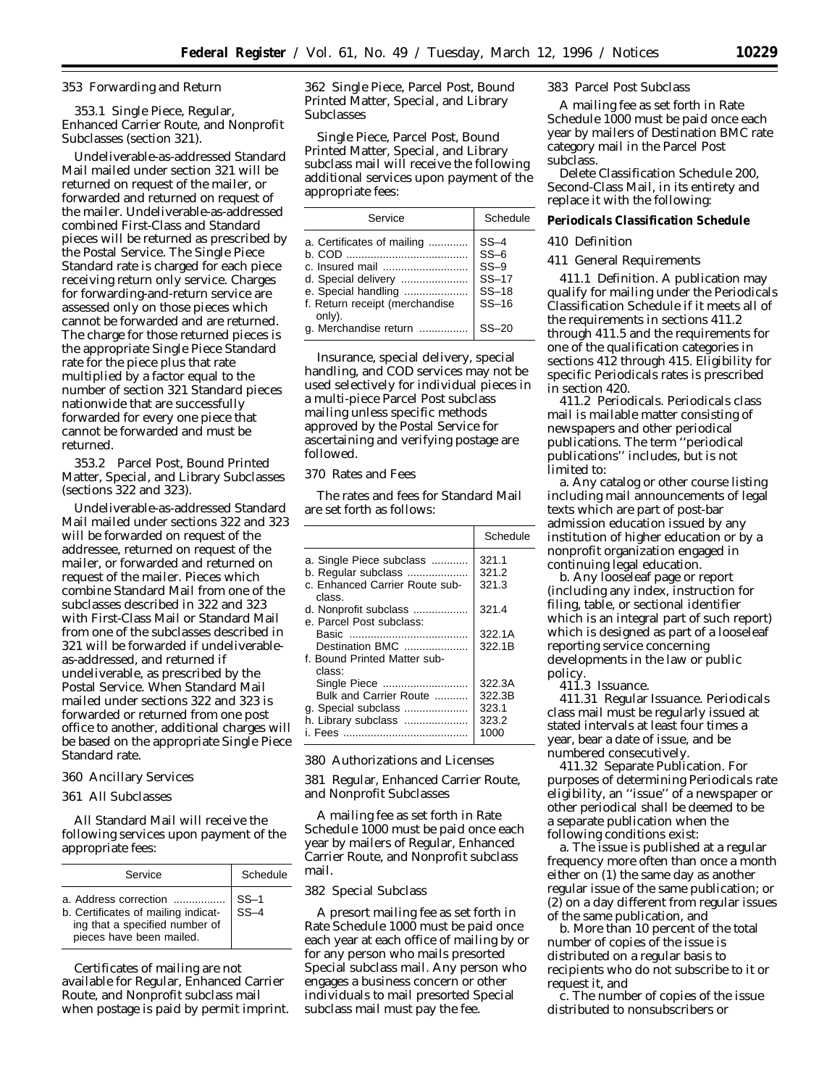#### 353 Forwarding and Return

353.1 Single Piece, Regular, Enhanced Carrier Route, and Nonprofit Subclasses (section 321).

Undeliverable-as-addressed Standard Mail mailed under section 321 will be returned on request of the mailer, or forwarded and returned on request of the mailer. Undeliverable-as-addressed combined First-Class and Standard pieces will be returned as prescribed by the Postal Service. The Single Piece Standard rate is charged for each piece receiving return only service. Charges for forwarding-and-return service are assessed only on those pieces which cannot be forwarded and are returned. The charge for those returned pieces is the appropriate Single Piece Standard rate for the piece plus that rate multiplied by a factor equal to the number of section 321 Standard pieces nationwide that are successfully forwarded for every one piece that cannot be forwarded and must be returned.

353.2 Parcel Post, Bound Printed Matter, Special, and Library Subclasses (sections 322 and 323).

Undeliverable-as-addressed Standard Mail mailed under sections 322 and 323 will be forwarded on request of the addressee, returned on request of the mailer, or forwarded and returned on request of the mailer. Pieces which combine Standard Mail from one of the subclasses described in 322 and 323 with First-Class Mail or Standard Mail from one of the subclasses described in 321 will be forwarded if undeliverableas-addressed, and returned if undeliverable, as prescribed by the Postal Service. When Standard Mail mailed under sections 322 and 323 is forwarded or returned from one post office to another, additional charges will be based on the appropriate Single Piece Standard rate.

#### 360 Ancillary Services

361 All Subclasses

All Standard Mail will receive the following services upon payment of the appropriate fees:

| Service                                                                                                                    | Schedule         |
|----------------------------------------------------------------------------------------------------------------------------|------------------|
| a. Address correction<br>b. Certificates of mailing indicat-<br>ing that a specified number of<br>pieces have been mailed. | $SS-1$<br>$SS-4$ |

Certificates of mailing are not available for Regular, Enhanced Carrier Route, and Nonprofit subclass mail when postage is paid by permit imprint. 362 Single Piece, Parcel Post, Bound Printed Matter, Special, and Library Subclasses

Single Piece, Parcel Post, Bound Printed Matter, Special, and Library subclass mail will receive the following additional services upon payment of the appropriate fees:

| Service                                                                                                                                       | Schedule                                                                 |
|-----------------------------------------------------------------------------------------------------------------------------------------------|--------------------------------------------------------------------------|
| a. Certificates of mailing<br>d. Special delivery<br>e. Special handling<br>f. Return receipt (merchandise<br>only).<br>g. Merchandise return | $SS-4$<br>$SS-6$<br>$SS-9$<br>$SS-17$<br>$SS-18$<br>$SS-16$<br>$SS - 20$ |

Insurance, special delivery, special handling, and COD services may not be used selectively for individual pieces in a multi-piece Parcel Post subclass mailing unless specific methods approved by the Postal Service for ascertaining and verifying postage are followed.

# 370 Rates and Fees

The rates and fees for Standard Mail are set forth as follows:

|                                          | Schedule |
|------------------------------------------|----------|
| a. Single Piece subclass                 | 321.1    |
| b. Regular subclass                      | 321.2    |
| c. Enhanced Carrier Route sub-<br>class. | 321.3    |
| d. Nonprofit subclass                    | 321.4    |
| e. Parcel Post subclass:                 |          |
|                                          | 322.1A   |
| Destination BMC                          | 322.1B   |
| f. Bound Printed Matter sub-<br>class:   |          |
| Single Piece                             | 322.3A   |
| Bulk and Carrier Route                   | 322.3B   |
| g. Special subclass                      | 323.1    |
| h. Library subclass                      | 323.2    |
|                                          | 1000     |

380 Authorizations and Licenses

381 Regular, Enhanced Carrier Route, and Nonprofit Subclasses

A mailing fee as set forth in Rate Schedule 1000 must be paid once each year by mailers of Regular, Enhanced Carrier Route, and Nonprofit subclass mail.

## 382 Special Subclass

A presort mailing fee as set forth in Rate Schedule 1000 must be paid once each year at each office of mailing by or for any person who mails presorted Special subclass mail. Any person who engages a business concern or other individuals to mail presorted Special subclass mail must pay the fee.

383 Parcel Post Subclass

A mailing fee as set forth in Rate Schedule 1000 must be paid once each year by mailers of Destination BMC rate category mail in the Parcel Post subclass.

Delete Classification Schedule 200, Second-Class Mail, in its entirety and replace it with the following:

**Periodicals Classification Schedule**

#### 410 Definition

411 General Requirements

411.1 Definition. A publication may qualify for mailing under the Periodicals Classification Schedule if it meets all of the requirements in sections 411.2 through 411.5 and the requirements for one of the qualification categories in sections 412 through 415. Eligibility for specific Periodicals rates is prescribed in section 420.

411.2 Periodicals. Periodicals class mail is mailable matter consisting of newspapers and other periodical publications. The term ''periodical publications'' includes, but is not limited to:

a. Any catalog or other course listing including mail announcements of legal texts which are part of post-bar admission education issued by any institution of higher education or by a nonprofit organization engaged in continuing legal education.

b. Any looseleaf page or report (including any index, instruction for filing, table, or sectional identifier which is an integral part of such report) which is designed as part of a looseleaf reporting service concerning developments in the law or public policy.

411.3 Issuance.

411.31 Regular Issuance. Periodicals class mail must be regularly issued at stated intervals at least four times a year, bear a date of issue, and be numbered consecutively.

411.32 Separate Publication. For purposes of determining Periodicals rate eligibility, an ''issue'' of a newspaper or other periodical shall be deemed to be a separate publication when the following conditions exist:

a. The issue is published at a regular frequency more often than once a month either on (1) the same day as another regular issue of the same publication; or (2) on a day different from regular issues of the same publication, and

b. More than 10 percent of the total number of copies of the issue is distributed on a regular basis to recipients who do not subscribe to it or request it, and

c. The number of copies of the issue distributed to nonsubscribers or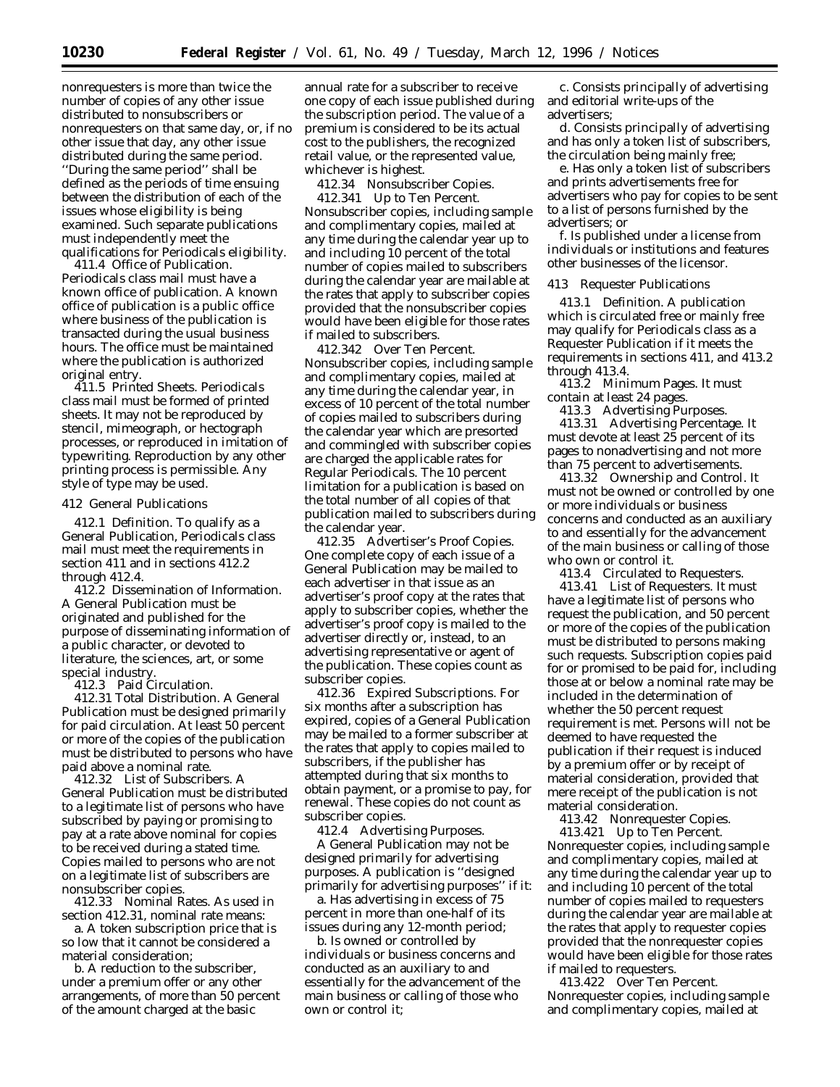nonrequesters is more than twice the number of copies of any other issue distributed to nonsubscribers or nonrequesters on that same day, or, if no other issue that day, any other issue distributed during the same period. ''During the same period'' shall be defined as the periods of time ensuing between the distribution of each of the issues whose eligibility is being examined. Such separate publications must independently meet the qualifications for Periodicals eligibility.

411.4 Office of Publication. Periodicals class mail must have a known office of publication. A known office of publication is a public office where business of the publication is transacted during the usual business hours. The office must be maintained where the publication is authorized original entry.

411.5 Printed Sheets. Periodicals class mail must be formed of printed sheets. It may not be reproduced by stencil, mimeograph, or hectograph processes, or reproduced in imitation of typewriting. Reproduction by any other printing process is permissible. Any style of type may be used.

#### 412 General Publications

412.1 Definition. To qualify as a General Publication, Periodicals class mail must meet the requirements in section 411 and in sections 412.2 through 412.4.

412.2 Dissemination of Information. A General Publication must be originated and published for the purpose of disseminating information of a public character, or devoted to literature, the sciences, art, or some special industry.

412.3 Paid Circulation.

412.31 Total Distribution. A General Publication must be designed primarily for paid circulation. At least 50 percent or more of the copies of the publication must be distributed to persons who have paid above a nominal rate.

412.32 List of Subscribers. A General Publication must be distributed to a legitimate list of persons who have subscribed by paying or promising to pay at a rate above nominal for copies to be received during a stated time. Copies mailed to persons who are not on a legitimate list of subscribers are nonsubscriber copies.

412.33 Nominal Rates. As used in section 412.31, nominal rate means:

a. A token subscription price that is so low that it cannot be considered a material consideration;

b. A reduction to the subscriber, under a premium offer or any other arrangements, of more than 50 percent of the amount charged at the basic

annual rate for a subscriber to receive one copy of each issue published during the subscription period. The value of a premium is considered to be its actual cost to the publishers, the recognized retail value, or the represented value, whichever is highest.

412.34 Nonsubscriber Copies.

412.341 *Up to Ten Percent.* Nonsubscriber copies, including sample and complimentary copies, mailed at any time during the calendar year up to and including 10 percent of the total number of copies mailed to subscribers during the calendar year are mailable at the rates that apply to subscriber copies provided that the nonsubscriber copies would have been eligible for those rates if mailed to subscribers.

412.342 *Over Ten Percent.* Nonsubscriber copies, including sample and complimentary copies, mailed at any time during the calendar year, in excess of 10 percent of the total number of copies mailed to subscribers during the calendar year which are presorted and commingled with subscriber copies are charged the applicable rates for Regular Periodicals. The 10 percent limitation for a publication is based on the total number of all copies of that publication mailed to subscribers during the calendar year.

412.35 Advertiser's Proof Copies. One complete copy of each issue of a General Publication may be mailed to each advertiser in that issue as an advertiser's proof copy at the rates that apply to subscriber copies, whether the advertiser's proof copy is mailed to the advertiser directly or, instead, to an advertising representative or agent of the publication. These copies count as subscriber copies.

412.36 Expired Subscriptions. For six months after a subscription has expired, copies of a General Publication may be mailed to a former subscriber at the rates that apply to copies mailed to subscribers, if the publisher has attempted during that six months to obtain payment, or a promise to pay, for renewal. These copies do not count as subscriber copies.

412.4 Advertising Purposes.

A General Publication may not be designed primarily for advertising purposes. A publication is ''designed primarily for advertising purposes'' if it:

a. Has advertising in excess of 75 percent in more than one-half of its issues during any 12-month period;

b. Is owned or controlled by individuals or business concerns and conducted as an auxiliary to and essentially for the advancement of the main business or calling of those who own or control it;

c. Consists principally of advertising and editorial write-ups of the advertisers;

d. Consists principally of advertising and has only a token list of subscribers, the circulation being mainly free;

e. Has only a token list of subscribers and prints advertisements free for advertisers who pay for copies to be sent to a list of persons furnished by the advertisers; or

f. Is published under a license from individuals or institutions and features other businesses of the licensor.

413 Requester Publications

413.1 Definition. A publication which is circulated free or mainly free may qualify for Periodicals class as a Requester Publication if it meets the requirements in sections 411, and 413.2 through 413.4.

413.2 Minimum Pages. It must contain at least 24 pages.

413.3 Advertising Purposes. 413.31 Advertising Percentage. It must devote at least 25 percent of its pages to nonadvertising and not more than 75 percent to advertisements.

413.32 Ownership and Control. It must not be owned or controlled by one or more individuals or business concerns and conducted as an auxiliary to and essentially for the advancement of the main business or calling of those who own or control it.

413.4 Circulated to Requesters.

413.41 List of Requesters. It must have a legitimate list of persons who request the publication, and 50 percent or more of the copies of the publication must be distributed to persons making such requests. Subscription copies paid for or promised to be paid for, including those at or below a nominal rate may be included in the determination of whether the 50 percent request requirement is met. Persons will not be deemed to have requested the publication if their request is induced by a premium offer or by receipt of material consideration, provided that mere receipt of the publication is not material consideration.

413.42 Nonrequester Copies. 413.421 *Up to Ten Percent.* Nonrequester copies, including sample and complimentary copies, mailed at any time during the calendar year up to and including 10 percent of the total number of copies mailed to requesters during the calendar year are mailable at the rates that apply to requester copies provided that the nonrequester copies would have been eligible for those rates if mailed to requesters.

413.422 *Over Ten Percent.* Nonrequester copies, including sample and complimentary copies, mailed at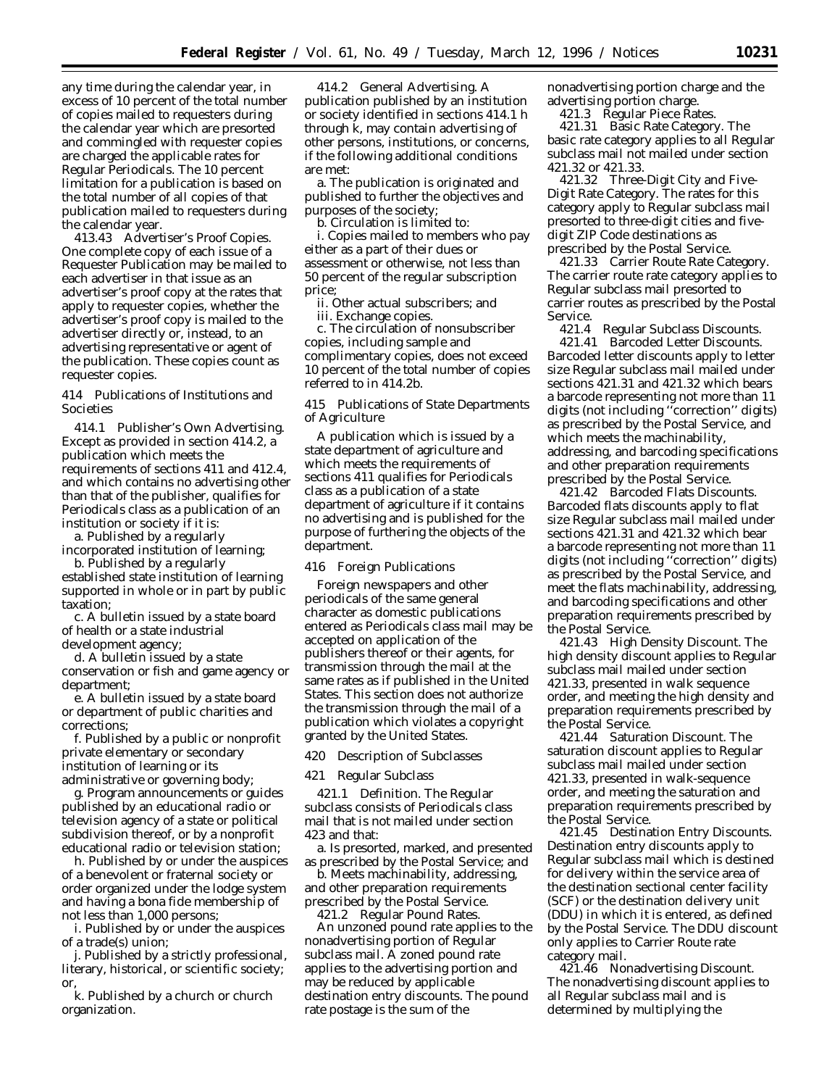any time during the calendar year, in excess of 10 percent of the total number of copies mailed to requesters during the calendar year which are presorted and commingled with requester copies are charged the applicable rates for Regular Periodicals. The 10 percent limitation for a publication is based on the total number of all copies of that publication mailed to requesters during the calendar year.

413.43 Advertiser's Proof Copies. One complete copy of each issue of a Requester Publication may be mailed to each advertiser in that issue as an advertiser's proof copy at the rates that apply to requester copies, whether the advertiser's proof copy is mailed to the advertiser directly or, instead, to an advertising representative or agent of the publication. These copies count as requester copies.

414 Publications of Institutions and Societies

414.1 Publisher's Own Advertising. Except as provided in section 414.2, a publication which meets the requirements of sections 411 and 412.4, and which contains no advertising other than that of the publisher, qualifies for Periodicals class as a publication of an institution or society if it is:

a. Published by a regularly incorporated institution of learning;

b. Published by a regularly established state institution of learning supported in whole or in part by public taxation;

c. A bulletin issued by a state board of health or a state industrial

development agency;

d. A bulletin issued by a state conservation or fish and game agency or department;

e. A bulletin issued by a state board or department of public charities and corrections;

f. Published by a public or nonprofit private elementary or secondary institution of learning or its administrative or governing body;

g. Program announcements or guides published by an educational radio or television agency of a state or political subdivision thereof, or by a nonprofit educational radio or television station;

h. Published by or under the auspices of a benevolent or fraternal society or order organized under the lodge system and having a bona fide membership of not less than 1,000 persons;

i. Published by or under the auspices of a trade(s) union;

j. Published by a strictly professional, literary, historical, or scientific society; or,

k. Published by a church or church organization.

414.2 General Advertising. A publication published by an institution or society identified in sections 414.1 h through k, may contain advertising of other persons, institutions, or concerns, if the following additional conditions are met:

a. The publication is originated and published to further the objectives and purposes of the society;

b. Circulation is limited to:

i. Copies mailed to members who pay either as a part of their dues or assessment or otherwise, not less than 50 percent of the regular subscription price;

ii. Other actual subscribers; and iii. Exchange copies.

c. The circulation of nonsubscriber copies, including sample and complimentary copies, does not exceed 10 percent of the total number of copies referred to in 414.2b.

415 Publications of State Departments of Agriculture

A publication which is issued by a state department of agriculture and which meets the requirements of sections 411 qualifies for Periodicals class as a publication of a state department of agriculture if it contains no advertising and is published for the purpose of furthering the objects of the department.

416 Foreign Publications

Foreign newspapers and other periodicals of the same general character as domestic publications entered as Periodicals class mail may be accepted on application of the publishers thereof or their agents, for transmission through the mail at the same rates as if published in the United States. This section does not authorize the transmission through the mail of a publication which violates a copyright granted by the United States.

420 Description of Subclasses

421 Regular Subclass

421.1 Definition. The Regular subclass consists of Periodicals class mail that is not mailed under section 423 and that:

a. Is presorted, marked, and presented as prescribed by the Postal Service; and

b. Meets machinability, addressing, and other preparation requirements prescribed by the Postal Service.

421.2 Regular Pound Rates. An unzoned pound rate applies to the nonadvertising portion of Regular subclass mail. A zoned pound rate applies to the advertising portion and may be reduced by applicable destination entry discounts. The pound

rate postage is the sum of the

nonadvertising portion charge and the advertising portion charge.

421.3 Regular Piece Rates.

421.31 Basic Rate Category. The basic rate category applies to all Regular subclass mail not mailed under section 421.32 or 421.33.

421.32 Three-Digit City and Five-Digit Rate Category. The rates for this category apply to Regular subclass mail presorted to three-digit cities and fivedigit ZIP Code destinations as prescribed by the Postal Service.

421.33 Carrier Route Rate Category. The carrier route rate category applies to Regular subclass mail presorted to carrier routes as prescribed by the Postal Service.

421.4 Regular Subclass Discounts.

421.41 Barcoded Letter Discounts. Barcoded letter discounts apply to letter size Regular subclass mail mailed under sections 421.31 and 421.32 which bears a barcode representing not more than 11 digits (not including ''correction'' digits) as prescribed by the Postal Service, and which meets the machinability, addressing, and barcoding specifications and other preparation requirements prescribed by the Postal Service.

421.42 Barcoded Flats Discounts. Barcoded flats discounts apply to flat size Regular subclass mail mailed under sections 421.31 and 421.32 which bear a barcode representing not more than 11 digits (not including ''correction'' digits) as prescribed by the Postal Service, and meet the flats machinability, addressing, and barcoding specifications and other preparation requirements prescribed by the Postal Service.

421.43 High Density Discount. The high density discount applies to Regular subclass mail mailed under section 421.33, presented in walk sequence order, and meeting the high density and preparation requirements prescribed by the Postal Service.

421.44 Saturation Discount. The saturation discount applies to Regular subclass mail mailed under section 421.33, presented in walk-sequence order, and meeting the saturation and preparation requirements prescribed by the Postal Service.

421.45 Destination Entry Discounts. Destination entry discounts apply to Regular subclass mail which is destined for delivery within the service area of the destination sectional center facility (SCF) or the destination delivery unit (DDU) in which it is entered, as defined by the Postal Service. The DDU discount only applies to Carrier Route rate category mail.

421.46 Nonadvertising Discount. The nonadvertising discount applies to all Regular subclass mail and is determined by multiplying the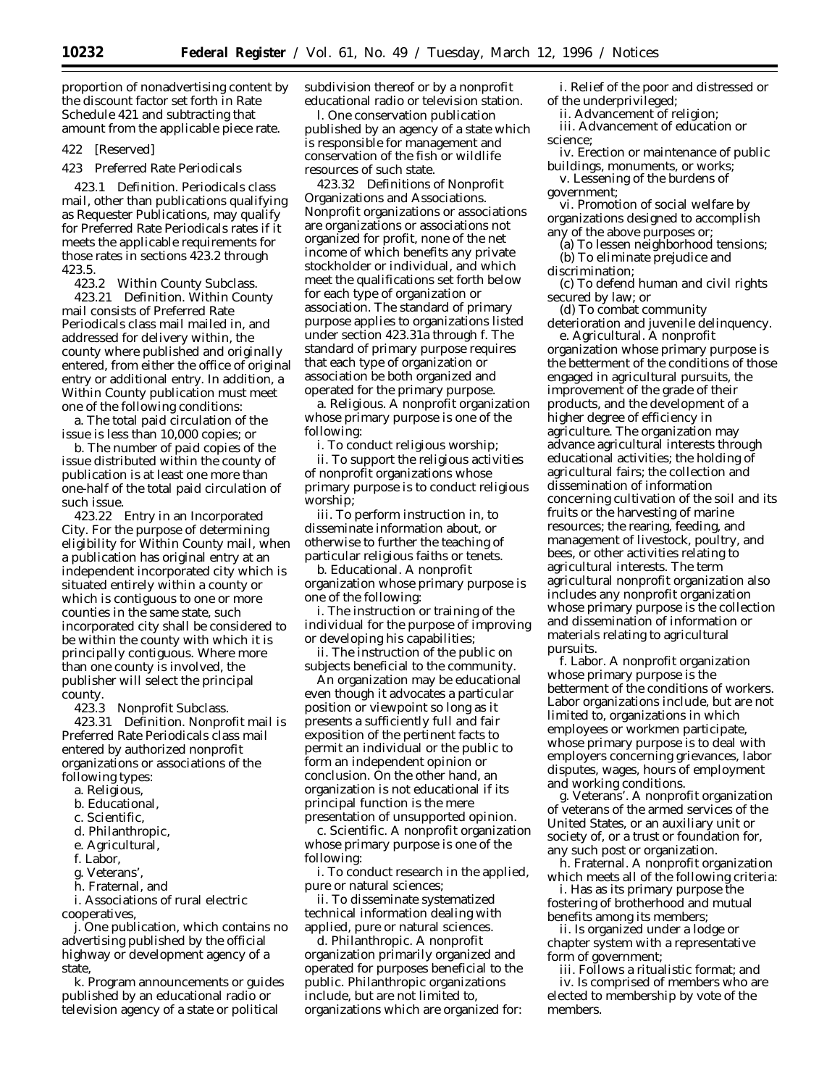proportion of nonadvertising content by the discount factor set forth in Rate Schedule 421 and subtracting that amount from the applicable piece rate.

422 [Reserved]

423 Preferred Rate Periodicals

423.1 Definition. Periodicals class mail, other than publications qualifying as Requester Publications, may qualify for Preferred Rate Periodicals rates if it meets the applicable requirements for those rates in sections 423.2 through 423.5.

423.2 Within County Subclass.

423.21 Definition. Within County mail consists of Preferred Rate Periodicals class mail mailed in, and addressed for delivery within, the county where published and originally entered, from either the office of original entry or additional entry. In addition, a Within County publication must meet one of the following conditions:

a. The total paid circulation of the issue is less than 10,000 copies; or

b. The number of paid copies of the issue distributed within the county of publication is at least one more than one-half of the total paid circulation of such issue.

423.22 Entry in an Incorporated City. For the purpose of determining eligibility for Within County mail, when a publication has original entry at an independent incorporated city which is situated entirely within a county or which is contiguous to one or more counties in the same state, such incorporated city shall be considered to be within the county with which it is principally contiguous. Where more than one county is involved, the publisher will select the principal county.

423.3 Nonprofit Subclass.

423.31 Definition. Nonprofit mail is Preferred Rate Periodicals class mail entered by authorized nonprofit organizations or associations of the following types:

- a. Religious,
- b. Educational,
- c. Scientific,
- d. Philanthropic,
- e. Agricultural,
- f. Labor,
- 
- g. Veterans', h. Fraternal, and

i. Associations of rural electric

cooperatives,

j. One publication, which contains no advertising published by the official highway or development agency of a state,

k. Program announcements or guides published by an educational radio or television agency of a state or political

subdivision thereof or by a nonprofit educational radio or television station.

l. One conservation publication published by an agency of a state which is responsible for management and conservation of the fish or wildlife resources of such state.

423.32 Definitions of Nonprofit Organizations and Associations. Nonprofit organizations or associations are organizations or associations not organized for profit, none of the net income of which benefits any private stockholder or individual, and which meet the qualifications set forth below for each type of organization or association. The standard of primary purpose applies to organizations listed under section 423.31a through f. The standard of primary purpose requires that each type of organization or association be both organized and operated for the primary purpose.

a. Religious. A nonprofit organization whose primary purpose is one of the following:

i. To conduct religious worship;

ii. To support the religious activities of nonprofit organizations whose primary purpose is to conduct religious worship;

iii. To perform instruction in, to disseminate information about, or otherwise to further the teaching of particular religious faiths or tenets.

b. Educational. A nonprofit organization whose primary purpose is one of the following:

i. The instruction or training of the individual for the purpose of improving or developing his capabilities;

ii. The instruction of the public on subjects beneficial to the community.

An organization may be educational even though it advocates a particular position or viewpoint so long as it presents a sufficiently full and fair exposition of the pertinent facts to permit an individual or the public to form an independent opinion or conclusion. On the other hand, an organization is not educational if its principal function is the mere

presentation of unsupported opinion. c. Scientific. A nonprofit organization whose primary purpose is one of the following:

i. To conduct research in the applied, pure or natural sciences;

ii. To disseminate systematized technical information dealing with applied, pure or natural sciences.

d. Philanthropic. A nonprofit organization primarily organized and operated for purposes beneficial to the public. Philanthropic organizations include, but are not limited to, organizations which are organized for:

i. Relief of the poor and distressed or of the underprivileged;

ii. Advancement of religion;

iii. Advancement of education or science;

iv. Erection or maintenance of public buildings, monuments, or works;

v. Lessening of the burdens of government;

vi. Promotion of social welfare by organizations designed to accomplish any of the above purposes or;

(a) To lessen neighborhood tensions; (b) To eliminate prejudice and

discrimination;

(c) To defend human and civil rights secured by law; or

(d) To combat community

deterioration and juvenile delinquency. e. Agricultural. A nonprofit

organization whose primary purpose is the betterment of the conditions of those engaged in agricultural pursuits, the improvement of the grade of their products, and the development of a higher degree of efficiency in agriculture. The organization may advance agricultural interests through educational activities; the holding of agricultural fairs; the collection and dissemination of information concerning cultivation of the soil and its fruits or the harvesting of marine resources; the rearing, feeding, and management of livestock, poultry, and bees, or other activities relating to agricultural interests. The term agricultural nonprofit organization also includes any nonprofit organization whose primary purpose is the collection and dissemination of information or materials relating to agricultural pursuits.

f. Labor. A nonprofit organization whose primary purpose is the betterment of the conditions of workers. Labor organizations include, but are not limited to, organizations in which employees or workmen participate, whose primary purpose is to deal with employers concerning grievances, labor disputes, wages, hours of employment and working conditions.

g. Veterans'. A nonprofit organization of veterans of the armed services of the United States, or an auxiliary unit or society of, or a trust or foundation for, any such post or organization.

h. Fraternal. A nonprofit organization which meets all of the following criteria:

i. Has as its primary purpose the fostering of brotherhood and mutual benefits among its members;

ii. Is organized under a lodge or chapter system with a representative form of government;

iii. Follows a ritualistic format; and iv. Is comprised of members who are elected to membership by vote of the members.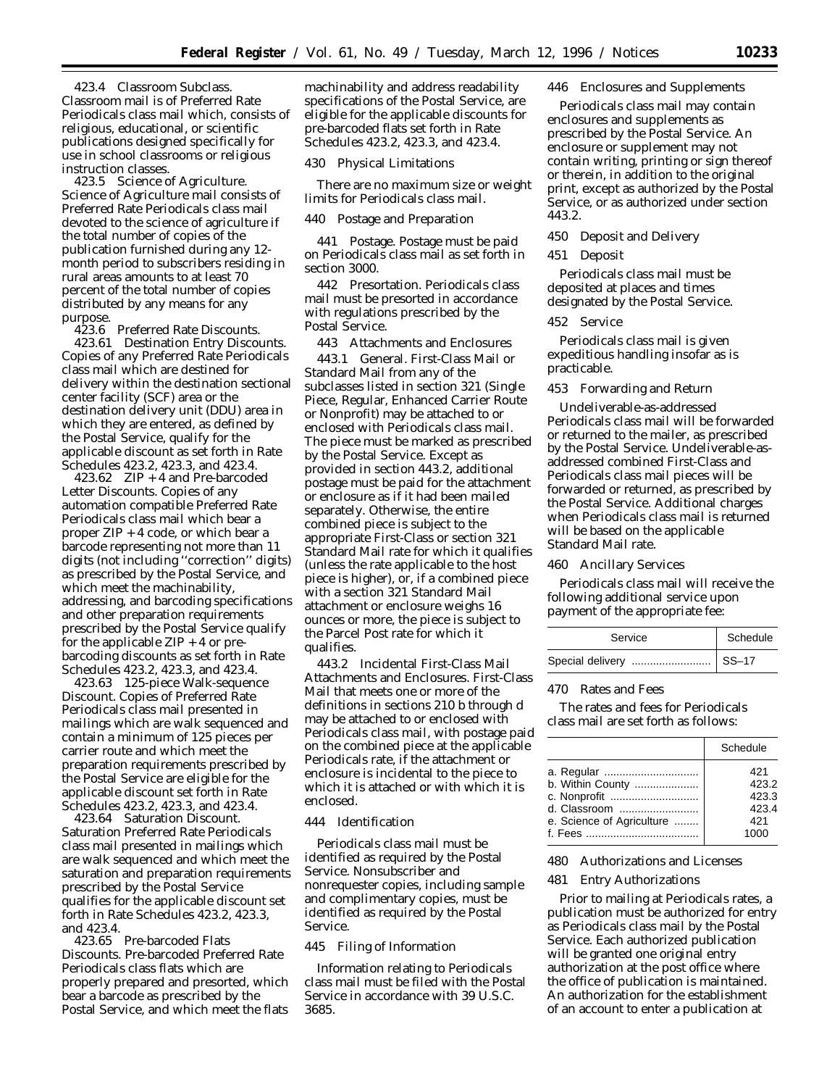423.4 Classroom Subclass. Classroom mail is of Preferred Rate Periodicals class mail which, consists of religious, educational, or scientific publications designed specifically for use in school classrooms or religious instruction classes.

423.5 Science of Agriculture. Science of Agriculture mail consists of Preferred Rate Periodicals class mail devoted to the science of agriculture if the total number of copies of the publication furnished during any 12 month period to subscribers residing in rural areas amounts to at least 70 percent of the total number of copies distributed by any means for any purpose.

423.6 Preferred Rate Discounts.

423.61 Destination Entry Discounts. Copies of any Preferred Rate Periodicals class mail which are destined for delivery within the destination sectional center facility (SCF) area or the destination delivery unit (DDU) area in which they are entered, as defined by the Postal Service, qualify for the applicable discount as set forth in Rate Schedules 423.2, 423.3, and 423.4.

423.62 ZIP + 4 and Pre-barcoded Letter Discounts. Copies of any automation compatible Preferred Rate Periodicals class mail which bear a proper ZIP + 4 code, or which bear a barcode representing not more than 11 digits (not including ''correction'' digits) as prescribed by the Postal Service, and which meet the machinability, addressing, and barcoding specifications and other preparation requirements prescribed by the Postal Service qualify for the applicable  $ZIP + 4$  or prebarcoding discounts as set forth in Rate Schedules 423.2, 423.3, and 423.4.

423.63 125-piece Walk-sequence Discount. Copies of Preferred Rate Periodicals class mail presented in mailings which are walk sequenced and contain a minimum of 125 pieces per carrier route and which meet the preparation requirements prescribed by the Postal Service are eligible for the applicable discount set forth in Rate Schedules 423.2, 423.3, and 423.4.

423.64 Saturation Discount. Saturation Preferred Rate Periodicals class mail presented in mailings which are walk sequenced and which meet the saturation and preparation requirements prescribed by the Postal Service qualifies for the applicable discount set forth in Rate Schedules 423.2, 423.3, and 423.4.

423.65 Pre-barcoded Flats Discounts. Pre-barcoded Preferred Rate Periodicals class flats which are properly prepared and presorted, which bear a barcode as prescribed by the Postal Service, and which meet the flats

machinability and address readability specifications of the Postal Service, are eligible for the applicable discounts for pre-barcoded flats set forth in Rate Schedules 423.2, 423.3, and 423.4.

430 Physical Limitations

There are no maximum size or weight limits for Periodicals class mail.

440 Postage and Preparation

441 Postage. Postage must be paid on Periodicals class mail as set forth in section 3000.

442 Presortation. Periodicals class mail must be presorted in accordance with regulations prescribed by the Postal Service.

443 Attachments and Enclosures

443.1 General. First-Class Mail or Standard Mail from any of the subclasses listed in section 321 (Single Piece, Regular, Enhanced Carrier Route or Nonprofit) may be attached to or enclosed with Periodicals class mail. The piece must be marked as prescribed by the Postal Service. Except as provided in section 443.2, additional postage must be paid for the attachment or enclosure as if it had been mailed separately. Otherwise, the entire combined piece is subject to the appropriate First-Class or section 321 Standard Mail rate for which it qualifies (unless the rate applicable to the host piece is higher), or, if a combined piece with a section 321 Standard Mail attachment or enclosure weighs 16 ounces or more, the piece is subject to the Parcel Post rate for which it qualifies.

443.2 Incidental First-Class Mail Attachments and Enclosures. First-Class Mail that meets one or more of the definitions in sections 210 b through d may be attached to or enclosed with Periodicals class mail, with postage paid on the combined piece at the applicable Periodicals rate, if the attachment or enclosure is incidental to the piece to which it is attached or with which it is enclosed.

#### 444 Identification

Periodicals class mail must be identified as required by the Postal Service. Nonsubscriber and nonrequester copies, including sample and complimentary copies, must be identified as required by the Postal Service.

445 Filing of Information

Information relating to Periodicals class mail must be filed with the Postal Service in accordance with 39 U.S.C. 3685.

#### 446 Enclosures and Supplements

Periodicals class mail may contain enclosures and supplements as prescribed by the Postal Service. An enclosure or supplement may not contain writing, printing or sign thereof or therein, in addition to the original print, except as authorized by the Postal Service, or as authorized under section 443.2.

450 Deposit and Delivery

451 Deposit

Periodicals class mail must be deposited at places and times designated by the Postal Service.

452 Service

Periodicals class mail is given expeditious handling insofar as is practicable.

453 Forwarding and Return

Undeliverable-as-addressed Periodicals class mail will be forwarded or returned to the mailer, as prescribed by the Postal Service. Undeliverable-asaddressed combined First-Class and Periodicals class mail pieces will be forwarded or returned, as prescribed by the Postal Service. Additional charges when Periodicals class mail is returned will be based on the applicable Standard Mail rate.

#### 460 Ancillary Services

Periodicals class mail will receive the following additional service upon payment of the appropriate fee:

| Service                   | Schedule |
|---------------------------|----------|
| Special delivery    SS-17 |          |

#### 470 Rates and Fees

The rates and fees for Periodicals class mail are set forth as follows:

|                           | Schedule |
|---------------------------|----------|
|                           | 421      |
| b. Within County          | 423.2    |
|                           | 423.3    |
| d. Classroom              | 423.4    |
| e. Science of Agriculture | 421      |
|                           | 1000     |

480 Authorizations and Licenses

#### 481 Entry Authorizations

Prior to mailing at Periodicals rates, a publication must be authorized for entry as Periodicals class mail by the Postal Service. Each authorized publication will be granted one original entry authorization at the post office where the office of publication is maintained. An authorization for the establishment of an account to enter a publication at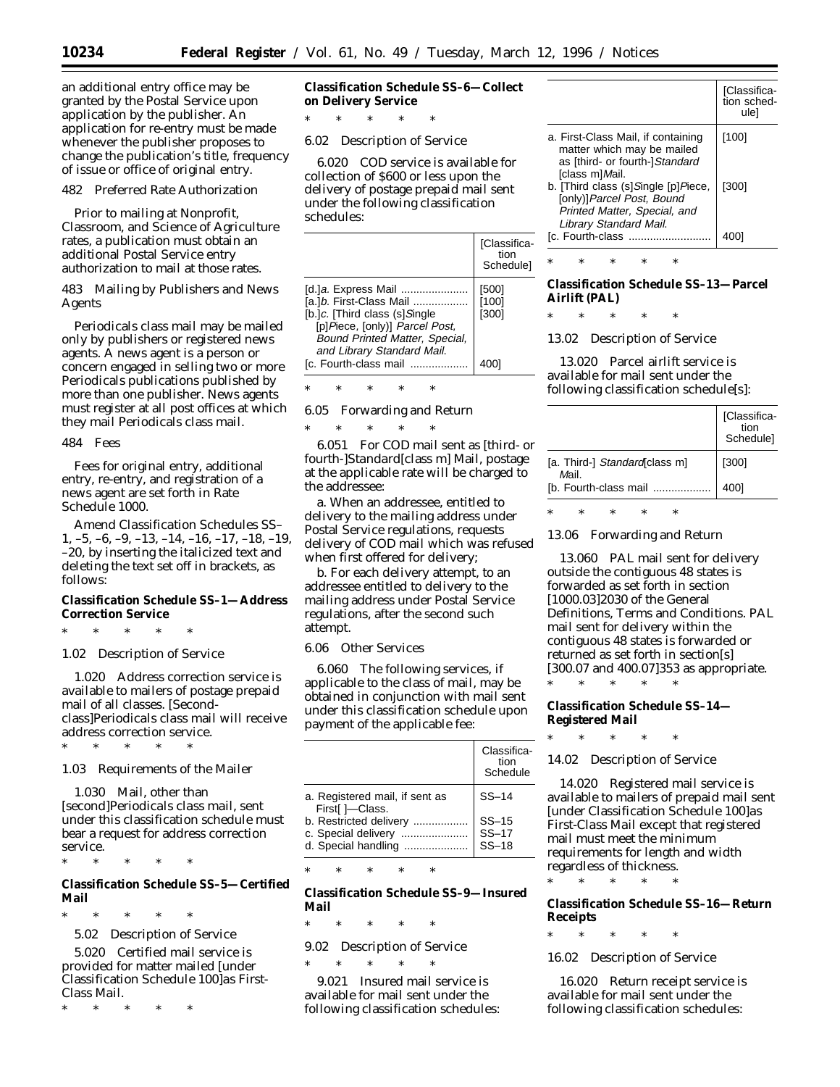an additional entry office may be granted by the Postal Service upon application by the publisher. An application for re-entry must be made whenever the publisher proposes to change the publication's title, frequency of issue or office of original entry.

#### 482 Preferred Rate Authorization

Prior to mailing at Nonprofit, Classroom, and Science of Agriculture rates, a publication must obtain an additional Postal Service entry authorization to mail at those rates.

483 Mailing by Publishers and News Agents

Periodicals class mail may be mailed only by publishers or registered news agents. A news agent is a person or concern engaged in selling two or more Periodicals publications published by more than one publisher. News agents must register at all post offices at which they mail Periodicals class mail.

484 Fees

Fees for original entry, additional entry, re-entry, and registration of a news agent are set forth in Rate Schedule 1000.

*Amend Classification Schedules SS– 1, –5, –6, –9, –13, –14, –16, –17, –18, –19, –20, by* inserting the italicized text and deleting the text set off in brackets, as follows:

**Classification Schedule SS–1—Address Correction Service**

\* \* \* \* \*

1.02 Description of Service

1.020 Address correction service is available to mailers of postage prepaid mail of all classes. [Secondclass]*Periodicals class* mail will receive address correction service.

1.03 Requirements of the Mailer

1.030 Mail, other than [second]*Periodicals class mail,* sent under this classification schedule must bear a request for address correction service.

\* \* \* \* \*

\* \* \* \* \*

**Classification Schedule SS–5—Certified Mail**

\* \* \* \* \*

5.02 Description of Service

5.020 Certified mail service is provided for matter mailed [under Classification Schedule 100]*as First-Class Mail.*

\* \* \* \* \*

**Classification Schedule SS–6—Collect on Delivery Service**

6.02 Description of Service

\* \* \* \* \*

6.020 COD service is available for collection of \$600 or less upon the delivery of postage prepaid mail sent under the following classification schedules:

|                                                                                                                                                                                                            | [Classifica-<br>tion<br>Schedule] |
|------------------------------------------------------------------------------------------------------------------------------------------------------------------------------------------------------------|-----------------------------------|
| [d.]a. Express Mail<br>[a.]b. First-Class Mail<br>[b.]c. [Third class (s]Single<br>[p]Piece, [only)] Parcel Post,<br>Bound Printed Matter, Special,<br>and Library Standard Mail.<br>[c. Fourth-class mail | [500]<br>[100]<br>[300]<br>4001   |

\* \* \* \* \*

6.05 Forwarding and Return

\* \* \* \* \* 6.051 For COD mail sent as [third- or fourth-]*Standard*[class m] *M*ail, postage at the applicable rate will be charged to the addressee:

a. When an addressee, entitled to delivery to the mailing address under Postal Service regulations, requests delivery of COD mail which was refused when first offered for delivery;

b. For each delivery attempt, to an addressee entitled to delivery to the mailing address under Postal Service regulations, after the second such attempt.

#### 6.06 Other Services

6.060 The following services, if applicable to the class of mail, may be obtained in conjunction with mail sent under this classification schedule upon payment of the applicable fee:

|                                                   | Classifica-<br>tion<br>Schedule |
|---------------------------------------------------|---------------------------------|
| a. Registered mail, if sent as<br>First[ ]-Class. | $SS-14$                         |
| b. Restricted delivery                            | $SS-15$                         |
| c. Special delivery<br>d. Special handling        | $SS-17$<br>$SS-18$              |

\* \* \* \* \*

**Classification Schedule SS–9—Insured Mail**

\* \* \* \* \*

9.02 Description of Service

\* \* \* \* \* 9.021 Insured mail service is available for mail sent under the following classification schedules:

|                                                                                                                            | [Classifica-<br>tion sched-<br>ulel |
|----------------------------------------------------------------------------------------------------------------------------|-------------------------------------|
| a. First-Class Mail, if containing<br>matter which may be mailed<br>as [third- or fourth-]Standard<br>[class m]Mail.       | [100]                               |
| b. [Third class (s]Single [p]Piece,<br>[only)]Parcel Post, Bound<br>Printed Matter, Special, and<br>Library Standard Mail. | [300]                               |
| [c. Fourth-class                                                                                                           |                                     |

\* \* \* \* \*

**Classification Schedule SS–13—Parcel Airlift (PAL)**

\* \* \* \* \*

13.02 Description of Service

13.020 Parcel airlift service is available for mail sent under the following classification schedule[s]:

|                                        | [Classifica-<br>tion<br>Schedule] |
|----------------------------------------|-----------------------------------|
| [a. Third-] Standard class m]<br>Mail. | [300]                             |
| [b. Fourth-class mail                  | 4001                              |

\* \* \* \* \*

13.06 Forwarding and Return

13.060 PAL mail sent for delivery outside the contiguous 48 states is forwarded as set forth in section [1000.03]*2030* of the General *Definitions,* Terms and Conditions. PAL mail sent for delivery within the contiguous 48 states is forwarded or returned as set forth in section[s] [300.07 and 400.07]*353* as appropriate.

**Classification Schedule SS–14— Registered Mail**

\* \* \* \* \*

\* \* \* \* \*

14.02 Description of Service

14.020 Registered mail service is available to mailers of prepaid mail sent [under Classification Schedule 100]*as First-Class Mail* except that registered mail must meet the minimum requirements for length and width regardless of thickness.

**Classification Schedule SS–16—Return Receipts**

\* \* \* \* \*

\* \* \* \* \*

16.02 Description of Service

16.020 Return receipt service is available for mail sent under the following classification schedules: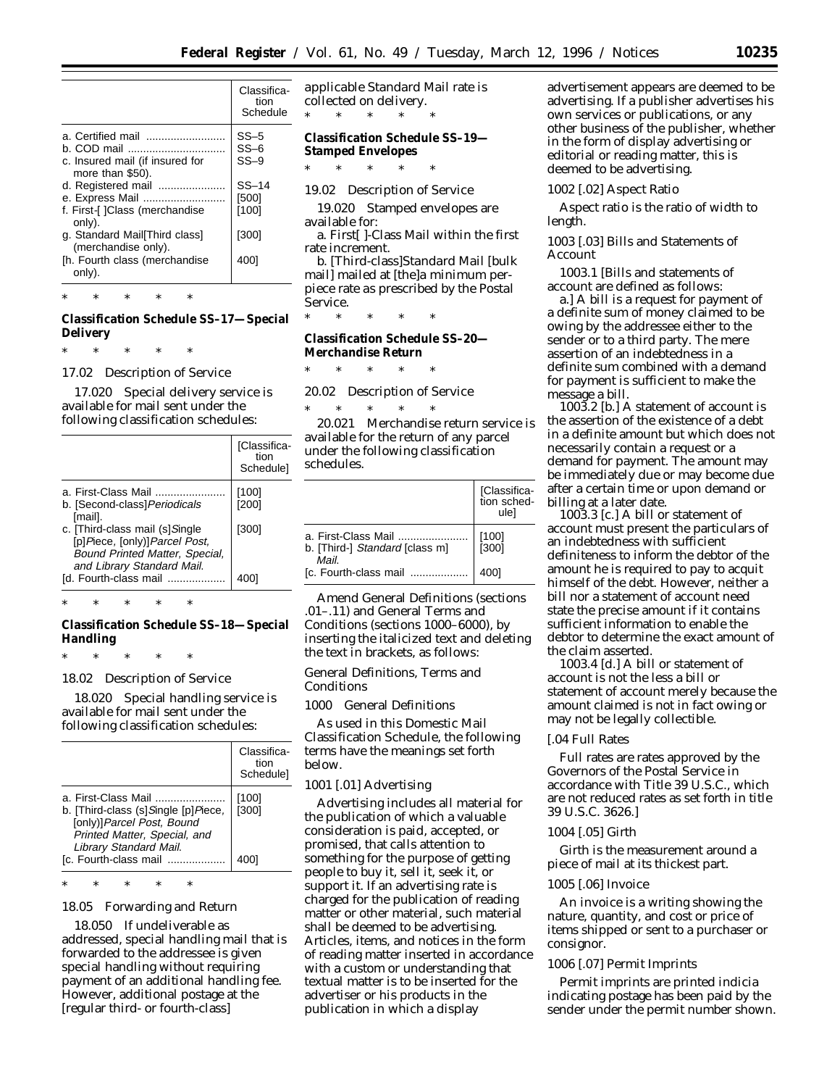|                                                       | Classifica-<br>tion<br>Schedule |
|-------------------------------------------------------|---------------------------------|
| a. Certified mail                                     | $SS-5$                          |
| h. COD mail                                           | $SS-6$                          |
| c. Insured mail (if insured for<br>more than \$50).   | $SS-9$                          |
| d. Registered mail                                    | $SS-14$                         |
| e. Express Mail                                       | [500]                           |
| f. First-[] Class (merchandise<br>only).              | [100]                           |
| g. Standard Mail [Third class]<br>(merchandise only). | [300]                           |
| [h. Fourth class (merchandise<br>only).               | 4001                            |
|                                                       |                                 |

**Classification Schedule SS–17—Special Delivery**

\* \* \* \* \*

\* \* \* \* \*

17.02 Description of Service

17.020 Special delivery service is available for mail sent under the following classification schedules:

|                                                                                                                                 | [Classifica-<br>tion<br>Schedulel |
|---------------------------------------------------------------------------------------------------------------------------------|-----------------------------------|
| a. First-Class Mail<br>b. [Second-class] Periodicals<br>[mail].                                                                 | [100]<br>[200]                    |
| c. [Third-class mail (s]Single<br>[p]Piece, [only)]Parcel Post,<br>Bound Printed Matter, Special,<br>and Library Standard Mail. | [300]                             |
| [d. Fourth-class mail                                                                                                           | 4001                              |

\* \* \* \* \*

**Classification Schedule SS–18—Special Handling**

\* \* \* \* \*

18.02 Description of Service

18.020 Special handling service is available for mail sent under the following classification schedules:

|                                                                                                                                                                            | Classifica-<br>tion<br><b>Schedulel</b> |
|----------------------------------------------------------------------------------------------------------------------------------------------------------------------------|-----------------------------------------|
| a. First-Class Mail<br>b. [Third-class (s]Single [p]Piece,<br>[only)]Parcel Post, Bound<br>Printed Matter, Special, and<br>Library Standard Mail.<br>[c. Fourth-class mail | [100]<br>[300]                          |

\* \* \* \* \*

#### 18.05 Forwarding and Return

18.050 If undeliverable as addressed, special handling mail that is forwarded to the addressee is given special handling without requiring payment of an additional handling fee. However, additional postage at the [regular third- or fourth-class]

*applicable Standard Mail* rate is collected on delivery. \* \* \* \* \*

**Classification Schedule SS–19— Stamped Envelopes**

\* \* \* \* \*

19.02 Description of Service

19.020 Stamped envelopes are available for:

a. First[ ]*-*Class *Mail* within the first rate increment.

b. [Third-class]*Standard Mail* [bulk mail] mailed at [the]*a* minimum perpiece rate *as prescribed by the Postal Service.*

\* \* \* \* \*

**Classification Schedule SS–20— Merchandise Return**

\* \* \* \* \*

20.02 Description of Service

\* \* \* \* \* 20.021 Merchandise return service is available for the return of any parcel under the following classification schedules.

|                                                                | [Classifica-<br>tion sched-<br>ulel |
|----------------------------------------------------------------|-------------------------------------|
| a. First-Class Mail<br>b. [Third-] Standard [class m]<br>Mail. | [100]<br>[300]                      |
| [c. Fourth-class mail                                          | 4001                                |

Amend General Definitions (sections .01–.11) and General Terms and Conditions (sections 1000–6000), by inserting the italicized text and deleting the text in brackets, as follows:

#### General *Definitions,* Terms and Conditions

*1000* General Definitions

As used in this Domestic Mail Classification Schedule, the following terms have the meanings set forth below.

#### *1001* [.01] Advertising

Advertising includes all material for the publication of which a valuable consideration is paid, accepted, or promised, that calls attention to something for the purpose of getting people to buy it, sell it, seek it, or support it. If an advertising rate is charged for the publication of reading matter or other material, such material shall be deemed to be advertising. Articles, items, and notices in the form of reading matter inserted in accordance with a custom or understanding that textual matter is to be inserted for the advertiser or his products in the publication in which a display

advertisement appears are deemed to be advertising. If a publisher advertises his own services or publications, or any other business of the publisher, whether in the form of display advertising or editorial or reading matter, this is deemed to be advertising.

#### *1002* [.02] Aspect Ratio

Aspect ratio is the ratio of width to length.

*1003* [.03] Bills and Statements of Account

*1003.1* [Bills and statements of account are defined as follows:

a.] A bill is a request for payment of a definite sum of money claimed to be owing by the addressee either to the sender or to a third party. The mere assertion of an indebtedness in a definite sum combined with a demand for payment is sufficient to make the message a bill.

*1003.2* [b.] A statement of account is the assertion of the existence of a debt in a definite amount but which does not necessarily contain a request or a demand for payment. The amount may be immediately due or may become due after a certain time or upon demand or billing at a later date.

*1003.3* [c.] A bill or statement of account must present the particulars of an indebtedness with sufficient definiteness to inform the debtor of the amount he is required to pay to acquit himself of the debt. However, neither a bill nor a statement of account need state the precise amount if it contains sufficient information to enable the debtor to determine the exact amount of the claim asserted.

*1003.4* [d.] A bill or statement of account is not the less a bill or statement of account merely because the amount claimed is not in fact owing or may not be legally collectible.

#### [.04 Full Rates

Full rates are rates approved by the Governors of the Postal Service in accordance with Title 39 U.S.C., which are not reduced rates as set forth in title 39 U.S.C. 3626.]

#### *1004* [.05] Girth

Girth is the measurement around a piece of mail at its thickest part.

#### *1005* [.06] Invoice

An invoice is a writing showing the nature, quantity, and cost or price of items shipped or sent to a purchaser or consignor.

#### *1006* [.07] Permit Imprints

Permit imprints are printed indicia indicating postage has been paid by the sender under the permit number shown.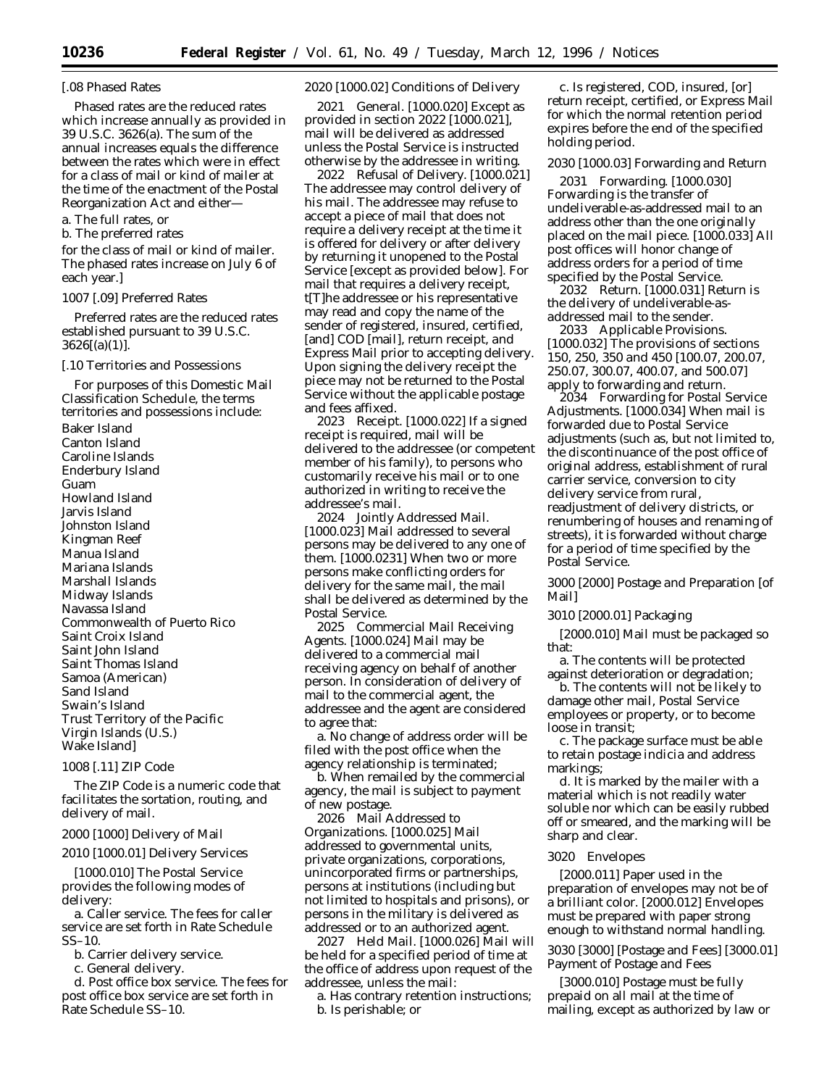#### [.08 Phased Rates

Phased rates are the reduced rates which increase annually as provided in 39 U.S.C. 3626(a). The sum of the annual increases equals the difference between the rates which were in effect for a class of mail or kind of mailer at the time of the enactment of the Postal Reorganization Act and either—

a. The full rates, or

b. The preferred rates

for the class of mail or kind of mailer. The phased rates increase on July 6 of each year.]

#### *1007* [.09] Preferred Rates

Preferred rates are the reduced rates established pursuant to 39 U.S.C.  $3626[(a)(1)]$ .

#### [.10 Territories and Possessions

For purposes of this Domestic Mail Classification Schedule, the terms territories and possessions include:

Baker Island Canton Island Caroline Islands Enderbury Island Guam Howland Island Jarvis Island Johnston Island Kingman Reef Manua Island Mariana Islands Marshall Islands Midway Islands Navassa Island Commonwealth of Puerto Rico Saint Croix Island Saint John Island Saint Thomas Island Samoa (American) Sand Island Swain's Island Trust Territory of the Pacific Virgin Islands (U.S.) Wake Island]

# *1008* [.11] ZIP Code

The ZIP Code is a numeric code that facilitates the sortation, routing, and delivery of mail.

#### *2000* [1000] Delivery of Mail

#### *2010* [1000.01] Delivery Services

[1000.010] The Postal Service provides the following modes of delivery:

a. Caller service. The fees for caller service are set forth in Rate Schedule SS–10.

b. Carrier delivery service.

c. General delivery.

d. Post office box service. The fees for post office box service are set forth in Rate Schedule SS–10.

#### *2020* [1000.02] Conditions of Delivery

*2021 General.* [1000.020] Except as provided in section *2022* [1000.021], mail will be delivered as addressed unless the Postal Service is instructed otherwise by the addressee in writing.

*2022 Refusal of Delivery.* [1000.021] The addressee may control delivery of his mail. The addressee may refuse to accept a piece of mail *that does not require a delivery receipt* at the time it is offered for delivery or after delivery by returning it unopened to the Postal Service [except as provided below]. *For mail that requires a delivery receipt, t*[T]he addressee or his representative may read and copy the name of the sender of registered, insured, certified, [and] COD [mail]*, return receipt, and Express Mail* prior to accepting delivery. Upon signing the delivery receipt the piece may not be returned to the Postal Service without the applicable postage and fees affixed.

*2023 Receipt.* [1000.022] If a signed receipt is required, mail will be delivered to the addressee (or competent member of his family), to persons who customarily receive his mail or to one authorized in writing to receive the addressee's mail.

*2024 Jointly Addressed Mail.* [1000.023] Mail addressed to several persons may be delivered to any one of them. [1000.0231] When two or more persons make conflicting orders for delivery for the same mail, the mail shall be delivered as determined by the Postal Service.

*2025 Commercial Mail Receiving Agents.* [1000.024] Mail may be delivered to a commercial mail receiving agency on behalf of another person. In consideration of delivery of mail to the commercial agent, the addressee and the agent are considered to agree that:

a. No change of address order will be filed with the post office when the agency relationship is terminated;

b. When remailed by the commercial agency, the mail is subject to payment of new postage.

*2026 Mail Addressed to Organizations.* [1000.025] Mail addressed to governmental units, private organizations, corporations, unincorporated firms or partnerships, persons at institutions (including but not limited to hospitals and prisons), or persons in the military is delivered as addressed or to an authorized agent.

*2027 Held Mail.* [1000.026] Mail will be held for a specified period of time at the office of address upon request of the addressee, unless the mail:

a. Has contrary retention instructions; b. Is perishable; or

c. Is registered, COD, insured, [or] *return receipt,* certified, *or Express Mail* for which the normal retention period expires before the end of the specified holding period.

## *2030 [1000.03] Forwarding and Return*

*2031 Forwarding.* [1000.030] Forwarding is the transfer of undeliverable-as-addressed mail to an address other than the one originally placed on the mail piece. [1000.033] All post offices will honor change of address orders for a period of time specified by the Postal Service.

*2032 Return.* [1000.031] Return is the delivery of *undeliverable-asaddressed* mail to the sender.

*2033 Applicable Provisions.* [1000.032] The provisions of sections *150, 250, 350 and 450* [100.07, 200.07, 250.07, 300.07, 400.07, and 500.07] apply to forwarding and return.

*2034 Forwarding for Postal Service Adjustments.* [1000.034] When mail is forwarded due to Postal Service adjustments (such as, but not limited to, the discontinuance of the post office of original address, establishment of rural carrier service, conversion to city delivery service from rural, readjustment of delivery districts, or renumbering of houses and renaming of streets), it is forwarded without charge for a period of time specified by the Postal Service.

*3000* [2000] *Postage and* Preparation [of Mail]

### *3010* [2000.01] Packaging

[2000.010] Mail must be packaged so that:

a. The contents will be protected against deterioration or degradation;

b. The contents will not be likely to damage other mail, Postal Service employees or property, or to become loose in transit;

c. The package surface must be able to retain postage indicia and address markings;

d. It is marked by the mailer with a material which is not readily water soluble nor which can be easily rubbed off or smeared, and the marking will be sharp and clear.

#### *3020 Envelopes*

[2000.011] Paper used in the preparation of envelopes may not be of a brilliant color. [2000.012] Envelopes must be prepared with paper strong enough to withstand normal handling.

*3030* [3000] [Postage and Fees] [3000.01] Payment of Postage *and Fees*

[3000.010] Postage must be fully prepaid on all mail at the time of mailing, except as authorized by law or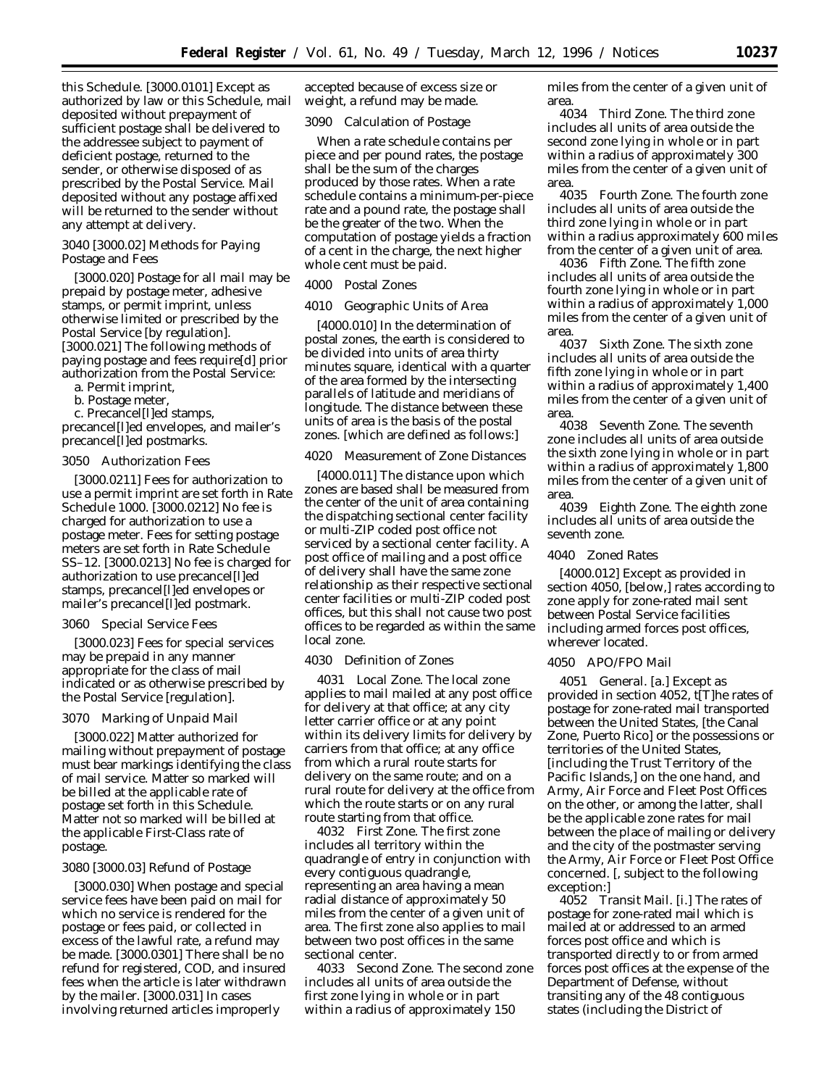this Schedule. [3000.0101] Except as authorized by law or this Schedule, mail deposited without prepayment of sufficient postage shall be delivered to the addressee subject to payment of deficient postage, returned to the sender, or otherwise disposed of *as prescribed by the Postal Service.* Mail deposited without any postage affixed will be returned to the sender without any attempt at delivery.

#### *3040* [3000.02] Methods for Paying Postage and Fees

[3000.020] Postage for all mail may be prepaid by postage meter, adhesive stamps, or permit imprint, unless otherwise limited *or prescribed by the Postal Service* [by regulation]. [3000.021] The following methods of paying postage and fees require[d] prior authorization from the Postal Service:

a. Permit imprint,

b. Postage meter,

c. Precancel[l]ed stamps, precancel[l]ed envelopes, and mailer's precancel[l]ed postmarks.

#### *3050 Authorization Fees*

[3000.0211] Fees for authorization to use a permit imprint are set forth in Rate Schedule 1000. [3000.0212] No fee is charged for authorization to use a postage meter. Fees for setting postage meters are set forth in Rate Schedule SS–12. [3000.0213] No fee is charged for authorization to use precancel[l]ed stamps, precancel[l]ed envelopes or mailer's precancel[l]ed postmark.

#### *3060 Special Service Fees*

[3000.023] Fees for special services may be prepaid in any manner appropriate for the class of mail indicated or as otherwise prescribed by *the Postal Service* [regulation].

#### *3070 Marking of Unpaid Mail*

[3000.022] Matter authorized for mailing without prepayment of postage must bear markings identifying the class of mail service. Matter so marked will be billed at the applicable rate of postage set forth in this Schedule. Matter not so marked will be billed at the applicable First-Class rate of postage.

#### *3080* [3000.03] Refund of Postage

[3000.030] When postage and special service fees have been paid on mail for which no service is rendered for the postage or fees paid, or collected in excess of the lawful rate, a refund may be made. [3000.0301] There shall be no refund for registered, COD, and insured fees when the article is later withdrawn by the mailer. [3000.031] In cases involving returned articles improperly

accepted because of excess size or weight, a refund may be made.

#### *3090* Calculation of Postage

When a rate schedule contains per piece and per pound rates, the postage shall be the sum of the charges produced by those rates. When a rate schedule contains a minimum-per-piece rate and a pound rate, the postage shall be the greater of the two. When the computation of postage yields a fraction of a cent in the charge, the next higher whole cent must be paid.

#### 4000 Postal Zones

#### *4010 Geographic Units of Area*

[4000.010] In the determination of postal zones, the earth is considered to be divided into units of area thirty minutes square, identical with a quarter of the area formed by the intersecting parallels of latitude and meridians of longitude. The distance between these units of area is the basis of the postal zones. [which are defined as follows:]

#### *4020 Measurement of Zone Distances*

[4000.011] The distance upon which zones are based shall be measured from the center of the unit of area containing the dispatching sectional center facility or multi-ZIP coded post office not serviced by a sectional center facility. A post office of mailing and a post office of delivery shall have the same zone relationship as their respective sectional center facilities or multi-ZIP coded post offices, but this shall not cause two post offices to be regarded as within the same local zone.

#### *4030 Definition of Zones*

*4031 Local Zone.* The local zone applies to mail mailed at any post office for delivery at that office; at any city letter carrier office or at any point within its delivery limits for delivery by carriers from that office; at any office from which a rural route starts for delivery on the same route; and on a rural route for delivery at the office from which the route starts or on any rural route starting from that office.

*4032 First Zone.* The first zone includes all territory within the quadrangle of entry in conjunction with every contiguous quadrangle, representing an area having a mean radial distance of approximately 50 miles from the center of a given unit of area. The first zone also applies to mail between two post offices in the same sectional center.

*4033 Second Zone.* The second zone includes all units of area outside the first zone lying in whole or in part within a radius of approximately 150

miles from the center of a given unit of area.

*4034 Third Zone.* The third zone includes all units of area outside the second zone lying in whole or in part within a radius of approximately 300 miles from the center of a given unit of area.

*4035 Fourth Zone.* The fourth zone includes all units of area outside the third zone lying in whole or in part within a radius approximately 600 miles from the center of a given unit of area.

*4036 Fifth Zone.* The fifth zone includes all units of area outside the fourth zone lying in whole or in part within a radius of approximately 1,000 miles from the center of a given unit of area.

*4037 Sixth Zone.* The sixth zone includes all units of area outside the fifth zone lying in whole or in part within a radius of approximately 1,400 miles from the center of a given unit of area.

*4038 Seventh Zone.* The seventh zone includes all units of area outside the sixth zone lying in whole or in part within a radius of approximately 1,800 miles from the center of a given unit of area.

*4039 Eighth Zone.* The eighth zone includes all units of area outside the seventh zone.

# *4040 Zoned Rates*

[4000.012] Except as provided *in section 4050,* [below,] rates according to zone apply for zone-rated mail sent between Postal Service facilities including armed forces post offices, wherever located.

#### *4050 APO/FPO Mail*

*4051 General. [a.] Except as provided in section 4052, t*[T]he rates of postage for zone-rated mail transported between the United States, [the Canal Zone, Puerto Rico] or the possessions or territories of the United States, [including the Trust Territory of the Pacific Islands,] on the one hand, and Army, Air Force and Fleet Post Offices on the other, or among the latter, shall be *the* applicable zone rates for mail between the place of mailing or delivery and the city of the postmaster serving the Army, Air Force or Fleet Post Office concerned. [, subject to the following exception:]

*4052 Transit Mail.* [i.] The rates of postage for zone-rated mail which is mailed at or addressed to an armed forces post office and which is transported directly to or from armed forces post offices at the expense of the Department of Defense, without transiting any of the 48 contiguous states (including the District of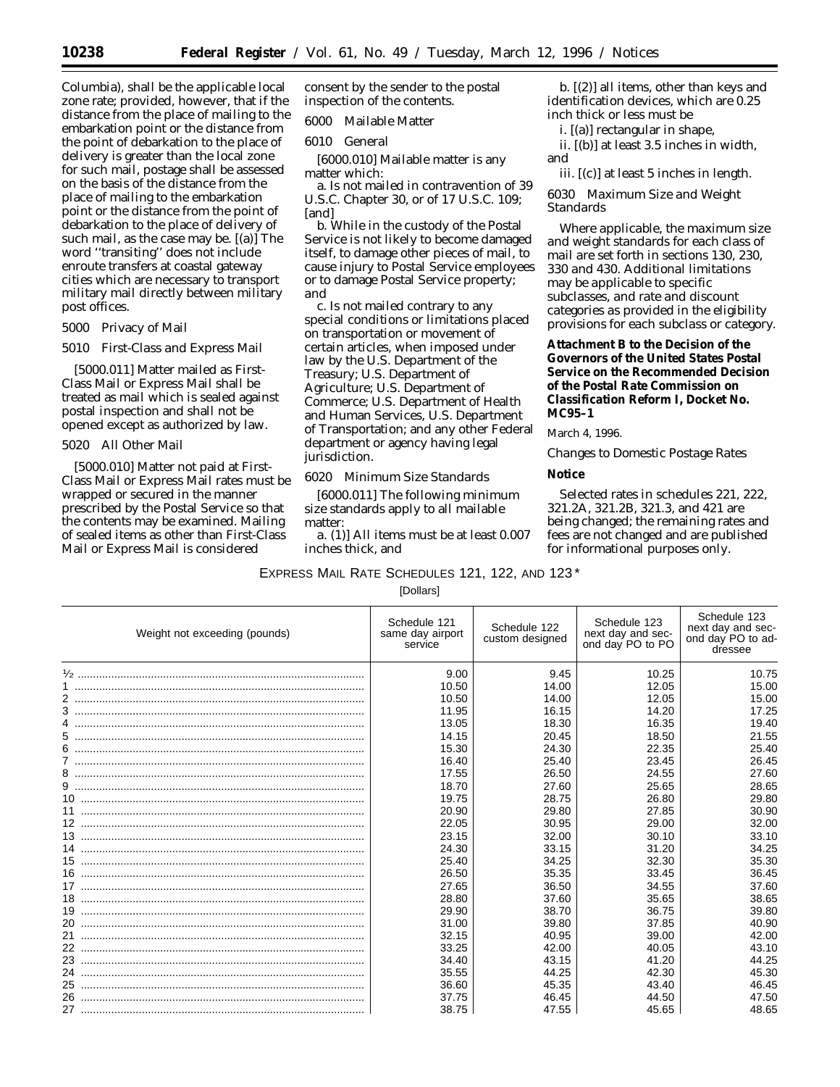Columbia), shall be the applicable local zone rate; provided, however, that if the distance from the place of mailing to the embarkation point or the distance from the point of debarkation to the place of delivery is greater than the local zone for such mail, postage shall be assessed on the basis of the distance from the place of mailing to the embarkation point or the distance from the point of debarkation to the place of delivery of such mail, as the case may be. [(a)] The word ''transiting'' does not include enroute transfers at coastal gateway cities which are necessary to transport military mail directly between military post offices.

#### 5000 Privacy of Mail

#### *5010 First-Class and Express Mail*

[5000.011] Matter mailed as First-Class Mail or Express Mail shall be treated as mail which is sealed against postal inspection and shall not be opened except as authorized by law.

#### *5020 All Other Mail*

[5000.010] Matter not paid at First-Class Mail or Express Mail rates must be wrapped or secured in the manner prescribed by the Postal Service so that the contents may be examined. Mailing of sealed items as other than First-Class Mail or Express Mail is considered

consent by the sender to the postal inspection of the contents.

6000 Mailable Matter

# *6010 General*

[6000.010] Mailable matter is any matter which:

a. Is not mailed in contravention of 39 U.S.C. Chapter 30, or of 17 U.S.C. 109; [and]

b. While in the custody of the Postal Service is not likely to become damaged itself, to damage other pieces of mail, to cause injury to Postal Service employees or to damage Postal Service property; *and*

c. Is not mailed contrary to any special conditions or limitations placed on transportation or movement of certain articles, when imposed under law by the U.S. Department of the Treasury; U.S. Department of Agriculture; U.S. Department of Commerce; U.S. Department of Health and Human Services, U.S. Department of Transportation; and any other Federal department or agency having legal jurisdiction.

#### *6020 Minimum Size Standards*

[6000.011] The following minimum size standards apply to all mailable matter:

*a.* (1)] All items must be at least 0.007 inches thick, and

*b.* [(2)] all items, other than keys and identification devices, which are 0.25 inch thick or less must be

*i.* [(a)] rectangular in shape,

*ii.* [(b)] at least 3.5 inches in width, and

*iii.* [(c)] at least 5 inches in length.

*6030 Maximum Size and Weight Standards*

*Where applicable, the maximum size and weight standards for each class of mail are set forth in sections 130, 230, 330 and 430. Additional limitations may be applicable to specific subclasses, and rate and discount categories as provided in the eligibility provisions for each subclass or category.*

**Attachment B to the Decision of the Governors of the United States Postal Service on the Recommended Decision of the Postal Rate Commission on Classification Reform I, Docket No. MC95–1**

March 4, 1996.

#### *Changes to Domestic Postage Rates*

**Notice**

Selected rates in schedules 221, 222, 321.2A, 321.2B, 321.3, and 421 are being changed; the remaining rates and fees are not changed and are published for informational purposes only.

EXPRESS MAIL RATE SCHEDULES 121, 122, AND 123 \* [Dollars]

| Weight not exceeding (pounds) | Schedule 121<br>same day airport<br>service | Schedule 122<br>custom designed | Schedule 123<br>next day and sec-<br>ond day PO to PO | Schedule 123<br>next day and sec-<br>ond day PO to ad-<br>dressee |
|-------------------------------|---------------------------------------------|---------------------------------|-------------------------------------------------------|-------------------------------------------------------------------|
|                               | 9.00                                        | 9.45                            | 10.25                                                 | 10.75                                                             |
|                               | 10.50                                       | 14.00                           | 12.05                                                 | 15.00                                                             |
|                               | 10.50                                       | 14.00                           | 12.05                                                 | 15.00                                                             |
|                               | 11.95                                       | 16.15                           | 14.20                                                 | 17.25                                                             |
|                               | 13.05                                       | 18.30                           | 16.35                                                 | 19.40                                                             |
|                               | 14.15                                       | 20.45                           | 18.50                                                 | 21.55                                                             |
|                               | 15.30                                       | 24.30                           | 22.35                                                 | 25.40                                                             |
|                               | 16.40                                       | 25.40                           | 23.45                                                 | 26.45                                                             |
|                               | 17.55                                       | 26.50                           | 24.55                                                 | 27.60                                                             |
|                               | 18.70                                       | 27.60                           | 25.65                                                 | 28.65                                                             |
|                               | 19.75                                       | 28.75                           | 26.80                                                 | 29.80                                                             |
|                               | 20.90                                       | 29.80                           | 27.85                                                 | 30.90                                                             |
|                               | 22.05                                       | 30.95                           | 29.00                                                 | 32.00                                                             |
|                               | 23.15                                       | 32.00                           | 30.10                                                 | 33.10                                                             |
|                               | 24.30                                       | 33.15                           | 31.20                                                 | 34.25                                                             |
|                               | 25.40                                       | 34.25                           | 32.30                                                 | 35.30                                                             |
|                               | 26.50                                       | 35.35                           | 33.45                                                 | 36.45                                                             |
|                               | 27.65                                       | 36.50                           | 34.55                                                 | 37.60                                                             |
|                               | 28.80                                       | 37.60                           | 35.65                                                 | 38.65                                                             |
|                               | 29.90                                       | 38.70                           | 36.75                                                 | 39.80                                                             |
|                               | 31.00                                       | 39.80                           | 37.85                                                 | 40.90                                                             |
|                               | 32.15                                       | 40.95                           | 39.00                                                 | 42.00                                                             |
|                               | 33.25                                       | 42.00                           | 40.05                                                 | 43.10                                                             |
|                               | 34.40                                       | 43.15                           | 41.20                                                 | 44.25                                                             |
| 24                            | 35.55                                       | 44.25                           | 42.30                                                 | 45.30                                                             |
| 25                            | 36.60                                       | 45.35                           | 43.40                                                 | 46.45                                                             |
|                               | 37.75                                       | 46.45                           | 44.50                                                 | 47.50                                                             |
|                               | 38.75                                       | 47.55                           | 45.65                                                 | 48.65                                                             |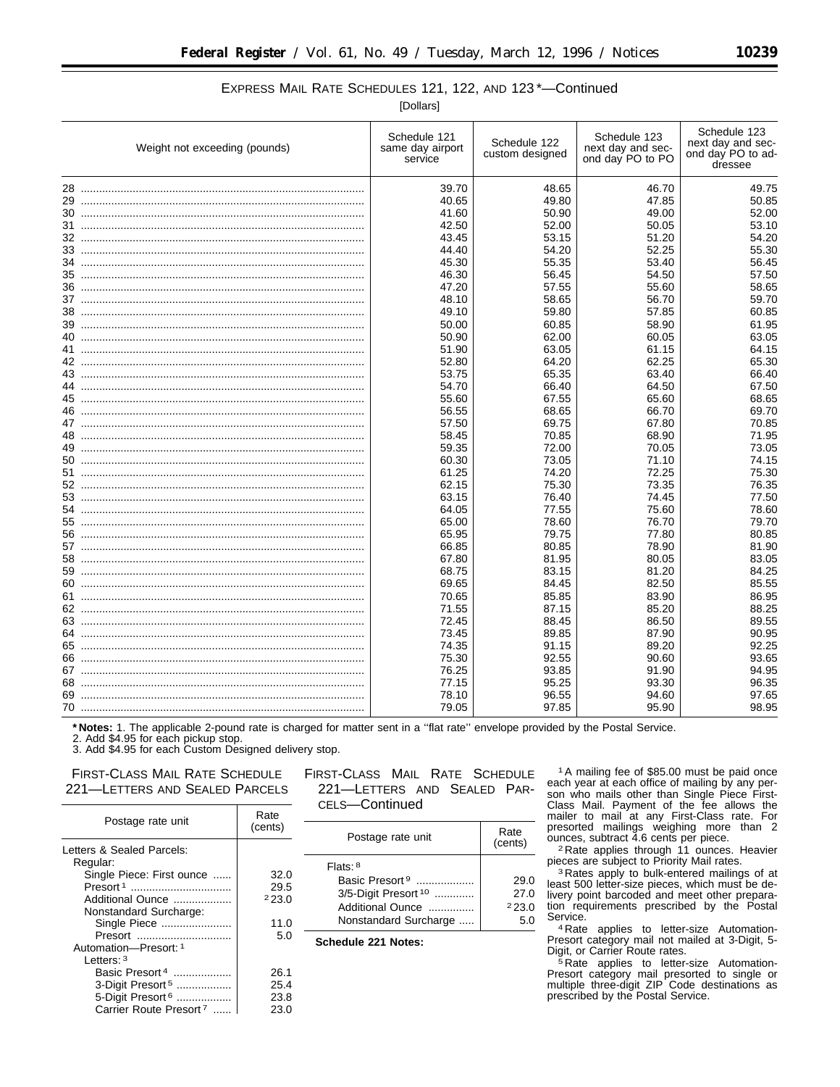# EXPRESS MAIL RATE SCHEDULES 121, 122, AND 123 \*—Continued

[Dollars]

|    | Weight not exceeding (pounds) | Schedule 121<br>same day airport<br>service | Schedule 122<br>custom designed | Schedule 123<br>next day and sec-<br>ond day PO to PO | Schedule 123<br>next day and sec-<br>ond day PO to ad-<br>dressee |
|----|-------------------------------|---------------------------------------------|---------------------------------|-------------------------------------------------------|-------------------------------------------------------------------|
|    |                               | 39.70                                       | 48.65                           | 46.70                                                 | 49.75                                                             |
|    |                               | 40.65                                       | 49.80                           | 47.85                                                 | 50.85                                                             |
|    |                               | 41.60                                       | 50.90                           | 49.00                                                 | 52.00                                                             |
|    |                               | 42.50                                       | 52.00                           | 50.05                                                 | 53.10                                                             |
|    |                               | 43.45                                       | 53.15                           | 51.20                                                 | 54.20                                                             |
|    |                               | 44.40                                       | 54.20                           | 52.25                                                 | 55.30                                                             |
|    |                               | 45.30                                       | 55.35                           | 53.40                                                 | 56.45                                                             |
| 35 |                               | 46.30                                       | 56.45                           | 54.50                                                 | 57.50                                                             |
| 36 |                               | 47.20                                       | 57.55                           | 55.60                                                 | 58.65                                                             |
|    |                               | 48.10                                       | 58.65                           | 56.70                                                 | 59.70                                                             |
| 38 |                               | 49.10                                       | 59.80                           | 57.85                                                 | 60.85                                                             |
|    |                               | 50.00                                       | 60.85                           | 58.90                                                 | 61.95                                                             |
|    |                               | 50.90                                       | 62.00                           | 60.05                                                 | 63.05                                                             |
|    |                               | 51.90                                       | 63.05                           | 61.15                                                 | 64.15                                                             |
|    |                               | 52.80                                       | 64.20                           | 62.25                                                 | 65.30                                                             |
|    |                               | 53.75                                       | 65.35                           | 63.40                                                 | 66.40                                                             |
|    |                               | 54.70                                       | 66.40                           | 64.50                                                 | 67.50                                                             |
|    |                               | 55.60                                       | 67.55                           | 65.60                                                 | 68.65                                                             |
|    |                               | 56.55                                       | 68.65                           | 66.70                                                 | 69.70                                                             |
|    |                               | 57.50                                       | 69.75                           | 67.80                                                 | 70.85                                                             |
| 48 |                               | 58.45                                       | 70.85                           | 68.90                                                 | 71.95                                                             |
|    |                               | 59.35                                       | 72.00                           | 70.05                                                 | 73.05                                                             |
|    |                               | 60.30                                       | 73.05                           | 71.10                                                 | 74.15                                                             |
|    |                               | 61.25                                       | 74.20                           | 72.25                                                 | 75.30                                                             |
|    |                               | 62.15                                       | 75.30                           | 73.35                                                 | 76.35                                                             |
|    |                               | 63.15                                       | 76.40                           | 74.45                                                 | 77.50                                                             |
|    |                               | 64.05                                       | 77.55                           | 75.60                                                 | 78.60                                                             |
|    |                               | 65.00                                       | 78.60                           | 76.70                                                 | 79.70                                                             |
|    |                               | 65.95                                       | 79.75                           | 77.80                                                 | 80.85                                                             |
|    |                               | 66.85                                       | 80.85                           | 78.90                                                 | 81.90                                                             |
| 58 |                               | 67.80                                       | 81.95                           | 80.05                                                 | 83.05                                                             |
|    |                               | 68.75                                       | 83.15                           | 81.20                                                 | 84.25                                                             |
|    |                               | 69.65                                       | 84.45                           | 82.50                                                 | 85.55                                                             |
|    |                               | 70.65                                       | 85.85                           | 83.90                                                 | 86.95                                                             |
|    |                               | 71.55                                       | 87.15                           | 85.20                                                 | 88.25                                                             |
|    |                               | 72.45                                       | 88.45                           | 86.50                                                 | 89.55                                                             |
|    |                               |                                             | 89.85                           | 87.90                                                 | 90.95                                                             |
|    |                               | 73.45                                       |                                 |                                                       |                                                                   |
|    |                               | 74.35                                       | 91.15                           | 89.20                                                 | 92.25                                                             |
| 66 |                               | 75.30                                       | 92.55                           | 90.60                                                 | 93.65                                                             |
|    |                               | 76.25                                       | 93.85                           | 91.90                                                 | 94.95                                                             |
|    |                               | 77.15                                       | 95.25                           | 93.30                                                 | 96.35                                                             |
|    |                               | 78.10                                       | 96.55                           | 94.60                                                 | 97.65                                                             |
|    |                               | 79.05                                       | 97.85                           | 95.90                                                 | 98.95                                                             |

**\* Notes:** 1. The applicable 2-pound rate is charged for matter sent in a ''flat rate'' envelope provided by the Postal Service.

2. Add \$4.95 for each pickup stop.

3. Add \$4.95 for each Custom Designed delivery stop.

# FIRST-CLASS MAIL RATE SCHEDULE 221—LETTERS AND SEALED PARCELS

| Postage rate unit                     | Rate<br>(cents) |
|---------------------------------------|-----------------|
| Letters & Sealed Parcels:<br>Regular: |                 |
| Single Piece: First ounce             | 32.0            |
| Presort <sup>1</sup>                  | 29.5            |
| Additional Ounce                      | 223.0           |
| Nonstandard Surcharge:                |                 |
| Single Piece                          | 11.0            |
| Presort                               | 5.0             |
| Automation-Presort: 1                 |                 |
| l etters: <sup>3</sup>                |                 |
| Basic Presort 4                       | 26.1            |
| 3-Digit Presort <sup>5</sup>          | 25.4            |
| 5-Digit Presort <sup>6</sup>          | 23.8            |
| Carrier Route Presort <sup>7</sup>    | 23.0            |
|                                       |                 |

# FIRST-CLASS MAIL RATE SCHEDULE 221—LETTERS AND SEALED PAR-CELS—Continued

| Flats: $8$                      |       |
|---------------------------------|-------|
| Basic Presort <sup>9</sup>      | 29.0  |
| 3/5-Digit Presort <sup>10</sup> | 27.0  |
| Additional Ounce                | 223.0 |
| Nonstandard Surcharge           | 5 O   |

**Schedule 221 Notes:**

1A mailing fee of \$85.00 must be paid once each year at each office of mailing by any person who mails other than Single Piece First-Class Mail. Payment of the fee allows the mailer to mail at any First-Class rate. For presorted mailings weighing more than 2 ounces, subtract 4.6 cents per piece.

2 Rate applies through 11 ounces. Heavier pieces are subject to Priority Mail rates.

3 Rates apply to bulk-entered mailings of at least 500 letter-size pieces, which must be delivery point barcoded and meet other preparation requirements prescribed by the Postal Service.

4 Rate applies to letter-size Automation-Presort category mail not mailed at 3-Digit, 5- Digit, or Carrier Route rates.

5 Rate applies to letter-size Automation-Presort category mail presorted to single or multiple three-digit ZIP Code destinations as prescribed by the Postal Service.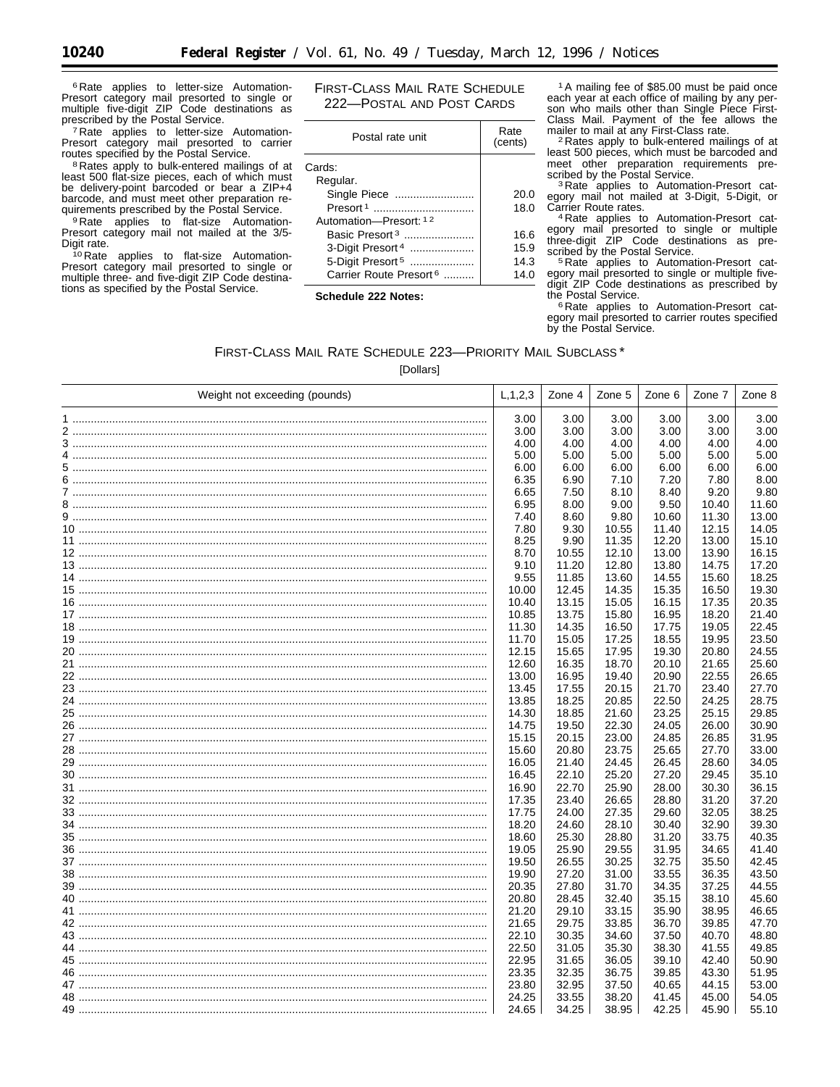<sup>6</sup> Rate applies to letter-size Automation-Presort category mail presorted to single or<br>multiple five-digit ZIP Code destinations as prescribed by the Postal Service.

<sup>7</sup> Rate applies to letter-size Automation-<br>Presort category mail presorted to carrier routes specified by the Postal Service.

<sup>8</sup> Rates apply to bulk-entered mailings of at least 500 flat-size pieces, each of which must be delivery-point barcoded or bear a ZIP+4 barcode, and must meet other preparation requirements prescribed by the Postal Service.

<sup>9</sup> Rate applies to flat-size Automation-Presort category mail not mailed at the 3/5-Digit rate.

<sup>10</sup> Rate applies to flat-size Automation-Presort category mail presorted to single or multiple three- and five-digit ZIP Code destina-<br>tions as specified by the Postal Service. FIRST-CLASS MAIL RATE SCHEDULE 222-POSTAL AND POST CARDS

| Postal rate unit                   | Rate<br>(cents) |
|------------------------------------|-----------------|
| Cards:                             |                 |
| Regular.                           |                 |
| Single Piece                       | 20.0            |
|                                    | 18.0            |
| Automation-Presort: 12             |                 |
| Basic Presort <sup>3</sup>         | 16.6            |
| 3-Digit Presort <sup>4</sup>       | 15.9            |
| 5-Digit Presort <sup>5</sup>       | 14.3            |
| Carrier Route Presort <sup>6</sup> | 14.0            |
|                                    |                 |

Schedule 222 Notes:

<sup>1</sup>A mailing fee of \$85.00 must be paid once each year at each office of mailing by any per-<br>son who mails other than Single Piece First-Class Mail. Payment of the fee allows the mailer to mail at any First-Class rate.<br><sup>2</sup> Rates apply to bulk-entered mailings of at

least 500 pieces, which must be barcoded and meet other preparation requirements pre-

<sup>3</sup> Rate applies to Automation-Presort category mail not mailed at 3-Digit, 5-Digit, or<br>Carrier Route rates.

<sup>4</sup> Rate applies to Automation-Presort category mail presorted to single or multiple<br>three-digit ZIP Code destinations as prescribed by the Postal Service.

<sup>5</sup> Rate applies to Automation-Presort cat-<br>egory mail presorted to single or multiple fivedigit ZIP Code destinations as prescribed by the Postal Service.

<sup>6</sup> Rate applies to Automation-Presort category mail presorted to carrier routes specified by the Postal Service.

FIRST-CLASS MAIL RATE SCHEDULE 223-PRIORITY MAIL SUBCLASS\*  $Inollc$ 

| Weight not exceeding (pounds) | L, 1, 2, 3 | Zone 4 $ $ | Zone 5 | Zone 6 | Zone 7 | Zone 8 |
|-------------------------------|------------|------------|--------|--------|--------|--------|
|                               | 3.00       | 3.00       | 3.00   | 3.00   | 3.00   | 3.00   |
|                               | 3.00       | 3.00       | 3.00   | 3.00   | 3.00   | 3.00   |
|                               | 4.00       | 4.00       | 4.00   | 4.00   | 4.00   | 4.00   |
|                               | 5.00       | 5.00       | 5.00   | 5.00   | 5.00   | 5.00   |
|                               | 6.00       | 6.00       | 6.00   | 6.00   | 6.00   | 6.00   |
|                               | 6.35       | 6.90       | 7.10   | 7.20   | 7.80   | 8.00   |
|                               | 6.65       | 7.50       | 8.10   | 8.40   | 9.20   | 9.80   |
|                               | 6.95       | 8.00       | 9.00   | 9.50   | 10.40  | 11.60  |
|                               | 7.40       | 8.60       | 9.80   | 10.60  | 11.30  | 13.00  |
|                               | 7.80       | 9.30       | 10.55  | 11.40  | 12.15  | 14.05  |
|                               | 8.25       | 9.90       | 11.35  | 12.20  | 13.00  | 15.10  |
|                               | 8.70       | 10.55      | 12.10  | 13.00  | 13.90  | 16.15  |
|                               | 9.10       | 11.20      | 12.80  | 13.80  | 14.75  | 17.20  |
|                               | 9.55       | 11.85      | 13.60  | 14.55  | 15.60  | 18.25  |
|                               | 10.00      | 12.45      | 14.35  | 15.35  | 16.50  | 19.30  |
|                               | 10.40      | 13.15      | 15.05  | 16.15  | 17.35  | 20.35  |
|                               | 10.85      | 13.75      | 15.80  | 16.95  | 18.20  | 21.40  |
|                               | 11.30      | 14.35      | 16.50  | 17.75  | 19.05  | 22.45  |
|                               | 11.70      | 15.05      | 17.25  | 18.55  | 19.95  | 23.50  |
|                               | 12.15      | 15.65      | 17.95  | 19.30  | 20.80  | 24.55  |
|                               | 12.60      | 16.35      | 18.70  | 20.10  | 21.65  | 25.60  |
|                               | 13.00      | 16.95      | 19.40  | 20.90  | 22.55  | 26.65  |
|                               | 13.45      | 17.55      | 20.15  | 21.70  | 23.40  | 27.70  |
|                               | 13.85      | 18.25      | 20.85  | 22.50  | 24.25  | 28.75  |
|                               | 14.30      | 18.85      | 21.60  | 23.25  | 25.15  | 29.85  |
|                               | 14.75      | 19.50      | 22.30  | 24.05  | 26.00  | 30.90  |
|                               | 15.15      | 20.15      | 23.00  | 24.85  | 26.85  | 31.95  |
|                               | 15.60      | 20.80      | 23.75  | 25.65  | 27.70  | 33.00  |
|                               | 16.05      | 21.40      | 24.45  | 26.45  | 28.60  | 34.05  |
|                               | 16.45      | 22.10      | 25.20  | 27.20  | 29.45  | 35.10  |
|                               | 16.90      | 22.70      | 25.90  | 28.00  | 30.30  | 36.15  |
|                               | 17.35      | 23.40      | 26.65  | 28.80  | 31.20  | 37.20  |
|                               | 17.75      | 24.00      | 27.35  | 29.60  | 32.05  | 38.25  |
|                               | 18.20      | 24.60      | 28.10  | 30.40  | 32.90  | 39.30  |
|                               | 18.60      | 25.30      | 28.80  | 31.20  | 33.75  | 40.35  |
|                               | 19.05      | 25.90      | 29.55  | 31.95  | 34.65  | 41.40  |
|                               | 19.50      | 26.55      | 30.25  | 32.75  | 35.50  | 42.45  |
|                               | 19.90      | 27.20      | 31.00  | 33.55  | 36.35  | 43.50  |
|                               | 20.35      | 27.80      | 31.70  | 34.35  | 37.25  | 44.55  |
|                               | 20.80      | 28.45      | 32.40  | 35.15  | 38.10  | 45.60  |
|                               | 21.20      | 29.10      | 33.15  | 35.90  | 38.95  | 46.65  |
|                               | 21.65      | 29.75      | 33.85  | 36.70  | 39.85  | 47.70  |
|                               | 22.10      | 30.35      | 34.60  | 37.50  | 40.70  | 48.80  |
|                               | 22.50      | 31.05      | 35.30  | 38.30  | 41.55  | 49.85  |
|                               | 22.95      | 31.65      | 36.05  | 39.10  | 42.40  | 50.90  |
|                               | 23.35      | 32.35      | 36.75  | 39.85  | 43.30  | 51.95  |
|                               | 23.80      | 32.95      | 37.50  | 40.65  | 44.15  | 53.00  |
|                               | 24.25      | 33.55      | 38.20  | 41.45  | 45.00  | 54.05  |
|                               | 24.65      | 34.25      | 38.95  | 42.25  | 45.90  | 55.10  |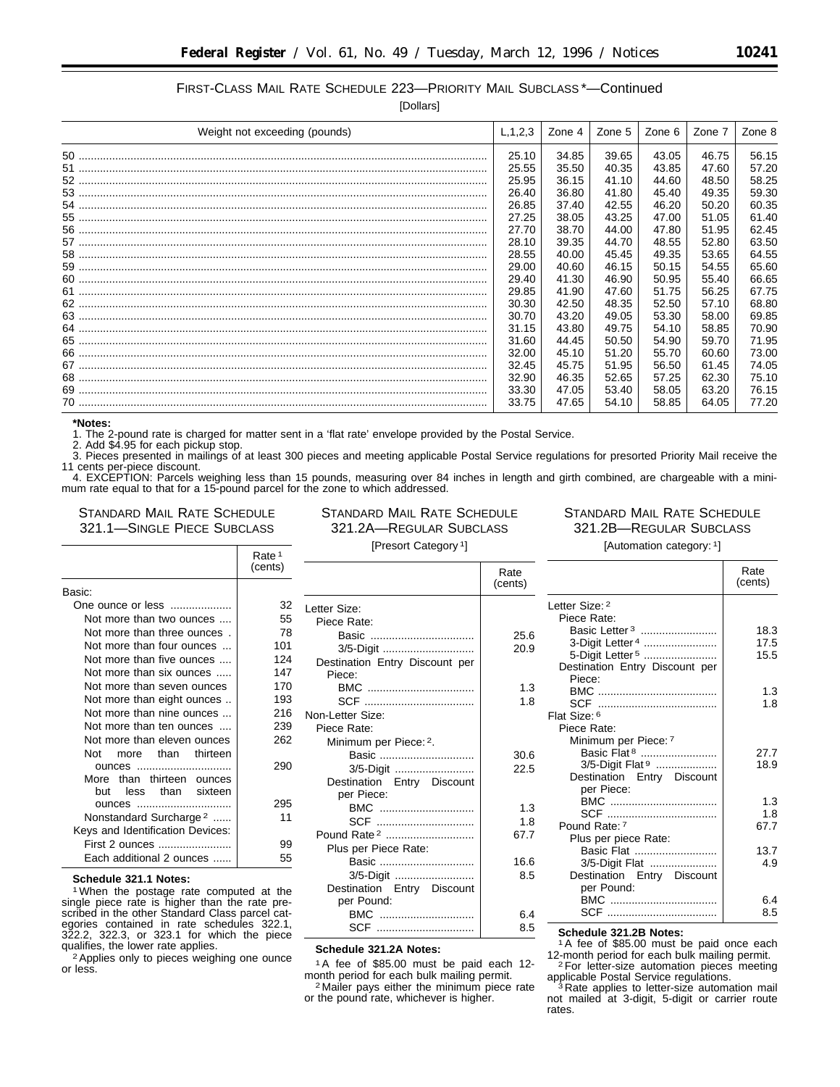# FIRST-CLASS MAIL RATE SCHEDULE 223—PRIORITY MAIL SUBCLASS \*—Continued

[Dollars]

| Weight not exceeding (pounds) | L, 1, 2, 3 | Zone 4 | Zone 5 | Zone 6 | Zone 7 | Zone 8 |
|-------------------------------|------------|--------|--------|--------|--------|--------|
|                               | 25.10      | 34.85  | 39.65  | 43.05  | 46.75  | 56.15  |
|                               | 25.55      | 35.50  | 40.35  | 43.85  | 47.60  | 57.20  |
|                               | 25.95      | 36.15  | 41.10  | 44.60  | 48.50  | 58.25  |
|                               | 26.40      | 36.80  | 41.80  | 45.40  | 49.35  | 59.30  |
|                               | 26.85      | 37.40  | 42.55  | 46.20  | 50.20  | 60.35  |
|                               | 27.25      | 38.05  | 43.25  | 47.00  | 51.05  | 61.40  |
|                               | 27.70      | 38.70  | 44.00  | 47.80  | 51.95  | 62.45  |
|                               | 28.10      | 39.35  | 44.70  | 48.55  | 52.80  | 63.50  |
|                               | 28.55      | 40.00  | 45.45  | 49.35  | 53.65  | 64.55  |
|                               | 29.00      | 40.60  | 46.15  | 50.15  | 54.55  | 65.60  |
|                               | 29.40      | 41.30  | 46.90  | 50.95  | 55.40  | 66.65  |
|                               | 29.85      | 41.90  | 47.60  | 51.75  | 56.25  | 67.75  |
|                               | 30.30      | 42.50  | 48.35  | 52.50  | 57.10  | 68.80  |
|                               | 30.70      | 43.20  | 49.05  | 53.30  | 58.00  | 69.85  |
|                               | 31.15      | 43.80  | 49.75  | 54.10  | 58.85  | 70.90  |
|                               | 31.60      | 44.45  | 50.50  | 54.90  | 59.70  | 71.95  |
|                               | 32.00      | 45.10  | 51.20  | 55.70  | 60.60  | 73.00  |
|                               | 32.45      | 45.75  | 51.95  | 56.50  | 61.45  | 74.05  |
|                               | 32.90      | 46.35  | 52.65  | 57.25  | 62.30  | 75.10  |
|                               | 33.30      | 47.05  | 53.40  | 58.05  | 63.20  | 76.15  |
|                               | 33.75      | 47.65  | 54.10  | 58.85  | 64.05  | 77.20  |

**\*Notes:**

1. The 2-pound rate is charged for matter sent in a 'flat rate' envelope provided by the Postal Service.

2. Add \$4.95 for each pickup stop.

3. Pieces presented in mailings of at least 300 pieces and meeting applicable Postal Service regulations for presorted Priority Mail receive the 11 cents per-piece discount.

4. EXCEPTION: Parcels weighing less than 15 pounds, measuring over 84 inches in length and girth combined, are chargeable with a minimum rate equal to that for a 15-pound parcel for the zone to which addressed.

## STANDARD MAIL RATE SCHEDULE 321.1—SINGLE PIECE SUBCLASS

STANDARD MAIL RATE SCHEDULE 321.2A—REGULAR SUBCLASS

# STANDARD MAIL RATE SCHEDULE 321.2B—REGULAR SUBCLASS [Automation category: 1]

Rate

[Presort Category 1]

Rate

|                                    | Rate <sup>1</sup><br>(cents) |
|------------------------------------|------------------------------|
| Basic:                             |                              |
| One ounce or less                  | 32                           |
| Not more than two ounces           | 55                           |
| Not more than three ounces.        | 78                           |
| Not more than four ounces          | 101                          |
| Not more than five ounces          | 124                          |
| Not more than six ounces           | 147                          |
| Not more than seven ounces         | 170                          |
| Not more than eight ounces         | 193                          |
| Not more than nine ounces          | 216                          |
| Not more than ten ounces           | 239                          |
| Not more than eleven ounces        | 262                          |
| more than thirteen<br>Not          |                              |
| ounces                             | 290                          |
| More than thirteen ounces          |                              |
| less than sixteen<br>but           |                              |
| ounces                             | 295                          |
| Nonstandard Surcharge <sup>2</sup> | 11                           |
| Keys and Identification Devices:   |                              |
| First 2 ounces                     | 99                           |
| Each additional 2 ounces           | 55                           |

#### **Schedule 321.1 Notes:**

1When the postage rate computed at the single piece rate is higher than the rate prescribed in the other Standard Class parcel categories contained in rate schedules 322.1, 322.2, 322.3, or 323.1 for which the piece qualifies, the lower rate applies.

2Applies only to pieces weighing one ounce or less.

|                                | (cents) |
|--------------------------------|---------|
| Letter Size:                   |         |
| Piece Rate:                    |         |
| Basic                          | 25.6    |
| 3/5-Digit                      | 20.9    |
| Destination Entry Discount per |         |
| Piece:                         |         |
| BMC                            | 1.3     |
|                                | 1.8     |
| Non-Letter Size:               |         |
| Piece Rate:                    |         |
| Minimum per Piece: 2.          |         |
| Basic                          | 30.6    |
| 3/5-Digit                      | 22.5    |
| Destination Entry Discount     |         |
| per Piece:                     |         |
| BMC                            | 1.3     |
| SCF                            | 1.8     |
| Pound Rate <sup>2</sup>        | 67.7    |
| Plus per Piece Rate:           |         |
| Basic                          | 16.6    |
| 3/5-Digit                      | 8.5     |
| Destination Entry Discount     |         |
| per Pound:                     |         |
| BMC                            | 6.4     |
| SCF                            | 8.5     |
|                                |         |

# **Schedule 321.2A Notes:**

1A fee of \$85.00 must be paid each 12 month period for each bulk mailing permit. 2 Mailer pays either the minimum piece rate

or the pound rate, whichever is higher.

|                                | (cents) |
|--------------------------------|---------|
| Letter Size: 2                 |         |
| Piece Rate:                    |         |
| Basic Letter <sup>3</sup>      | 18.3    |
| 3-Digit Letter 4               | 17.5    |
| 5-Digit Letter <sup>5</sup>    | 15.5    |
| Destination Entry Discount per |         |
| Piece:                         |         |
|                                | 1.3     |
|                                | 1.8     |
| Flat Size: 6                   |         |
| Piece Rate:                    |         |
| Minimum per Piece: 7           |         |
| Basic Flat <sup>8</sup>        | 27.7    |
| 3/5-Digit Flat <sup>9</sup>    | 18.9    |
| Destination Entry Discount     |         |
| per Piece:                     |         |
| BMC                            | 1.3     |
|                                | 1.8     |
| Pound Rate: 7                  | 67.7    |
| Plus per piece Rate:           |         |
| Basic Flat                     | 13.7    |
| 3/5-Digit Flat                 | 4.9     |
| Destination Entry Discount     |         |
| per Pound:                     |         |
| BMC                            | 6.4     |
|                                | 8.5     |

**Schedule 321.2B Notes:** 1A fee of \$85.00 must be paid once each 12-month period for each bulk mailing permit.<br><sup>2</sup>For letter-size automation pieces meeting<br>applicable Postal Service regulations.

<sup>3</sup> Rate applies to letter-size automation mail not mailed at 3-digit, 5-digit or carrier route rates.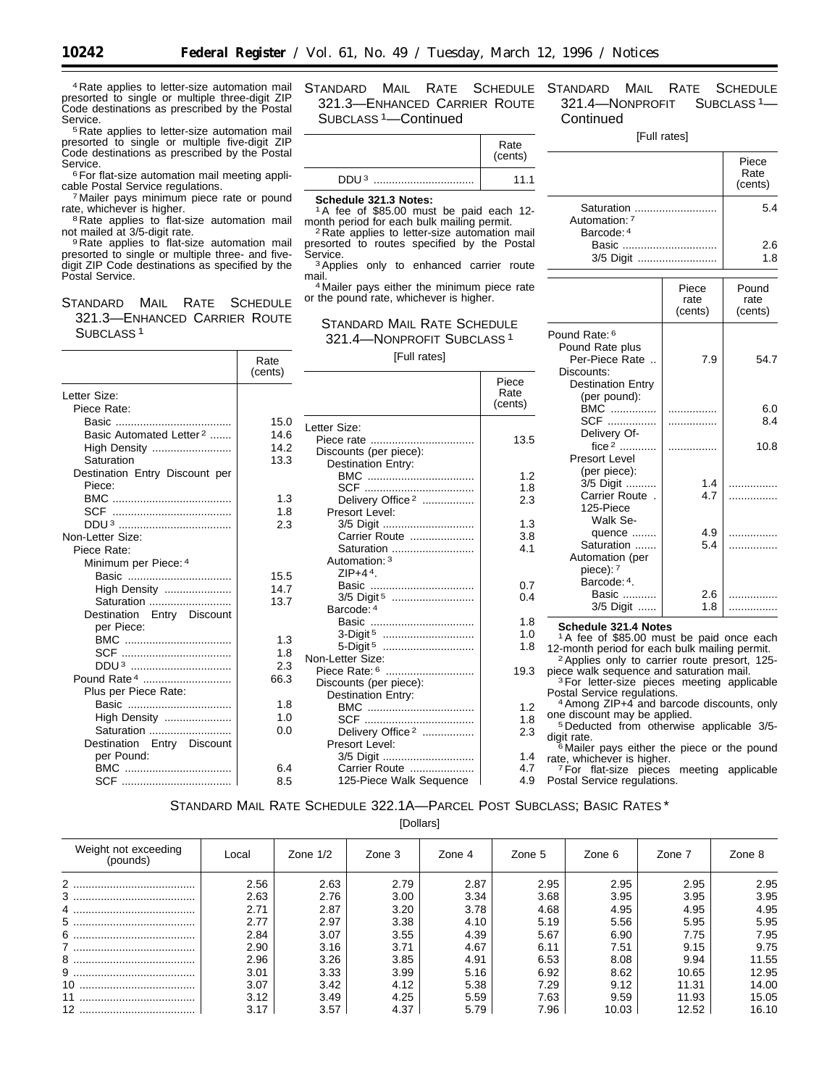4 Rate applies to letter-size automation mail presorted to single or multiple three-digit ZIP Code destinations as prescribed by the Postal Service.<br><sup>5</sup> Rate applies to letter-size automation mail

presorted to single or multiple five-digit ZIP Code destinations as prescribed by the Postal<br>Service.

 $6$  For flat-size automation mail meeting appli-<br>cable Postal Service regulations.

<sup>7</sup> Mailer pays minimum piece rate or pound rate, whichever is higher.

 $R$ Rate applies to flat-size automation mail not mailed at 3/5-digit rate.

<sup>9</sup> Rate applies to flat-size automation mail presorted to single or multiple three- and fivedigit ZIP Code destinations as specified by the Postal Service.

STANDARD MAIL RATE SCHEDULE 321.3—ENHANCED CARRIER ROUTE SUBCLASS 1

STANDARD MAIL RATE SCHEDULE 321.3—ENHANCED CARRIER ROUTE SUBCLASS 1—Continued

|                      | (cents) |
|----------------------|---------|
| DDU <sup>3</sup><br> | 11.1    |

**Schedule 321.3 Notes:**

<sup>1</sup>A fee of \$85.00 must be paid each 12-<br>month period for each bulk mailing permit. <sup>2</sup> Rate applies to letter-size automation mail

presorted to routes specified by the Postal

<sup>3</sup> Applies only to enhanced carrier route<br>mail. <sup>4</sup> Mailer pays either the minimum piece rate

or the pound rate, whichever is higher.

# STANDARD MAIL RATE SCHEDULE 321.4—NONPROFIT SUBCLASS 1

[Full rates]

|                                     | Rate<br>(cents) | [Full rates]                  |                 |
|-------------------------------------|-----------------|-------------------------------|-----------------|
|                                     |                 |                               | Piece           |
| Letter Size:                        |                 |                               | Rate<br>(cents) |
| Piece Rate:                         |                 |                               |                 |
|                                     | 15.0            | Letter Size:                  |                 |
| Basic Automated Letter <sup>2</sup> | 14.6            |                               | 13.5            |
| High Density                        | 14.2            | Discounts (per piece):        |                 |
| Saturation                          | 13.3            | Destination Entry:            |                 |
| Destination Entry Discount per      |                 | BMC                           | 1.2             |
| Piece:                              |                 |                               | 1.8             |
|                                     | 1.3             | Delivery Office <sup>2</sup>  | 2.3             |
|                                     | 1.8             | Presort Level:                |                 |
|                                     | 2.3             |                               | 1.3             |
| Non-Letter Size:                    |                 | Carrier Route                 | 3.8             |
| Piece Rate:                         |                 | Saturation                    | 4.1             |
| Minimum per Piece: 4                |                 | Automation: 3                 |                 |
|                                     | 15.5            | ZIP $+44$ .                   |                 |
| High Density                        | 14.7            |                               | 0.7             |
| Saturation                          | 13.7            | 3/5 Digit <sup>5</sup>        | 0.4             |
| Destination Entry Discount          |                 | Barcode: 4                    |                 |
| per Piece:                          |                 | Basic                         | 1.8             |
| BMC                                 | 1.3             | 3-Digit <sup>5</sup>          | 1.0<br>1.8      |
|                                     | 1.8             | 5-Digit 5<br>Non-Letter Size: |                 |
| DDU <sup>3</sup>                    | 2.3             |                               | 19.3            |
| Pound Rate 4                        | 66.3            | Discounts (per piece):        |                 |
| Plus per Piece Rate:                |                 | Destination Entry:            |                 |
| Basic                               | 1.8             | BMC                           | 1.2             |
| High Density                        | 1.0             |                               | 1.8             |
| Saturation                          | 0.0             | Delivery Office <sup>2</sup>  | 2.3             |
| Destination Entry Discount          |                 | Presort Level:                |                 |
| per Pound:                          |                 | 3/5 Digit                     | 1.4             |
| BMC                                 | 6.4             | Carrier Route                 | 4.7             |
|                                     | 8.5             | 125-Piece Walk Sequence       | 4.9             |

# STANDARD MAIL RATE SCHEDULE 321.4—NONPROFIT SUBCLASS 1— **Continued**

# [Full rates]

|                                                                                              |                          | Piece<br>Rate<br>(cents) |
|----------------------------------------------------------------------------------------------|--------------------------|--------------------------|
| Saturation<br>Automation: 7<br>Barcode: 4                                                    | 5.4                      |                          |
| Basic<br>3/5 Digit                                                                           |                          | 2.6<br>1.8               |
|                                                                                              | Piece<br>rate<br>(cents) | Pound<br>rate<br>(cents) |
| Pound Rate: 6<br>Pound Rate plus<br>Per-Piece Rate<br>Discounts:<br><b>Destination Entry</b> | 7.9                      | 54.7                     |
| (per pound):<br>BMC<br>SCF<br>Delivery Of-                                                   |                          | 6.0<br>8.4               |
| fice $2$<br>Presort Level                                                                    |                          | 10.8                     |
| (per piece):<br>3/5 Digit<br>Carrier Route.<br>125-Piece<br>Walk Se-                         | 1.4<br>4.7               |                          |
| quence<br>Saturation<br>Automation (per<br>piece): 7                                         | 4.9<br>5.4               | .                        |
| Barcode: 4.<br>Basic<br>3/5 Digit                                                            | 2.6<br>1.8               | .                        |

#### **Schedule 321.4 Notes**

1A fee of \$85.00 must be paid once each 12-month period for each bulk mailing permit. 2Applies only to carrier route presort, 125-

piece walk sequence and saturation mail. 3For letter-size pieces meeting applicable

Postal Service regulations. 4Among ZIP+4 and barcode discounts, only

<sup>4</sup> Among ZIP+4 and barcode discounts, only<br>one discount may be applied.<br><sup>5</sup> Deducted from otherwise applicable 3/5-

digit rate.<br><sup>6</sup> Mailer pays either the piece or the pound rate, whichever is higher. rate, whichever is higher. 7For flat-size pieces meeting applicable

Postal Service regulations.

# STANDARD MAIL RATE SCHEDULE 322.1A—PARCEL POST SUBCLASS; BASIC RATES \*

[Dollars]

| Weight not exceeding<br>(pounds) | Local | Zone $1/2$ | Zone 3            | Zone 4 | Zone 5 | Zone 6 | Zone 7 | Zone 8 |
|----------------------------------|-------|------------|-------------------|--------|--------|--------|--------|--------|
| $\overline{2}$                   | 2.56  | 2.63       | 2.79              | 2.87   | 2.95   | 2.95   | 2.95   | 2.95   |
|                                  | 2.63  | 2.76       | 3.00 <sub>1</sub> | 3.34   | 3.68   | 3.95   | 3.95   | 3.95   |
|                                  | 2.71  | 2.87       | 3.20              | 3.78   | 4.68   | 4.95   | 4.95   | 4.95   |
| 5<br>                            | 2.77  | 2.97       | 3.38              | 4.10   | 5.19   | 5.56   | 5.95   | 5.95   |
|                                  | 2.84  | 3.07       | 3.55              | 4.39   | 5.67   | 6.90   | 7.75   | 7.95   |
|                                  | 2.90  | 3.16       | 3.71              | 4.67   | 6.11   | 7.51   | 9.15   | 9.75   |
|                                  | 2.96  | 3.26       | 3.85              | 4.91   | 6.53   | 8.08   | 9.94   | 11.55  |
| $9 \ldots$<br>                   | 3.01  | 3.33       | 3.99              | 5.16   | 6.92   | 8.62   | 10.65  | 12.95  |
|                                  | 3.07  | 3.42       | 4.12              | 5.38   | 7.29   | 9.12   | 11.31  | 14.00  |
|                                  | 3.12  | 3.49       | 4.25              | 5.59   | 7.63   | 9.59   | 11.93  | 15.05  |
|                                  | 3.17  | 3.57       | 4.37              | 5.79   | 7.96   | 10.03  | 12.52  | 16.10  |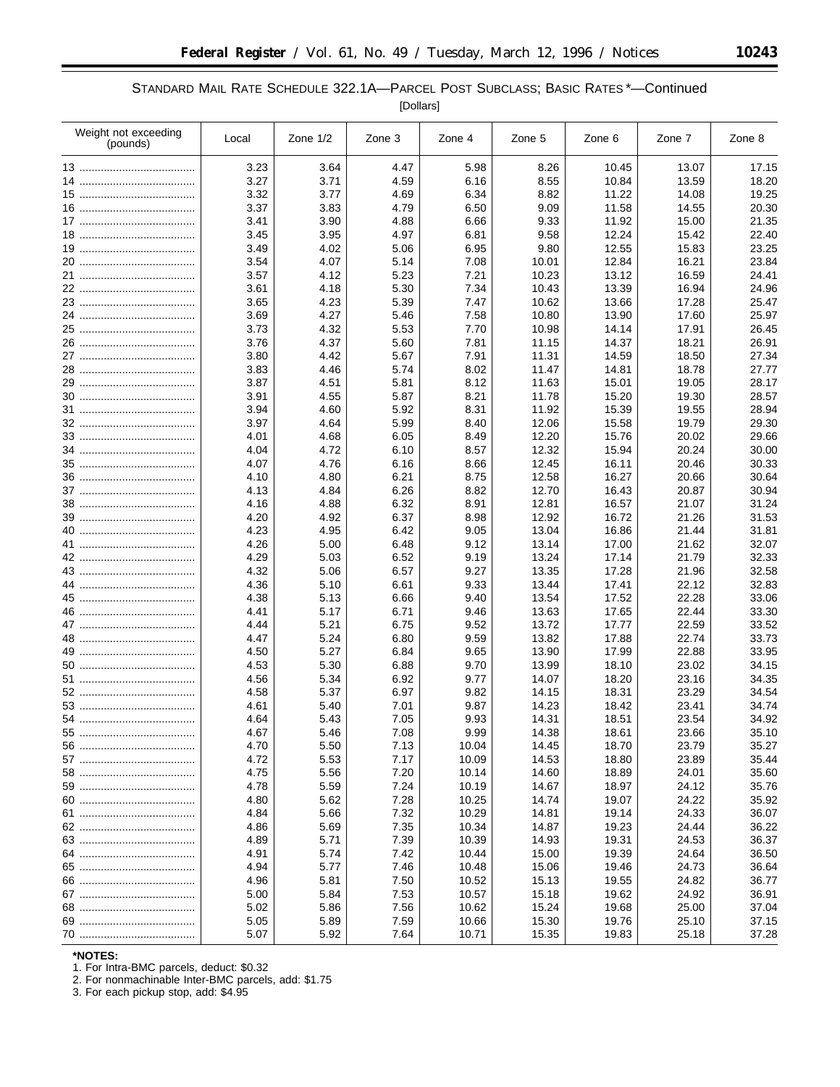# STANDARD MAIL RATE SCHEDULE 322.1A—PARCEL POST SUBCLASS; BASIC RATES \*—Continued

[Dollars]

| Weight not exceeding<br>(pounds) | Local | Zone $1/2$ | Zone 3 | Zone 4 | Zone 5 | Zone 6 | Zone 7 | Zone 8 |
|----------------------------------|-------|------------|--------|--------|--------|--------|--------|--------|
|                                  | 3.23  | 3.64       | 4.47   | 5.98   | 8.26   | 10.45  | 13.07  | 17.15  |
|                                  | 3.27  | 3.71       | 4.59   | 6.16   | 8.55   | 10.84  | 13.59  | 18.20  |
|                                  | 3.32  | 3.77       | 4.69   | 6.34   | 8.82   | 11.22  | 14.08  | 19.25  |
|                                  | 3.37  | 3.83       | 4.79   | 6.50   | 9.09   | 11.58  | 14.55  | 20.30  |
|                                  | 3.41  | 3.90       | 4.88   | 6.66   | 9.33   | 11.92  | 15.00  | 21.35  |
|                                  | 3.45  | 3.95       | 4.97   | 6.81   | 9.58   | 12.24  | 15.42  | 22.40  |
|                                  | 3.49  | 4.02       | 5.06   | 6.95   | 9.80   | 12.55  | 15.83  | 23.25  |
|                                  | 3.54  | 4.07       | 5.14   | 7.08   | 10.01  | 12.84  | 16.21  | 23.84  |
|                                  | 3.57  | 4.12       | 5.23   | 7.21   | 10.23  | 13.12  | 16.59  | 24.41  |
|                                  | 3.61  | 4.18       | 5.30   | 7.34   | 10.43  | 13.39  | 16.94  | 24.96  |
|                                  | 3.65  | 4.23       | 5.39   | 7.47   | 10.62  | 13.66  | 17.28  | 25.47  |
|                                  | 3.69  | 4.27       | 5.46   | 7.58   | 10.80  | 13.90  | 17.60  | 25.97  |
|                                  | 3.73  | 4.32       | 5.53   | 7.70   | 10.98  | 14.14  | 17.91  | 26.45  |
|                                  | 3.76  | 4.37       | 5.60   | 7.81   | 11.15  | 14.37  | 18.21  | 26.91  |
|                                  | 3.80  | 4.42       | 5.67   | 7.91   | 11.31  | 14.59  | 18.50  | 27.34  |
|                                  | 3.83  | 4.46       | 5.74   | 8.02   | 11.47  | 14.81  | 18.78  | 27.77  |
|                                  | 3.87  | 4.51       | 5.81   | 8.12   | 11.63  | 15.01  | 19.05  | 28.17  |
|                                  | 3.91  | 4.55       | 5.87   | 8.21   | 11.78  | 15.20  | 19.30  | 28.57  |
|                                  | 3.94  | 4.60       | 5.92   | 8.31   | 11.92  | 15.39  | 19.55  | 28.94  |
|                                  | 3.97  | 4.64       | 5.99   | 8.40   | 12.06  | 15.58  | 19.79  | 29.30  |
|                                  | 4.01  | 4.68       | 6.05   | 8.49   | 12.20  | 15.76  | 20.02  | 29.66  |
|                                  | 4.04  | 4.72       | 6.10   | 8.57   | 12.32  | 15.94  | 20.24  | 30.00  |
|                                  | 4.07  | 4.76       | 6.16   | 8.66   | 12.45  | 16.11  | 20.46  | 30.33  |
|                                  | 4.10  | 4.80       | 6.21   | 8.75   | 12.58  | 16.27  | 20.66  | 30.64  |
|                                  | 4.13  | 4.84       | 6.26   | 8.82   | 12.70  | 16.43  | 20.87  | 30.94  |
|                                  | 4.16  | 4.88       | 6.32   | 8.91   | 12.81  | 16.57  | 21.07  | 31.24  |
|                                  | 4.20  | 4.92       | 6.37   | 8.98   | 12.92  | 16.72  | 21.26  | 31.53  |
|                                  | 4.23  | 4.95       | 6.42   | 9.05   | 13.04  | 16.86  | 21.44  | 31.81  |
|                                  | 4.26  | 5.00       | 6.48   | 9.12   | 13.14  | 17.00  | 21.62  | 32.07  |
|                                  | 4.29  | 5.03       | 6.52   | 9.19   | 13.24  | 17.14  | 21.79  | 32.33  |
|                                  | 4.32  | 5.06       | 6.57   | 9.27   | 13.35  | 17.28  | 21.96  | 32.58  |
|                                  | 4.36  | 5.10       | 6.61   | 9.33   | 13.44  | 17.41  | 22.12  | 32.83  |
|                                  | 4.38  | 5.13       | 6.66   | 9.40   | 13.54  | 17.52  | 22.28  | 33.06  |
|                                  | 4.41  | 5.17       | 6.71   | 9.46   | 13.63  | 17.65  | 22.44  | 33.30  |
|                                  | 4.44  | 5.21       | 6.75   | 9.52   | 13.72  | 17.77  | 22.59  | 33.52  |
|                                  | 4.47  | 5.24       | 6.80   | 9.59   | 13.82  | 17.88  | 22.74  | 33.73  |
|                                  | 4.50  | 5.27       | 6.84   | 9.65   | 13.90  | 17.99  | 22.88  | 33.95  |
|                                  | 4.53  | 5.30       | 6.88   | 9.70   | 13.99  | 18.10  | 23.02  | 34.15  |
|                                  | 4.56  | 5.34       | 6.92   | 9.77   | 14.07  | 18.20  | 23.16  | 34.35  |
|                                  | 4.58  | 5.37       | 6.97   | 9.82   | 14.15  | 18.31  | 23.29  | 34.54  |
|                                  | 4.61  | 5.40       | 7.01   | 9.87   | 14.23  | 18.42  | 23.41  | 34.74  |
|                                  | 4.64  | 5.43       | 7.05   | 9.93   | 14.31  | 18.51  | 23.54  | 34.92  |
| 55                               | 4.67  | 5.46       | 7.08   | 9.99   | 14.38  | 18.61  | 23.66  | 35.10  |
|                                  | 4.70  | 5.50       | 7.13   | 10.04  | 14.45  | 18.70  | 23.79  | 35.27  |
|                                  | 4.72  | 5.53       | 7.17   | 10.09  | 14.53  | 18.80  | 23.89  | 35.44  |
|                                  | 4.75  | 5.56       | 7.20   | 10.14  | 14.60  | 18.89  | 24.01  | 35.60  |
|                                  | 4.78  | 5.59       | 7.24   | 10.19  | 14.67  | 18.97  | 24.12  | 35.76  |
|                                  | 4.80  | 5.62       | 7.28   | 10.25  | 14.74  | 19.07  | 24.22  | 35.92  |
|                                  | 4.84  | 5.66       | 7.32   | 10.29  | 14.81  | 19.14  | 24.33  | 36.07  |
|                                  | 4.86  | 5.69       | 7.35   | 10.34  | 14.87  | 19.23  | 24.44  | 36.22  |
|                                  | 4.89  | 5.71       | 7.39   | 10.39  | 14.93  | 19.31  | 24.53  | 36.37  |
|                                  | 4.91  | 5.74       | 7.42   | 10.44  | 15.00  | 19.39  | 24.64  | 36.50  |
|                                  | 4.94  | 5.77       | 7.46   | 10.48  | 15.06  | 19.46  | 24.73  | 36.64  |
|                                  | 4.96  | 5.81       | 7.50   | 10.52  | 15.13  | 19.55  | 24.82  | 36.77  |
|                                  | 5.00  | 5.84       | 7.53   | 10.57  | 15.18  | 19.62  | 24.92  | 36.91  |
|                                  | 5.02  | 5.86       | 7.56   | 10.62  | 15.24  | 19.68  | 25.00  | 37.04  |
|                                  | 5.05  | 5.89       | 7.59   | 10.66  | 15.30  | 19.76  | 25.10  | 37.15  |
|                                  | 5.07  | 5.92       | 7.64   | 10.71  | 15.35  | 19.83  | 25.18  | 37.28  |

**\*NOTES:**

1. For Intra-BMC parcels, deduct: \$0.32

2. For nonmachinable Inter-BMC parcels, add: \$1.75

3. For each pickup stop, add: \$4.95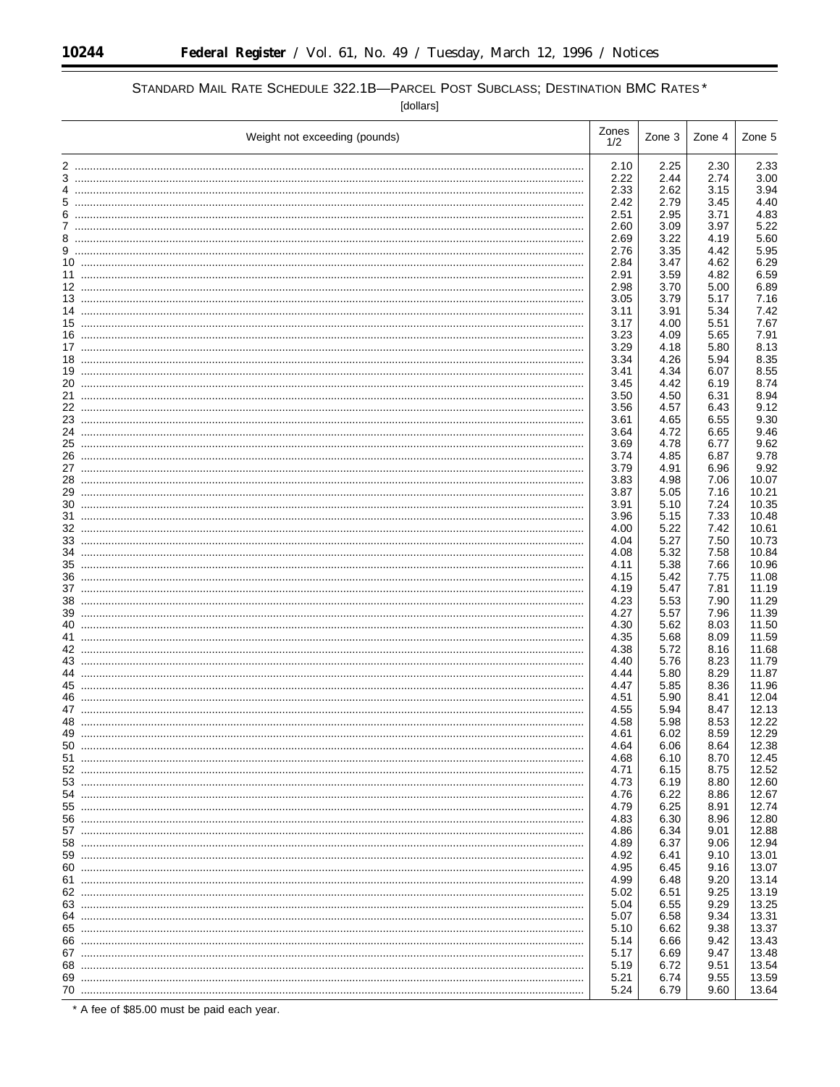٠

# STANDARD MAIL RATE SCHEDULE 322.1B-PARCEL POST SUBCLASS; DESTINATION BMC RATES\*

[dollars]

|     | Weight not exceeding (pounds) | Zones<br>1/2 | Zone 3       | Zone 4       | Zone 5         |
|-----|-------------------------------|--------------|--------------|--------------|----------------|
|     |                               | 2.10         | 2.25         | 2.30         | 2.33           |
|     |                               | 2.22         | 2.44         | 2.74         | 3.00           |
|     |                               | 2.33         | 2.62         | 3.15         | 3.94           |
|     |                               | 2.42         | 2.79         | 3.45         | 4.40           |
|     |                               | 2.51         | 2.95         | 3.71         | 4.83           |
|     |                               | 2.60         | 3.09         | 3.97         | 5.22           |
|     |                               | 2.69         | 3.22         | 4.19         | 5.60           |
|     |                               | 2.76<br>2.84 | 3.35<br>3.47 | 4.42<br>4.62 | 5.95<br>6.29   |
|     |                               | 2.91         | 3.59         | 4.82         | 6.59           |
|     |                               | 2.98         | 3.70         | 5.00         | 6.89           |
|     |                               | 3.05         | 3.79         | 5.17         | 7.16           |
|     |                               | 3.11         | 3.91         | 5.34         | 7.42           |
|     |                               | 3.17         | 4.00         | 5.51         | 7.67           |
|     |                               | 3.23         | 4.09         | 5.65         | 7.91           |
|     |                               | 3.29         | 4.18         | 5.80         | 8.13           |
|     |                               | 3.34         | 4.26         | 5.94         | 8.35           |
|     |                               | 3.41         | 4.34         | 6.07         | 8.55           |
|     |                               | 3.45<br>3.50 | 4.42<br>4.50 | 6.19<br>6.31 | 8.74<br>8.94   |
|     |                               | 3.56         | 4.57         | 6.43         | 9.12           |
|     |                               | 3.61         | 4.65         | 6.55         | 9.30           |
|     |                               | 3.64         | 4.72         | 6.65         | 9.46           |
|     |                               | 3.69         | 4.78         | 6.77         | 9.62           |
|     |                               | 3.74         | 4.85         | 6.87         | 9.78           |
|     |                               | 3.79         | 4.91         | 6.96         | 9.92           |
| 28  |                               | 3.83         | 4.98         | 7.06         | 10.07          |
|     |                               | 3.87         | 5.05         | 7.16         | 10.21          |
|     |                               | 3.91         | 5.10         | 7.24         | 10.35          |
| 31  |                               | 3.96<br>4.00 | 5.15<br>5.22 | 7.33<br>7.42 | 10.48<br>10.61 |
|     |                               | 4.04         | 5.27         | 7.50         | 10.73          |
|     |                               | 4.08         | 5.32         | 7.58         | 10.84          |
|     |                               | 4.11         | 5.38         | 7.66         | 10.96          |
|     |                               | 4.15         | 5.42         | 7.75         | 11.08          |
|     |                               | 4.19         | 5.47         | 7.81         | 11.19          |
|     |                               | 4.23         | 5.53         | 7.90         | 11.29          |
|     |                               | 4.27         | 5.57         | 7.96         | 11.39          |
| 40  |                               | 4.30         | 5.62         | 8.03         | 11.50          |
|     |                               | 4.35<br>4.38 | 5.68<br>5.72 | 8.09<br>8.16 | 11.59<br>11.68 |
| 43. |                               | 4.40         | 5.76         | 8.23         | 11.79          |
| 44  |                               | 4.44         | 5.80         | 8.29         | 11.87          |
|     |                               | 4.47         | 5.85         | 8.36         | 11.96          |
| 46  |                               | 4.51         | 5.90         | 8.41         | 12.04          |
|     |                               | 4.55         | 5.94         | 8.47         | 12.13          |
|     |                               | 4.58         | 5.98         | 8.53         | 12.22          |
| 49  |                               | 4.61         | 6.02         | 8.59         | 12.29          |
| 50. |                               | 4.64         | 6.06         | 8.64         | 12.38          |
|     |                               | 4.68<br>4.71 | 6.10<br>6.15 | 8.70<br>8.75 | 12.45<br>12.52 |
|     |                               | 4.73         | 6.19         | 8.80         | 12.60          |
|     |                               | 4.76         | 6.22         | 8.86         | 12.67          |
|     |                               | 4.79         | 6.25         | 8.91         | 12.74          |
|     |                               | 4.83         | 6.30         | 8.96         | 12.80          |
|     |                               | 4.86         | 6.34         | 9.01         | 12.88          |
|     |                               | 4.89         | 6.37         | 9.06         | 12.94          |
|     |                               | 4.92         | 6.41         | 9.10         | 13.01          |
|     |                               | 4.95         | 6.45         | 9.16         | 13.07          |
|     |                               | 4.99         | 6.48         | 9.20         | 13.14          |
|     |                               | 5.02<br>5.04 | 6.51<br>6.55 | 9.25<br>9.29 | 13.19<br>13.25 |
|     |                               | 5.07         | 6.58         | 9.34         | 13.31          |
|     |                               | 5.10         | 6.62         | 9.38         | 13.37          |
|     |                               | 5.14         | 6.66         | 9.42         | 13.43          |
|     |                               | 5.17         | 6.69         | 9.47         | 13.48          |
|     |                               | 5.19         | 6.72         | 9.51         | 13.54          |
|     |                               | 5.21         | 6.74         | 9.55         | 13.59          |
|     |                               | 5.24         | 6.79         | 9.60         | 13.64          |

\* A fee of \$85.00 must be paid each year.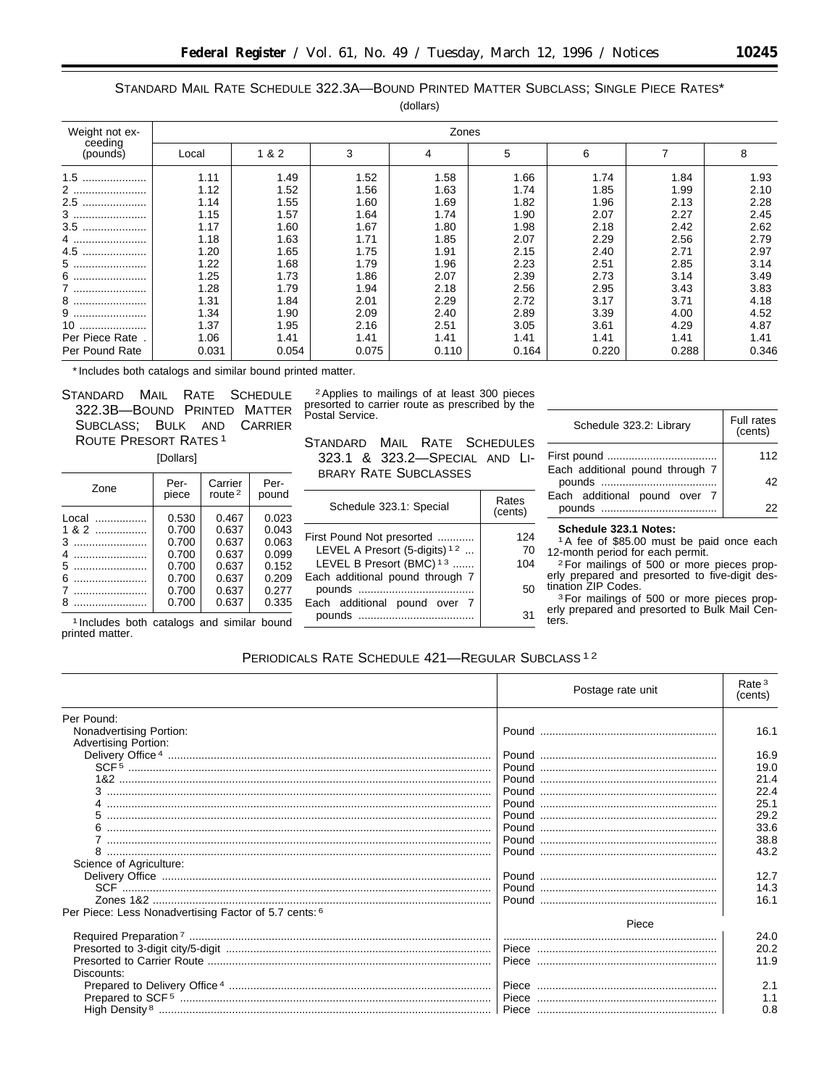# STANDARD MAIL RATE SCHEDULE 322.3A—BOUND PRINTED MATTER SUBCLASS; SINGLE PIECE RATES\*

| (dollars) |  |
|-----------|--|
|-----------|--|

| Weight not ex-      |       | Zones |       |       |       |       |       |       |
|---------------------|-------|-------|-------|-------|-------|-------|-------|-------|
| ceeding<br>(pounds) | Local | 1 & 2 | 3     | 4     | 5     | 6     | 7     | 8     |
| 1.5                 | 1.11  | 1.49  | 1.52  | 1.58  | 1.66  | 1.74  | 1.84  | 1.93  |
| 2                   | 1.12  | 1.52  | 1.56  | 1.63  | 1.74  | 1.85  | 1.99  | 2.10  |
| 2.5<br>             | 1.14  | 1.55  | 1.60  | 1.69  | 1.82  | 1.96  | 2.13  | 2.28  |
| 3                   | 1.15  | 1.57  | 1.64  | 1.74  | 1.90  | 2.07  | 2.27  | 2.45  |
| $3.5$               | 1.17  | 1.60  | 1.67  | 1.80  | 1.98  | 2.18  | 2.42  | 2.62  |
| 4                   | 1.18  | 1.63  | 1.71  | 1.85  | 2.07  | 2.29  | 2.56  | 2.79  |
| 4.5                 | 1.20  | 1.65  | 1.75  | 1.91  | 2.15  | 2.40  | 2.71  | 2.97  |
| 5                   | 1.22  | 1.68  | 1.79  | 1.96  | 2.23  | 2.51  | 2.85  | 3.14  |
| 6                   | 1.25  | 1.73  | 1.86  | 2.07  | 2.39  | 2.73  | 3.14  | 3.49  |
| 7                   | 1.28  | 1.79  | 1.94  | 2.18  | 2.56  | 2.95  | 3.43  | 3.83  |
| 8                   | 1.31  | 1.84  | 2.01  | 2.29  | 2.72  | 3.17  | 3.71  | 4.18  |
| 9                   | 1.34  | 1.90  | 2.09  | 2.40  | 2.89  | 3.39  | 4.00  | 4.52  |
| 10                  | 1.37  | 1.95  | 2.16  | 2.51  | 3.05  | 3.61  | 4.29  | 4.87  |
| Per Piece Rate.     | 1.06  | 1.41  | 1.41  | 1.41  | 1.41  | 1.41  | 1.41  | 1.41  |
| Per Pound Rate      | 0.031 | 0.054 | 0.075 | 0.110 | 0.164 | 0.220 | 0.288 | 0.346 |

\*Includes both catalogs and similar bound printed matter.

STANDARD MAIL RATE SCHEDULE 322.3B—BOUND PRINTED MATTER SUBCLASS; BULK AND CARRIER ROUTE PRESORT RATES 1 [Dollars]

| Zone                               | Per-                                                                 | Carrier                                                              | Per-                                                                 |
|------------------------------------|----------------------------------------------------------------------|----------------------------------------------------------------------|----------------------------------------------------------------------|
|                                    | piece                                                                | route $2$                                                            | pound                                                                |
| Local<br>.<br>$182$<br>3<br>5<br>6 | 0.530<br>0.700<br>0.700<br>0.700<br>0.700<br>0.700<br>0.700<br>0.700 | 0.467<br>0.637<br>0.637<br>0.637<br>0.637<br>0.637<br>0.637<br>0.637 | 0.023<br>0.043<br>0.063<br>0.099<br>0.152<br>0.209<br>0.277<br>0.335 |

1 Includes both catalogs and similar bound printed matter.

2Applies to mailings of at least 300 pieces presorted to carrier route as prescribed by the Postal Service.

STANDARD MAIL RATE SCHEDULES -323.1 & 323.2—SPECIAL AND LI-BRARY RATE SUBCLASSES

| Schedule 323.1: Special                    | Rates<br>(cents) |
|--------------------------------------------|------------------|
| First Pound Not presorted                  | 124              |
| LEVEL A Presort (5-digits) <sup>12</sup>   | 70               |
| LEVEL B Presort (BMC) <sup>13</sup>        | 104              |
| Each additional pound through 7            | 50               |
| Each additional pound over 7<br>pounds<br> | 31               |

| Schedule 323.2: Library         | <b>Full rates</b><br>(cents) |
|---------------------------------|------------------------------|
|                                 | 112                          |
| Each additional pound through 7 | 42                           |
| Each additional pound over 7    |                              |

#### **Schedule 323.1 Notes:**

1A fee of \$85.00 must be paid once each 12-month period for each permit.

2For mailings of 500 or more pieces properly prepared and presorted to five-digit destination ZIP Codes.

3For mailings of 500 or more pieces properly prepared and presorted to Bulk Mail Centers.

# PERIODICALS RATE SCHEDULE 421—REGULAR SUBCLASS 1 2

|                                                       | Postage rate unit           | Rate <sup>3</sup><br>(cents) |
|-------------------------------------------------------|-----------------------------|------------------------------|
| Per Pound:                                            |                             |                              |
| Nonadvertising Portion:                               |                             | 16.1                         |
| <b>Advertising Portion:</b>                           |                             |                              |
|                                                       |                             | 16.9                         |
|                                                       |                             | 19.0                         |
|                                                       |                             | 21.4                         |
|                                                       |                             | 22.4                         |
|                                                       |                             | 25.1                         |
|                                                       |                             | 29.2                         |
|                                                       |                             | 33.6                         |
|                                                       |                             | 38.8                         |
|                                                       |                             | 43.2                         |
| Science of Agriculture:                               |                             |                              |
|                                                       |                             | 12.7                         |
|                                                       |                             | 14.3                         |
|                                                       |                             | 16.1                         |
| Per Piece: Less Nonadvertising Factor of 5.7 cents: 6 |                             |                              |
|                                                       | Piece                       |                              |
|                                                       |                             | 24.0                         |
|                                                       |                             | 20.2                         |
|                                                       |                             | 11.9                         |
| Discounts:                                            |                             |                              |
|                                                       | l Piece ………………………………………………… | 2.1                          |
|                                                       |                             | 1.1                          |
|                                                       |                             | 0.8                          |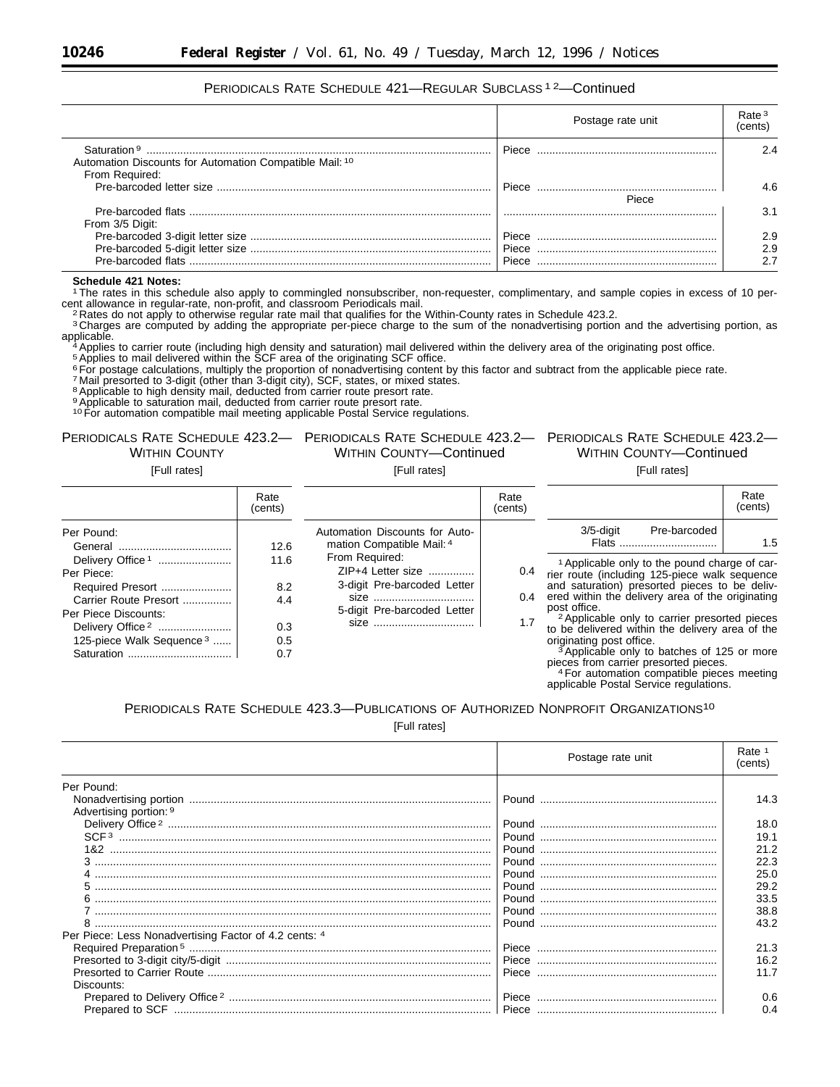# PERIODICALS RATE SCHEDULE 421—REGULAR SUBCLASS 1 2—Continued

|                                                                                                      | Postage rate unit | Rate <sup>3</sup><br>(cents |
|------------------------------------------------------------------------------------------------------|-------------------|-----------------------------|
| Saturation <sup>9</sup><br>Automation Discounts for Automation Compatible Mail: 10<br>From Required: | Piece             | 24                          |
|                                                                                                      | Piece<br>Piece    | 4 R                         |
| From 3/5 Digit:                                                                                      |                   | 31                          |
|                                                                                                      | Piece             | 2.9                         |
|                                                                                                      | Piece             | 2.9<br>2.7                  |

#### **Schedule 421 Notes:**

1The rates in this schedule also apply to commingled nonsubscriber, non-requester, complimentary, and sample copies in excess of 10 percent allowance in regular-rate, non-profit, and classroom Periodicals mail.<br><sup>2</sup> Rates do not apply to otherwise regular rate mail that qualifies for the Within-County rates in Schedule 423.2.

<sup>3</sup> Charges are computed by adding the appropriate per-piece charge to the sum of the nonadvertising portion and the advertising portion, as applicable. applicable.<br>4Applies to carrier route (including high density and saturation) mail delivered within the delivery area of the originating post office.

5Applies to mail delivered within the SCF area of the originating SCF office.

6 For postage calculations, multiply the proportion of nonadvertising content by this factor and subtract from the applicable piece rate.<br>7 Mail presorted to 3-digit (other than 3-digit city), SCF, states, or mixed states

<sup>8</sup> Applicable to high density mail, deducted from carrier route presort rate.

9 Applicable to saturation mail, deducted from carrier route presort rate.

<sup>10</sup> For automation compatible mail meeting applicable Postal Service regulations.

# **WITHIN COUNTY**

[Full rates]

#### PERIODICALS RATE SCHEDULE 423.2— PERIODICALS RATE SCHEDULE 423.2— PERIODICALS RATE SCHEDULE 423.2— WITHIN COUNTY—Continued

[Full rates]

|                                                                                                                                                                                         | Rate<br>(cents)                         |                                                                                                             | Rate<br>(cents)   |                                                                                                                                                                                                                                                                                                                                                                                                                                                                              | Rate<br>(cents) |
|-----------------------------------------------------------------------------------------------------------------------------------------------------------------------------------------|-----------------------------------------|-------------------------------------------------------------------------------------------------------------|-------------------|------------------------------------------------------------------------------------------------------------------------------------------------------------------------------------------------------------------------------------------------------------------------------------------------------------------------------------------------------------------------------------------------------------------------------------------------------------------------------|-----------------|
| Per Pound:                                                                                                                                                                              | 12.6                                    | Automation Discounts for Auto-<br>mation Compatible Mail: 4                                                 |                   | $3/5$ -digit<br>Pre-barcoded<br>Flats                                                                                                                                                                                                                                                                                                                                                                                                                                        | 1.5             |
| Delivery Office <sup>1</sup><br>Per Piece:<br>Required Presort<br>Carrier Route Presort<br>Per Piece Discounts:<br>Delivery Office <sup>2</sup><br>125-piece Walk Sequence <sup>3</sup> | 11.6<br>8.2<br>4.4<br>0.3<br>0.5<br>0.7 | From Required:<br>ZIP+4 Letter size<br>3-digit Pre-barcoded Letter<br>$size$<br>5-digit Pre-barcoded Letter | 0.4<br>0.4<br>1.7 | <sup>1</sup> Applicable only to the pound charge of car-<br>rier route (including 125-piece walk sequence<br>and saturation) presorted pieces to be deliv-<br>ered within the delivery area of the originating<br>post office.<br><sup>2</sup> Applicable only to carrier presorted pieces<br>to be delivered within the delivery area of the<br>originating post office.<br><sup>3</sup> Applicable only to batches of 125 or more<br>pieces from carrier presorted pieces. |                 |

<sup>4</sup> For automation compatible pieces meeting applicable Postal Service regulations.

WITHIN COUNTY—Continued [Full rates]

# PERIODICALS RATE SCHEDULE 423.3—PUBLICATIONS OF AUTHORIZED NONPROFIT ORGANIZATIONS10

[Full rates]

|                                                       | Postage rate unit | Rate <sup>1</sup><br>(cents) |
|-------------------------------------------------------|-------------------|------------------------------|
| Per Pound:                                            |                   |                              |
|                                                       |                   | 14.3                         |
| Advertising portion: 9                                |                   |                              |
|                                                       |                   | 18.0                         |
|                                                       |                   | 19.1                         |
|                                                       |                   | 21.2                         |
|                                                       |                   | 22.3                         |
|                                                       |                   | 25.0                         |
|                                                       |                   | 29.2                         |
|                                                       |                   | 33.5                         |
|                                                       |                   | 38.8                         |
|                                                       |                   | 43.2                         |
| Per Piece: Less Nonadvertising Factor of 4.2 cents: 4 |                   |                              |
|                                                       |                   | 21.3                         |
|                                                       |                   | 16.2                         |
|                                                       |                   | 11.7                         |
| Discounts:                                            |                   |                              |
|                                                       |                   | 0.6                          |
|                                                       |                   | 0.4                          |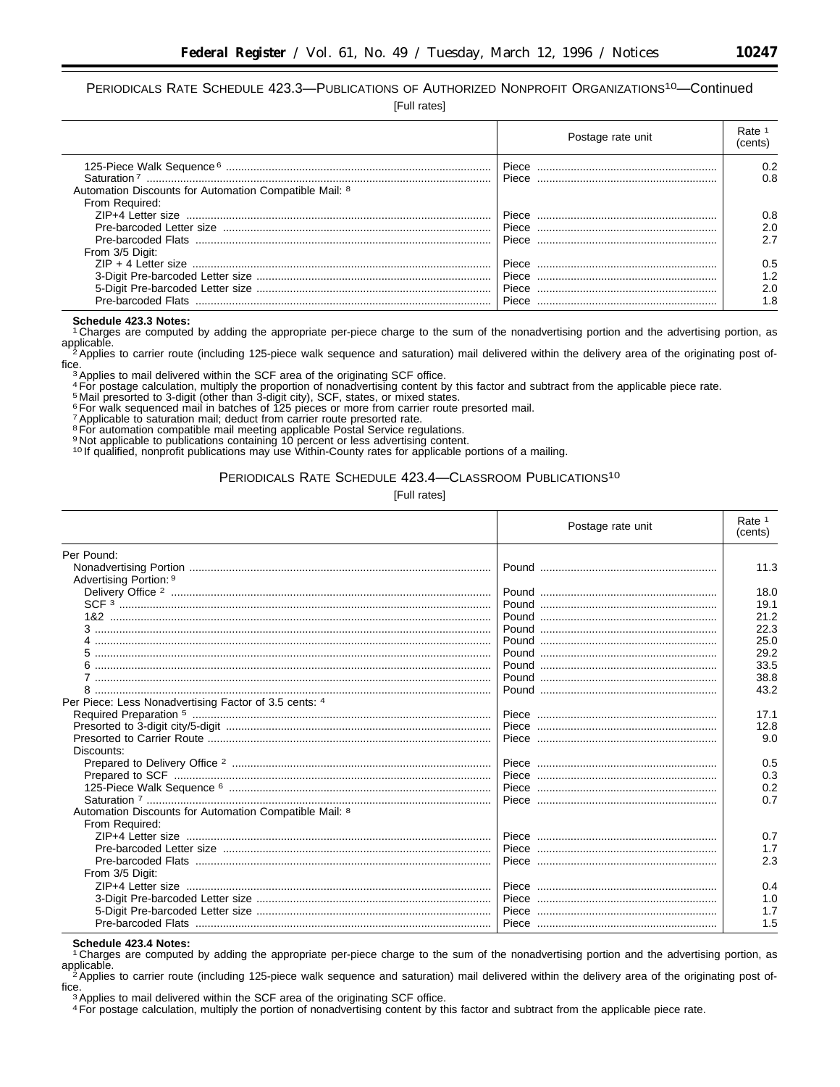PERIODICALS RATE SCHEDULE 423.3—PUBLICATIONS OF AUTHORIZED NONPROFIT ORGANIZATIONS10—Continued

[Full rates]

|                                                                                   |       | Postage rate unit | Rate<br>(cents) |
|-----------------------------------------------------------------------------------|-------|-------------------|-----------------|
|                                                                                   | Piece |                   | 0.2             |
| Saturation <sup>7</sup><br>Automation Discounts for Automation Compatible Mail: 8 | Piece |                   | 0.8             |
| From Required:                                                                    |       |                   |                 |
|                                                                                   | Piece |                   | 0.8             |
|                                                                                   | Piece |                   | 2.0             |
| Pre-barcoded Flats                                                                | Piece |                   | 2.7             |
| From 3/5 Digit:                                                                   |       |                   |                 |
|                                                                                   | Piece |                   | 0.5             |
|                                                                                   |       |                   | 1.2             |
|                                                                                   | Piece |                   | 2.0             |
| Pre-barcoded Flats                                                                | Piece |                   | 1.8             |

**Schedule 423.3 Notes:** 1 Charges are computed by adding the appropriate per-piece charge to the sum of the nonadvertising portion and the advertising portion, as

applicable.<br><sup>2</sup>Applies to carrier route (including 125-piece walk sequence and saturation) mail delivered within the delivery area of the originating post of-<br>fice. fice.<br><sup>3</sup> Applies to mail delivered within the SCF area of the originating SCF office.<br><sup>4</sup> For postage calculation, multiply the proportion of nonadvertising content by this factor and subtract from the applicable piece ra

7Applicable to saturation mail; deduct from carrier route presorted rate.

8For automation compatible mail meeting applicable Postal Service regulations.

9 Not applicable to publications containing 10 percent or less advertising content.<br><sup>10</sup> If qualified, nonprofit publications may use Within-County rates for applicable portions of a mailing.

#### PERIODICALS RATE SCHEDULE 423.4—CLASSROOM PUBLICATIONS10

[Full rates]

|                                                        | Postage rate unit | Rate 1<br>(cents) |
|--------------------------------------------------------|-------------------|-------------------|
| Per Pound:                                             |                   |                   |
| Advertising Portion: 9                                 |                   | 11.3              |
|                                                        |                   | 18.0              |
|                                                        |                   | 19.1              |
|                                                        |                   | 21.2              |
|                                                        |                   | 22.3              |
|                                                        |                   | 25.0              |
|                                                        |                   | 29.2              |
|                                                        |                   | 33.5              |
|                                                        |                   | 38.8              |
|                                                        |                   | 43.2              |
| Per Piece: Less Nonadvertising Factor of 3.5 cents: 4  |                   |                   |
|                                                        |                   | 17.1              |
|                                                        |                   | 12.8              |
|                                                        |                   | 9.0               |
| Discounts:                                             |                   |                   |
|                                                        |                   | 0.5               |
|                                                        |                   | 0.3               |
|                                                        |                   | 0.2               |
| Automation Discounts for Automation Compatible Mail: 8 |                   | 0.7               |
| From Required:                                         |                   |                   |
|                                                        |                   | 0.7               |
|                                                        |                   | 1.7               |
|                                                        |                   | 2.3               |
| From 3/5 Digit:                                        |                   |                   |
|                                                        |                   | 0.4               |
|                                                        |                   | 1.0               |
|                                                        |                   | 1.7               |
|                                                        |                   | 1.5               |
|                                                        |                   |                   |

**Schedule 423.4 Notes:** 1 Charges are computed by adding the appropriate per-piece charge to the sum of the nonadvertising portion and the advertising portion, as

applicable.<br><sup>2</sup>Applies to carrier route (including 125-piece walk sequence and saturation) mail delivered within the delivery area of the originating post of-<br>fice.

<sup>3</sup> Applies to mail delivered within the SCF area of the originating SCF office.

<sup>4</sup>For postage calculation, multiply the portion of nonadvertising content by this factor and subtract from the applicable piece rate.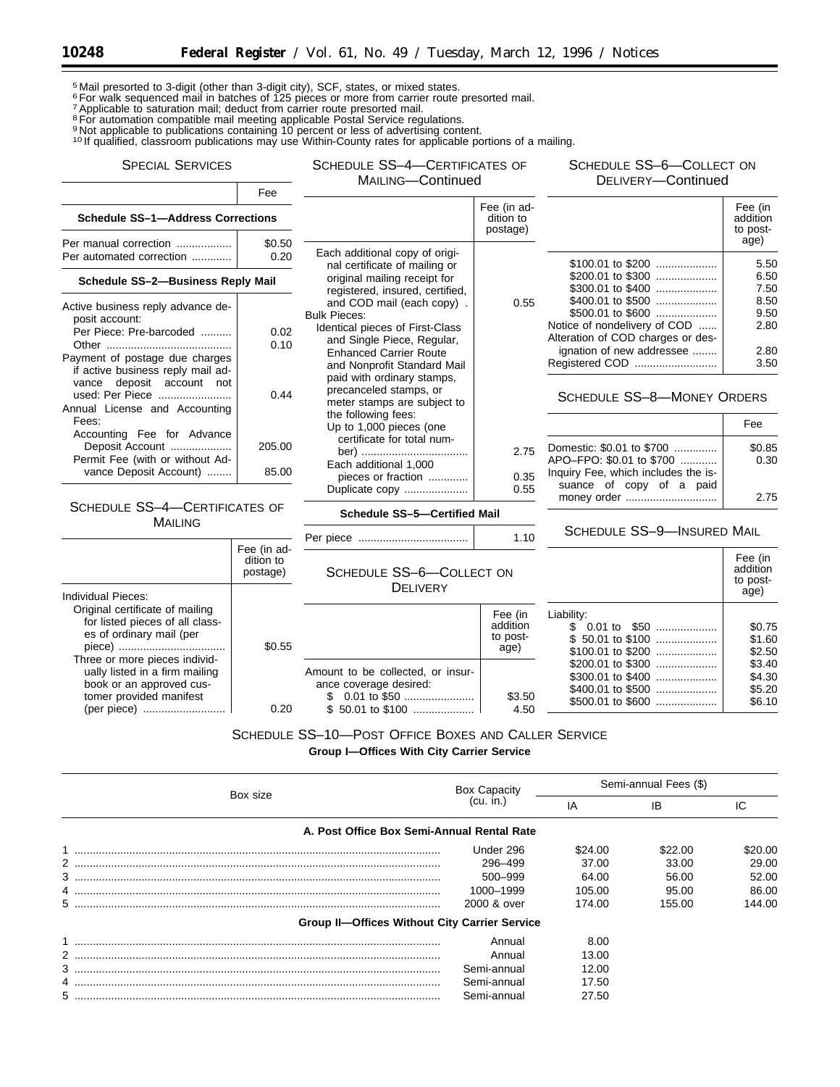5 Mail presorted to 3-digit (other than 3-digit city), SCF, states, or mixed states.

6For walk sequenced mail in batches of 125 pieces or more from carrier route presorted mail.

<sup>7</sup> Applicable to saturation mail; deduct from carrier route presorted mail.

<sup>8</sup> For automation compatible mail meeting applicable Postal Service regulations. <sup>9</sup> Not applicable to publications containing 10 percent or less of advertising content.

<sup>10</sup> If qualified, classroom publications may use Within-County rates for applicable portions of a mailing.

# SPECIAL SERVICES Fee

SCHEDULE SS–4—CERTIFICATES OF

MAILING—Continued

SCHEDULE SS–6—COLLECT ON DELIVERY—Continued

|                                          |                                                                                                                                                                                                                                                                          | Fee (in ad-<br>dition to<br>postage)                                                                                    |                                                                                                                                                                                          | Fee (in<br>addition<br>to post-      |
|------------------------------------------|--------------------------------------------------------------------------------------------------------------------------------------------------------------------------------------------------------------------------------------------------------------------------|-------------------------------------------------------------------------------------------------------------------------|------------------------------------------------------------------------------------------------------------------------------------------------------------------------------------------|--------------------------------------|
| 0.20                                     | Each additional copy of origi-                                                                                                                                                                                                                                           |                                                                                                                         |                                                                                                                                                                                          | age)<br>5.50                         |
| <b>Schedule SS-2-Business Reply Mail</b> |                                                                                                                                                                                                                                                                          |                                                                                                                         | \$200.01 to \$300<br>\$300.01 to \$400                                                                                                                                                   | 6.50<br>7.50                         |
| 0.02<br>0.10<br>0.44                     | and COD mail (each copy).<br><b>Bulk Pieces:</b><br>Identical pieces of First-Class<br>and Single Piece, Regular,<br><b>Enhanced Carrier Route</b><br>and Nonprofit Standard Mail<br>paid with ordinary stamps,<br>precanceled stamps, or<br>meter stamps are subject to | 0.55                                                                                                                    | \$400.01 to \$500<br>\$500.01 to \$600<br>Notice of nondelivery of COD<br>Alteration of COD charges or des-<br>ignation of new addressee<br>Registered COD<br>SCHEDULE SS-8-MONEY ORDERS | 8.50<br>9.50<br>2.80<br>2.80<br>3.50 |
|                                          | Up to 1,000 pieces (one                                                                                                                                                                                                                                                  |                                                                                                                         |                                                                                                                                                                                          | Fee                                  |
| 205.00<br>85.00                          | certificate for total num-<br>Each additional 1,000<br>pieces or fraction<br>Duplicate copy                                                                                                                                                                              | 2.75<br>0.35<br>0.55                                                                                                    | Domestic: \$0.01 to \$700<br>APO-FPO: \$0.01 to \$700<br>Inquiry Fee, which includes the is-<br>suance of copy of a paid                                                                 | \$0.85<br>0.30<br>2.75               |
|                                          | <b>Schedule SS-1-Address Corrections</b><br>\$0.50<br>$0 \leq x \leq 0$                                                                                                                                                                                                  | nal certificate of mailing or<br>original mailing receipt for<br>registered, insured, certified,<br>the following fees: |                                                                                                                                                                                          | money order                          |

## SCHEDULE SS–4—CERTIFICATES OF MAILING

| <b>IVIAILING</b>                                                                                                       |                                      |                                                                                   |                                         |                                                      |                                      |  |
|------------------------------------------------------------------------------------------------------------------------|--------------------------------------|-----------------------------------------------------------------------------------|-----------------------------------------|------------------------------------------------------|--------------------------------------|--|
|                                                                                                                        |                                      |                                                                                   | 1.10                                    | SCHEDULE SS-9-INSURED MAIL                           |                                      |  |
|                                                                                                                        | Fee (in ad-<br>dition to<br>postage) | SCHEDULE SS-6-COLLECT ON                                                          |                                         |                                                      | Fee (in<br>addition<br>to post-      |  |
| Individual Pieces:                                                                                                     |                                      | <b>DELIVERY</b>                                                                   |                                         |                                                      | age)                                 |  |
| Original certificate of mailing<br>for listed pieces of all class-<br>es of ordinary mail (per                         | \$0.55                               |                                                                                   | Fee (in<br>addition<br>to post-<br>age) | Liability:<br>$$50.01$ to \$100<br>\$100.01 to \$200 | \$0.75<br>\$1.60<br>\$2.50           |  |
| Three or more pieces individ-<br>ually listed in a firm mailing<br>book or an approved cus-<br>tomer provided manifest | 0.20                                 | Amount to be collected, or insur-<br>ance coverage desired:<br>$$50.01$ to $$100$ | \$3.50<br>4.50                          | \$400.01 to \$500<br>$$500.01$ to $$600$             | \$3.40<br>\$4.30<br>\$5.20<br>\$6.10 |  |

**Schedule SS–5—Certified Mail**

# SCHEDULE SS–10—POST OFFICE BOXES AND CALLER SERVICE

**Group I—Offices With City Carrier Service**

| Box size                                             | <b>Box Capacity</b> | Semi-annual Fees (\$) |         |         |
|------------------------------------------------------|---------------------|-----------------------|---------|---------|
|                                                      | (cu. in.)           | IA                    | ΙB      | IC      |
| A. Post Office Box Semi-Annual Rental Rate           |                     |                       |         |         |
|                                                      | Under 296           | \$24.00               | \$22.00 | \$20.00 |
|                                                      | 296-499             | 37.00                 | 33.00   | 29.00   |
|                                                      | 500-999             | 64.00                 | 56.00   | 52.00   |
|                                                      | 1000-1999           | 105.00                | 95.00   | 86.00   |
|                                                      | 2000 & over         | 174.00                | 155.00  | 144.00  |
| <b>Group II-Offices Without City Carrier Service</b> |                     |                       |         |         |
|                                                      | Annual              | 8.00                  |         |         |
|                                                      | Annual              | 13.00                 |         |         |
|                                                      | Semi-annual         | 12.00                 |         |         |
|                                                      | Semi-annual         | 17.50                 |         |         |
| 5.                                                   | Semi-annual         | 27.50                 |         |         |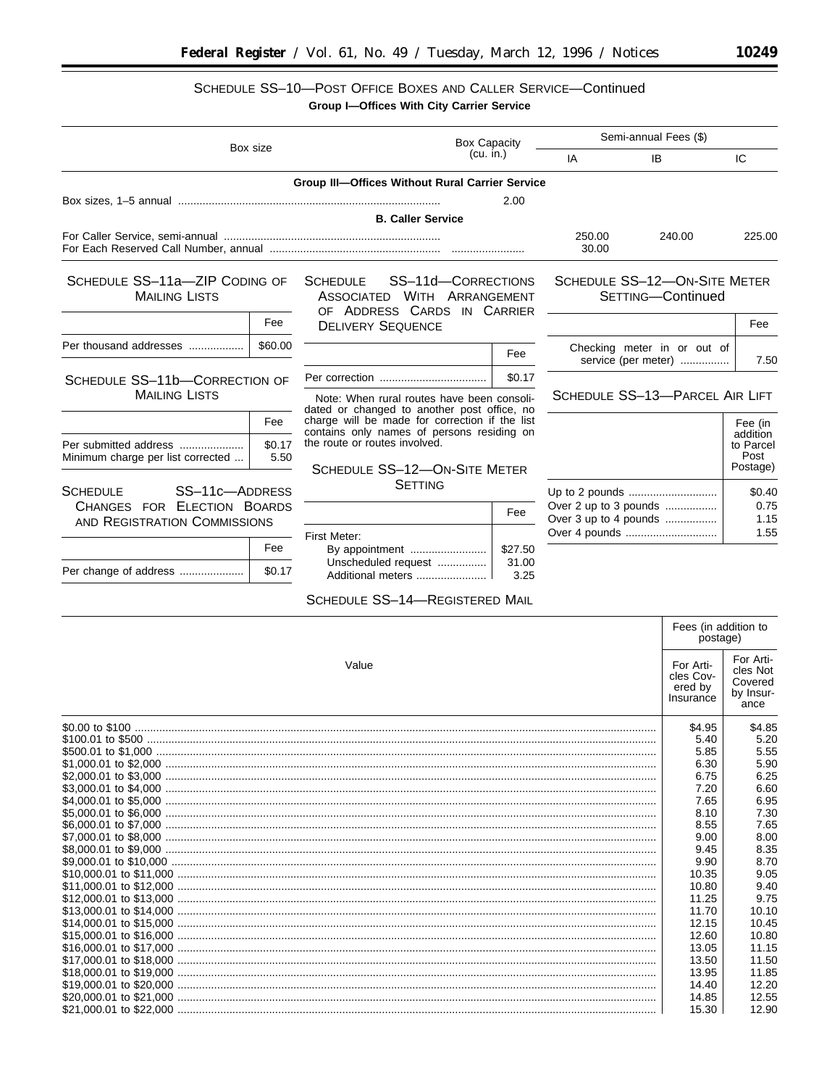# SCHEDULE SS-10-POST OFFICE BOXES AND CALLER SERVICE-Continued

|                                                             |                                 | Group I-Offices With City Carrier Service                                                           |               |                                                |                                                    |                     |
|-------------------------------------------------------------|---------------------------------|-----------------------------------------------------------------------------------------------------|---------------|------------------------------------------------|----------------------------------------------------|---------------------|
|                                                             | <b>Box Capacity</b><br>Box size |                                                                                                     |               | Semi-annual Fees (\$)                          |                                                    |                     |
|                                                             |                                 | $(cu.$ in.)                                                                                         |               | IA                                             | <b>IB</b>                                          | IC                  |
|                                                             |                                 | <b>Group III-Offices Without Rural Carrier Service</b>                                              |               |                                                |                                                    |                     |
|                                                             |                                 |                                                                                                     | 2.00          |                                                |                                                    |                     |
|                                                             |                                 | <b>B. Caller Service</b>                                                                            |               |                                                |                                                    |                     |
|                                                             |                                 |                                                                                                     |               | 250.00<br>30.00                                | 240.00                                             | 225.00              |
| SCHEDULE SS-11a-ZIP CODING OF<br><b>MAILING LISTS</b>       |                                 | <b>SCHEDULE</b><br>SS-11d-CORRECTIONS<br>ASSOCIATED WITH ARRANGEMENT<br>OF ADDRESS CARDS IN CARRIER |               |                                                | SCHEDULE SS-12-ON-SITE METER<br>SETTING-Continued  |                     |
|                                                             | Fee                             | <b>DELIVERY SEQUENCE</b>                                                                            |               |                                                |                                                    | Fee                 |
| Per thousand addresses                                      | \$60.00                         |                                                                                                     | Fee           |                                                | Checking meter in or out of<br>service (per meter) | 7.50                |
| SCHEDULE SS-11b-CORRECTION OF                               |                                 |                                                                                                     | \$0.17        |                                                |                                                    |                     |
| <b>MAILING LISTS</b>                                        |                                 | Note: When rural routes have been consoli-<br>dated or changed to another post office, no           |               |                                                | SCHEDULE SS-13-PARCEL AIR LIFT                     |                     |
|                                                             | Fee                             | charge will be made for correction if the list<br>contains only names of persons residing on        |               |                                                |                                                    | Fee (in<br>addition |
| Per submitted address<br>Minimum charge per list corrected  | \$0.17<br>5.50                  | the route or routes involved.                                                                       |               |                                                |                                                    | to Parcel<br>Post   |
|                                                             |                                 | SCHEDULE SS-12-ON-SITE METER<br><b>SETTING</b>                                                      |               |                                                |                                                    | Postage)            |
| SS-11c-ADDRESS<br><b>SCHEDULE</b>                           |                                 |                                                                                                     |               |                                                |                                                    | \$0.40              |
| CHANGES FOR ELECTION BOARDS<br>AND REGISTRATION COMMISSIONS |                                 |                                                                                                     | Fee           | Over 2 up to 3 pounds<br>Over 3 up to 4 pounds |                                                    | 0.75<br>1.15        |
|                                                             |                                 | First Meter:                                                                                        |               |                                                |                                                    | 1.55                |
|                                                             | Fee                             |                                                                                                     | \$27.50       |                                                |                                                    |                     |
| Per change of address                                       | \$0.17                          | Unscheduled request<br>Additional meters                                                            | 31.00<br>3.25 |                                                |                                                    |                     |
|                                                             |                                 | SCHEDULE SS-14-REGISTERED MAIL                                                                      |               |                                                |                                                    |                     |
|                                                             |                                 |                                                                                                     |               |                                                | Fees (in addition to<br>nostage)                   |                     |

|       |                                                | postage)                                              |  |
|-------|------------------------------------------------|-------------------------------------------------------|--|
| Value | For Arti-<br>cles Cov-<br>ered by<br>Insurance | For Arti-<br>cles Not<br>Covered<br>by Insur-<br>ance |  |
|       | \$4.95                                         | \$4.85                                                |  |
|       | 5.40                                           | 5.20                                                  |  |
|       | 5.85                                           | 5.55                                                  |  |
|       | 6.30                                           | 5.90                                                  |  |
|       | 6.75                                           | 6.25                                                  |  |
|       | 7.20                                           | 6.60                                                  |  |
|       | 7.65                                           | 6.95                                                  |  |
|       | 8.10                                           | 7.30                                                  |  |
|       | 8.55                                           | 7.65                                                  |  |
|       | 9.00                                           | 8.00                                                  |  |
|       | 9.45                                           | 8.35                                                  |  |
|       | 9.90                                           | 8.70                                                  |  |
|       | 10.35                                          | 9.05                                                  |  |
|       | 10.80                                          | 9.40                                                  |  |
|       | 11.25                                          | 9.75                                                  |  |
|       | 11.70                                          | 10.10                                                 |  |
|       | 12.15                                          | 10.45                                                 |  |
|       | 12.60                                          | 10.80                                                 |  |
|       | 13.05                                          | 11.15                                                 |  |
|       | 13.50                                          | 11.50                                                 |  |
|       | 13.95                                          | 11.85                                                 |  |
|       | 14.40                                          | 12.20                                                 |  |
|       | 14.85                                          | 12.55                                                 |  |
|       | 15.30                                          | 12.90                                                 |  |